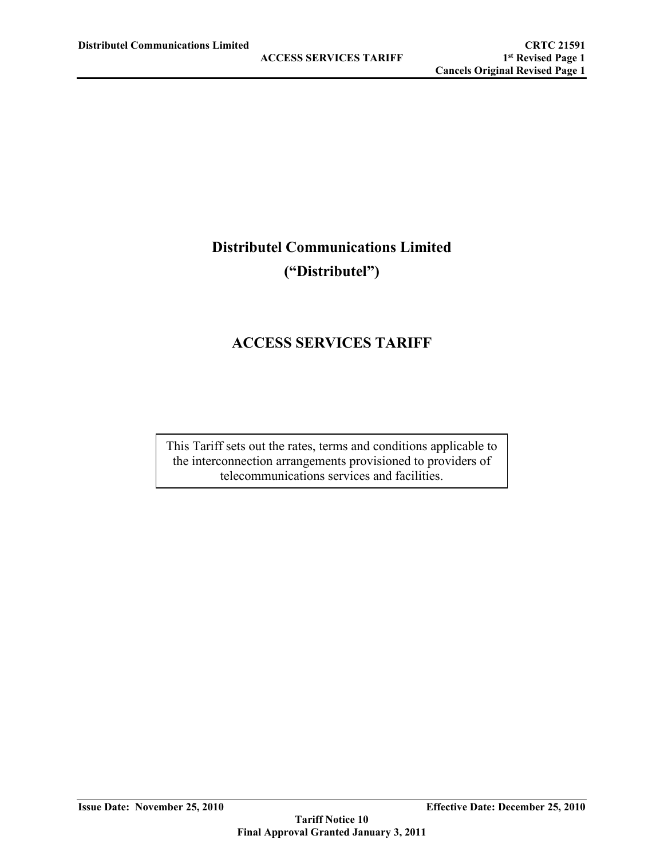# **Distributel Communications Limited ("Distributel")**

# **ACCESS SERVICES TARIFF**

This Tariff sets out the rates, terms and conditions applicable to the interconnection arrangements provisioned to providers of telecommunications services and facilities.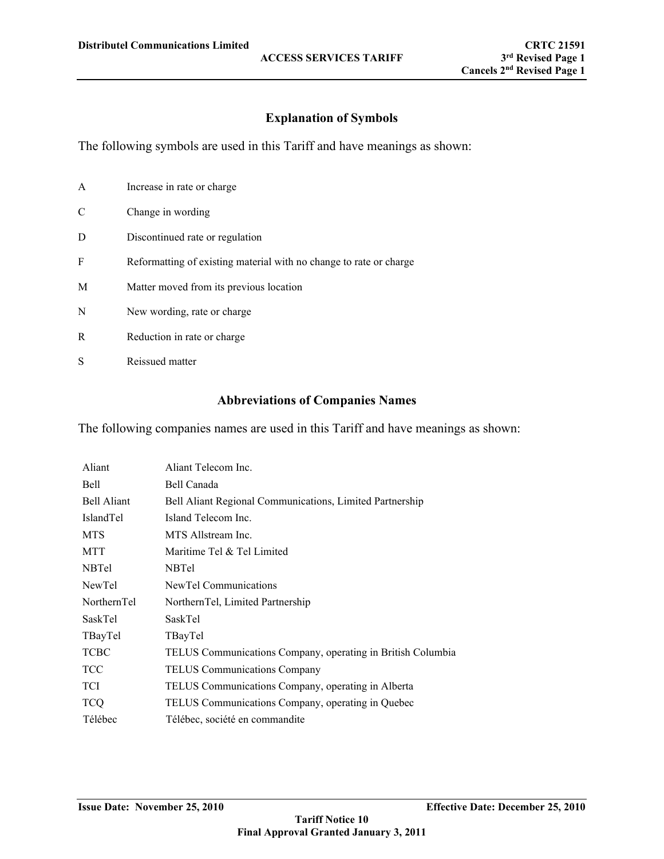## **Explanation of Symbols**

The following symbols are used in this Tariff and have meanings as shown:

| A | Increase in rate or charge                                         |
|---|--------------------------------------------------------------------|
| C | Change in wording                                                  |
| D | Discontinued rate or regulation                                    |
| F | Reformatting of existing material with no change to rate or charge |
| M | Matter moved from its previous location                            |
| N | New wording, rate or charge                                        |
| R | Reduction in rate or charge                                        |
| S | Reissued matter                                                    |
|   |                                                                    |

## **Abbreviations of Companies Names**

The following companies names are used in this Tariff and have meanings as shown:

| Aliant             | Aliant Telecom Inc.                                         |
|--------------------|-------------------------------------------------------------|
| <b>Bell</b>        | Bell Canada                                                 |
| <b>Bell Aliant</b> | Bell Aliant Regional Communications, Limited Partnership    |
| IslandTel          | Island Telecom Inc.                                         |
| <b>MTS</b>         | MTS Allstream Inc.                                          |
| <b>MTT</b>         | Maritime Tel & Tel Limited                                  |
| <b>NBTel</b>       | <b>NBTel</b>                                                |
| NewTel             | NewTel Communications                                       |
| NorthernTel        | NorthernTel, Limited Partnership                            |
| SaskTel            | <b>SaskTel</b>                                              |
| TBayTel            | TBayTel                                                     |
| <b>TCBC</b>        | TELUS Communications Company, operating in British Columbia |
| <b>TCC</b>         | <b>TELUS Communications Company</b>                         |
| <b>TCI</b>         | TELUS Communications Company, operating in Alberta          |
| <b>TCQ</b>         | TELUS Communications Company, operating in Quebec           |
| Télébec            | Télébec, société en commandite                              |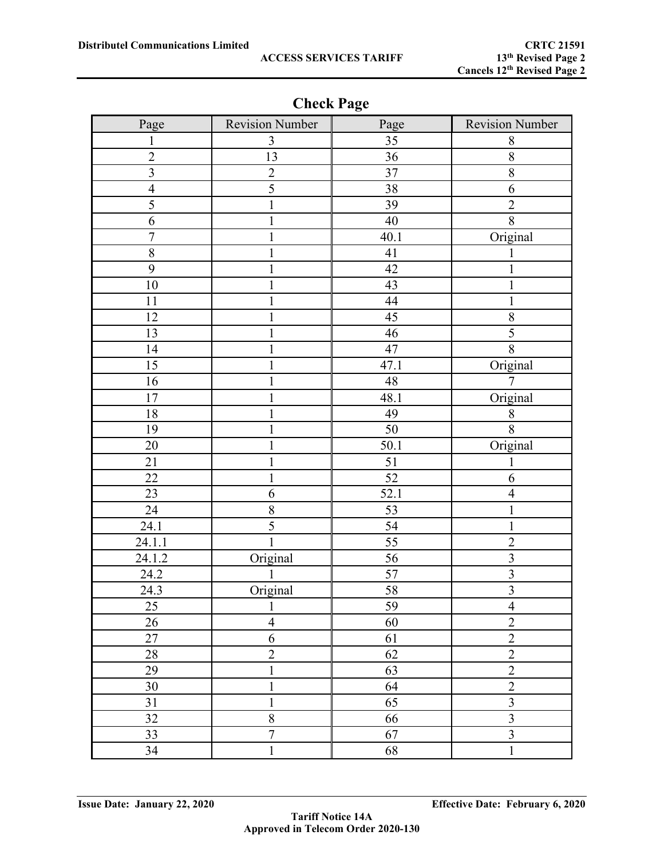| Page                    | <b>Revision Number</b> | Page | <b>Revision Number</b>  |
|-------------------------|------------------------|------|-------------------------|
| 1                       | 3                      | 35   | 8                       |
| $\overline{2}$          | 13                     | 36   | $8\,$                   |
| $\overline{\mathbf{3}}$ | $\overline{2}$         | 37   | $8\,$                   |
| $\overline{4}$          | $\overline{5}$         | 38   | 6                       |
| 5                       | 1                      | 39   | $\overline{2}$          |
| 6                       | 1                      | 40   | 8                       |
| $\overline{7}$          |                        | 40.1 | Original                |
| $8\,$                   | 1                      | 41   |                         |
| 9                       | $\mathbf{1}$           | 42   | 1                       |
| 10                      | 1                      | 43   | 1                       |
| 11                      |                        | 44   |                         |
| 12                      | 1                      | 45   | 8                       |
| 13                      | 1                      | 46   | $\overline{5}$          |
| 14                      |                        | 47   | 8                       |
| 15                      |                        | 47.1 | Original                |
| 16                      |                        | 48   | 7                       |
| $17\,$                  | 1                      | 48.1 | Original                |
| 18                      |                        | 49   | 8                       |
| 19                      | 1                      | 50   | 8                       |
| 20                      |                        | 50.1 | Original                |
| 21                      | 1                      | 51   | 1                       |
| 22                      | 1                      | 52   | 6                       |
| 23                      | 6                      | 52.1 | $\overline{4}$          |
| 24                      | 8                      | 53   | $\mathbf{1}$            |
| 24.1                    | 5                      | 54   | $\mathbf{1}$            |
| 24.1.1                  |                        | 55   | $\overline{2}$          |
| 24.1.2                  | Original               | 56   | $\overline{3}$          |
| 24.2                    |                        | 57   | $\overline{\mathbf{3}}$ |
| 24.3                    | Original               | 58   | $\overline{3}$          |
| 25                      | $\mathbf{1}$           | 59   | $\overline{4}$          |
| 26                      | $\overline{4}$         | 60   | $\overline{2}$          |
| $27\,$                  | $\sqrt{6}$             | 61   | $\overline{2}$          |
| 28                      | $\overline{2}$         | 62   | $\overline{2}$          |
| 29                      | $\mathbf{1}$           | 63   | $\overline{2}$          |
| 30                      | $\mathbf{1}$           | 64   | $\overline{2}$          |
| 31                      | $\mathbf{1}$           | 65   | $\overline{3}$          |
| 32                      | $\overline{8}$         | 66   | $\overline{\mathbf{3}}$ |
| 33                      | $\overline{7}$         | 67   | $\overline{3}$          |
| 34                      | $\mathbf{1}$           | 68   | $\mathbf{1}$            |

**Check Page**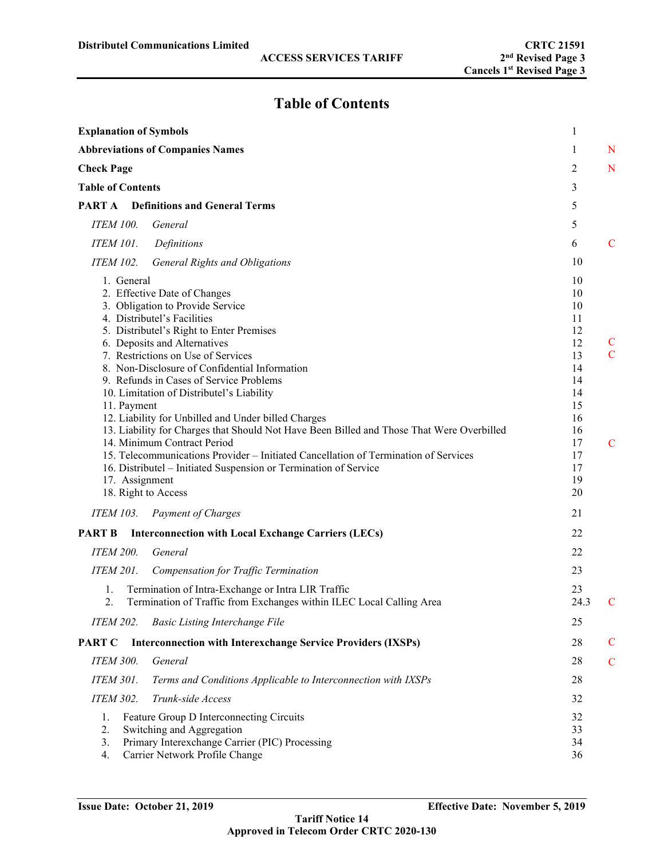# **Table of Contents**

| <b>Explanation of Symbols</b>                                                                                                                                                                                                                                                                                                                                                                                                                                                                                                                                                                                                                                                                                                                                                  | 1                                                                                                        |                                               |
|--------------------------------------------------------------------------------------------------------------------------------------------------------------------------------------------------------------------------------------------------------------------------------------------------------------------------------------------------------------------------------------------------------------------------------------------------------------------------------------------------------------------------------------------------------------------------------------------------------------------------------------------------------------------------------------------------------------------------------------------------------------------------------|----------------------------------------------------------------------------------------------------------|-----------------------------------------------|
| <b>Abbreviations of Companies Names</b>                                                                                                                                                                                                                                                                                                                                                                                                                                                                                                                                                                                                                                                                                                                                        | 1                                                                                                        | N                                             |
| <b>Check Page</b>                                                                                                                                                                                                                                                                                                                                                                                                                                                                                                                                                                                                                                                                                                                                                              | 2                                                                                                        | N                                             |
| <b>Table of Contents</b>                                                                                                                                                                                                                                                                                                                                                                                                                                                                                                                                                                                                                                                                                                                                                       | 3                                                                                                        |                                               |
| PART A<br><b>Definitions and General Terms</b>                                                                                                                                                                                                                                                                                                                                                                                                                                                                                                                                                                                                                                                                                                                                 | 5                                                                                                        |                                               |
| <b>ITEM 100.</b><br>General                                                                                                                                                                                                                                                                                                                                                                                                                                                                                                                                                                                                                                                                                                                                                    | 5                                                                                                        |                                               |
| <b>ITEM 101.</b><br>Definitions                                                                                                                                                                                                                                                                                                                                                                                                                                                                                                                                                                                                                                                                                                                                                | 6                                                                                                        | C                                             |
| <b>ITEM 102.</b><br><b>General Rights and Obligations</b>                                                                                                                                                                                                                                                                                                                                                                                                                                                                                                                                                                                                                                                                                                                      | 10                                                                                                       |                                               |
| 1. General<br>2. Effective Date of Changes<br>3. Obligation to Provide Service<br>4. Distributel's Facilities<br>5. Distributel's Right to Enter Premises<br>6. Deposits and Alternatives<br>7. Restrictions on Use of Services<br>8. Non-Disclosure of Confidential Information<br>9. Refunds in Cases of Service Problems<br>10. Limitation of Distributel's Liability<br>11. Payment<br>12. Liability for Unbilled and Under billed Charges<br>13. Liability for Charges that Should Not Have Been Billed and Those That Were Overbilled<br>14. Minimum Contract Period<br>15. Telecommunications Provider – Initiated Cancellation of Termination of Services<br>16. Distributel – Initiated Suspension or Termination of Service<br>17. Assignment<br>18. Right to Access | 10<br>10<br>10<br>11<br>12<br>12<br>13<br>14<br>14<br>14<br>15<br>16<br>16<br>17<br>17<br>17<br>19<br>20 | $\mathsf C$<br>$\mathcal{C}$<br>$\mathcal{C}$ |
| <b>ITEM 103.</b><br><b>Payment of Charges</b>                                                                                                                                                                                                                                                                                                                                                                                                                                                                                                                                                                                                                                                                                                                                  | 21                                                                                                       |                                               |
| <b>PART B</b><br><b>Interconnection with Local Exchange Carriers (LECs)</b>                                                                                                                                                                                                                                                                                                                                                                                                                                                                                                                                                                                                                                                                                                    | 22                                                                                                       |                                               |
| <b>ITEM 200.</b><br>General                                                                                                                                                                                                                                                                                                                                                                                                                                                                                                                                                                                                                                                                                                                                                    | 22                                                                                                       |                                               |
| <b>ITEM 201.</b><br>Compensation for Traffic Termination                                                                                                                                                                                                                                                                                                                                                                                                                                                                                                                                                                                                                                                                                                                       | 23                                                                                                       |                                               |
| Termination of Intra-Exchange or Intra LIR Traffic<br>1.<br>Termination of Traffic from Exchanges within ILEC Local Calling Area<br>2.                                                                                                                                                                                                                                                                                                                                                                                                                                                                                                                                                                                                                                         | 23<br>24.3                                                                                               | C                                             |
| <b>ITEM 202.</b><br><b>Basic Listing Interchange File</b>                                                                                                                                                                                                                                                                                                                                                                                                                                                                                                                                                                                                                                                                                                                      | 25                                                                                                       |                                               |
| <b>PART C</b><br><b>Interconnection with Interexchange Service Providers (IXSPs)</b>                                                                                                                                                                                                                                                                                                                                                                                                                                                                                                                                                                                                                                                                                           | 28                                                                                                       | $\mathcal{C}$                                 |
| <b>ITEM 300.</b><br>General                                                                                                                                                                                                                                                                                                                                                                                                                                                                                                                                                                                                                                                                                                                                                    | 28                                                                                                       | $\mathcal{C}$                                 |
| <b>ITEM 301.</b><br>Terms and Conditions Applicable to Interconnection with IXSPs                                                                                                                                                                                                                                                                                                                                                                                                                                                                                                                                                                                                                                                                                              | 28                                                                                                       |                                               |
| <b>ITEM 302.</b><br>Trunk-side Access                                                                                                                                                                                                                                                                                                                                                                                                                                                                                                                                                                                                                                                                                                                                          | 32                                                                                                       |                                               |
| 1.<br>Feature Group D Interconnecting Circuits<br>2.<br>Switching and Aggregation<br>Primary Interexchange Carrier (PIC) Processing<br>3.<br>Carrier Network Profile Change<br>4.                                                                                                                                                                                                                                                                                                                                                                                                                                                                                                                                                                                              | 32<br>33<br>34<br>36                                                                                     |                                               |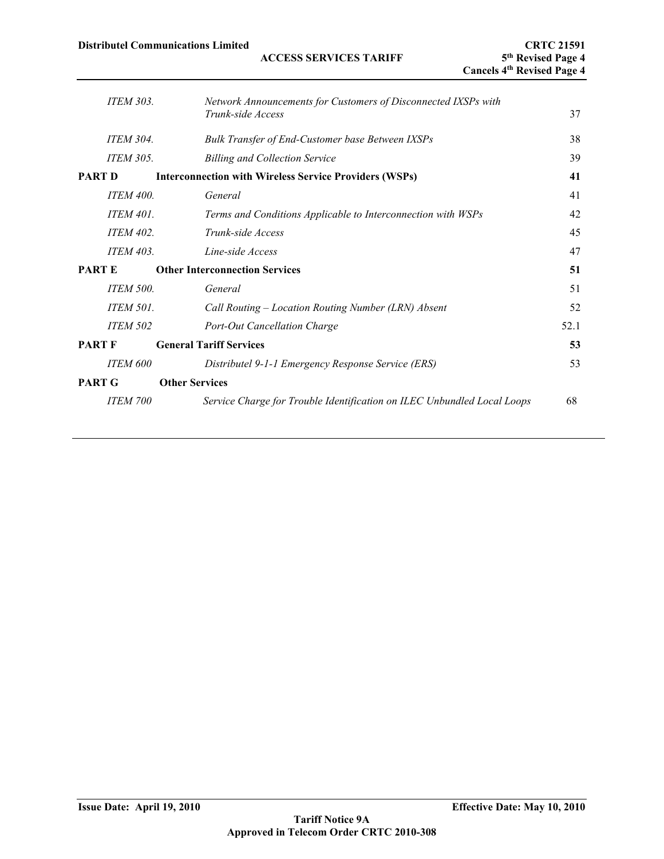|                  | <b>Distributel Communications Limited</b> | <b>ACCESS SERVICES TARIFF</b><br><b>Cancels 4th Revised Page 4</b>      | <b>CRTC 21591</b><br>5 <sup>th</sup> Revised Page 4 |
|------------------|-------------------------------------------|-------------------------------------------------------------------------|-----------------------------------------------------|
| <b>ITEM 303.</b> | Trunk-side Access                         | Network Announcements for Customers of Disconnected IXSPs with          | 37                                                  |
| <b>ITEM 304.</b> |                                           | Bulk Transfer of End-Customer base Between IXSPs                        | 38                                                  |
| <b>ITEM 305.</b> |                                           | <b>Billing and Collection Service</b>                                   | 39                                                  |
| <b>PART D</b>    |                                           | <b>Interconnection with Wireless Service Providers (WSPs)</b>           | 41                                                  |
| <b>ITEM 400.</b> | General                                   |                                                                         | 41                                                  |
| <b>ITEM 401.</b> |                                           | Terms and Conditions Applicable to Interconnection with WSPs            | 42                                                  |
| <b>ITEM 402.</b> | Trunk-side Access                         |                                                                         | 45                                                  |
| <b>ITEM 403.</b> | Line-side Access                          |                                                                         | 47                                                  |
| <b>PARTE</b>     | <b>Other Interconnection Services</b>     |                                                                         | 51                                                  |
| <b>ITEM 500.</b> | General                                   |                                                                         | 51                                                  |
| <b>ITEM 501.</b> |                                           | Call Routing – Location Routing Number (LRN) Absent                     | 52                                                  |
| <b>ITEM 502</b>  |                                           | Port-Out Cancellation Charge                                            | 52.1                                                |
| <b>PART F</b>    | <b>General Tariff Services</b>            |                                                                         | 53                                                  |
| <b>ITEM 600</b>  |                                           | Distributel 9-1-1 Emergency Response Service (ERS)                      | 53                                                  |
| PART G           | <b>Other Services</b>                     |                                                                         |                                                     |
| <b>ITEM 700</b>  |                                           | Service Charge for Trouble Identification on ILEC Unbundled Local Loops | 68                                                  |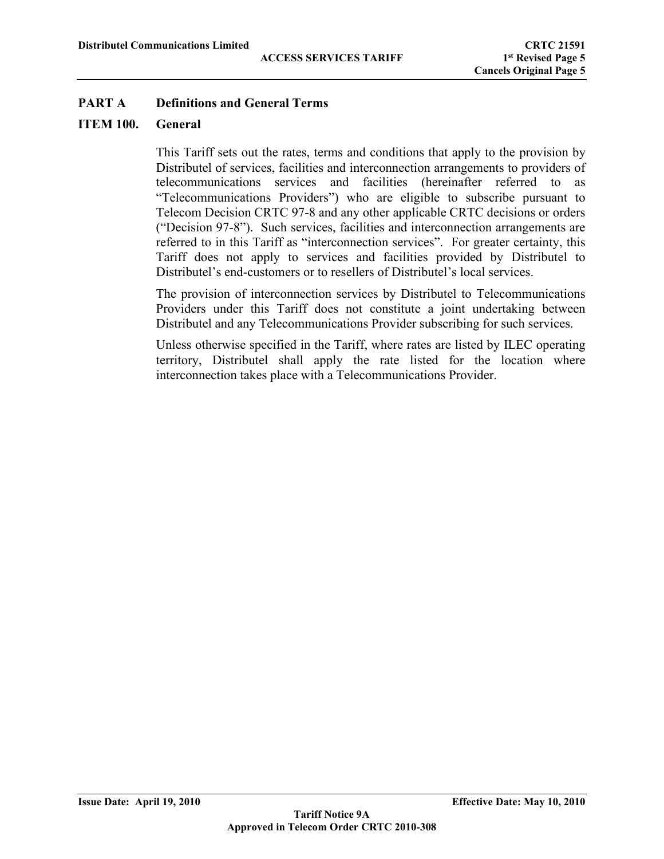## **ITEM 100. General**

This Tariff sets out the rates, terms and conditions that apply to the provision by Distributel of services, facilities and interconnection arrangements to providers of telecommunications services and facilities (hereinafter referred to as "Telecommunications Providers") who are eligible to subscribe pursuant to Telecom Decision CRTC 97-8 and any other applicable CRTC decisions or orders ("Decision 97-8"). Such services, facilities and interconnection arrangements are referred to in this Tariff as "interconnection services". For greater certainty, this Tariff does not apply to services and facilities provided by Distributel to Distributel's end-customers or to resellers of Distributel's local services.

The provision of interconnection services by Distributel to Telecommunications Providers under this Tariff does not constitute a joint undertaking between Distributel and any Telecommunications Provider subscribing for such services.

Unless otherwise specified in the Tariff, where rates are listed by ILEC operating territory, Distributel shall apply the rate listed for the location where interconnection takes place with a Telecommunications Provider.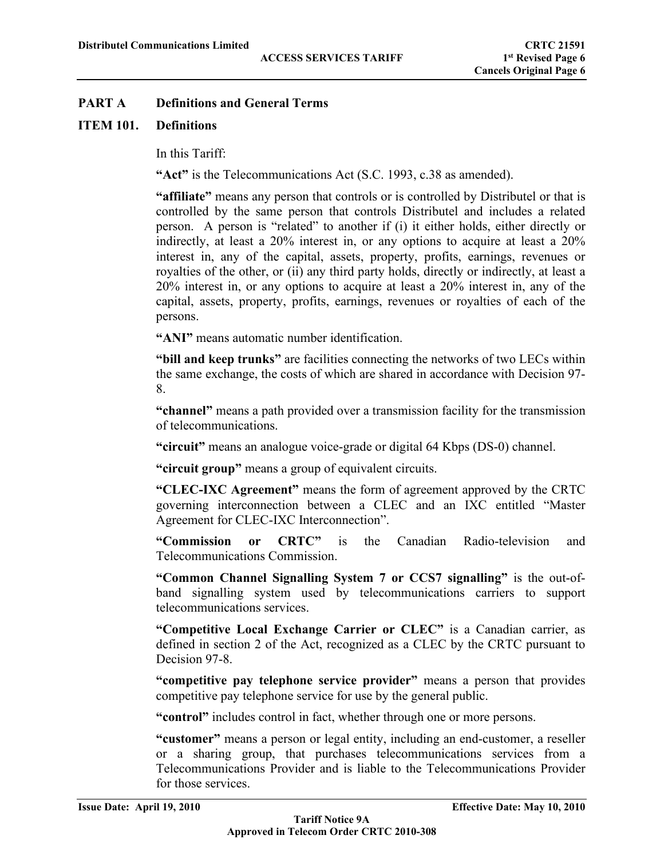## **ITEM 101. Definitions**

In this Tariff:

**"Act"** is the Telecommunications Act (S.C. 1993, c.38 as amended).

**"affiliate"** means any person that controls or is controlled by Distributel or that is controlled by the same person that controls Distributel and includes a related person. A person is "related" to another if (i) it either holds, either directly or indirectly, at least a 20% interest in, or any options to acquire at least a 20% interest in, any of the capital, assets, property, profits, earnings, revenues or royalties of the other, or (ii) any third party holds, directly or indirectly, at least a 20% interest in, or any options to acquire at least a 20% interest in, any of the capital, assets, property, profits, earnings, revenues or royalties of each of the persons.

**"ANI"** means automatic number identification.

**"bill and keep trunks"** are facilities connecting the networks of two LECs within the same exchange, the costs of which are shared in accordance with Decision 97- 8.

**"channel"** means a path provided over a transmission facility for the transmission of telecommunications.

**"circuit"** means an analogue voice-grade or digital 64 Kbps (DS-0) channel.

**"circuit group"** means a group of equivalent circuits.

**"CLEC-IXC Agreement"** means the form of agreement approved by the CRTC governing interconnection between a CLEC and an IXC entitled "Master Agreement for CLEC-IXC Interconnection".

**"Commission or CRTC"** is the Canadian Radio-television and Telecommunications Commission.

**"Common Channel Signalling System 7 or CCS7 signalling"** is the out-ofband signalling system used by telecommunications carriers to support telecommunications services.

**"Competitive Local Exchange Carrier or CLEC"** is a Canadian carrier, as defined in section 2 of the Act, recognized as a CLEC by the CRTC pursuant to Decision 97-8.

**"competitive pay telephone service provider"** means a person that provides competitive pay telephone service for use by the general public.

**"control"** includes control in fact, whether through one or more persons.

**"customer"** means a person or legal entity, including an end-customer, a reseller or a sharing group, that purchases telecommunications services from a Telecommunications Provider and is liable to the Telecommunications Provider for those services.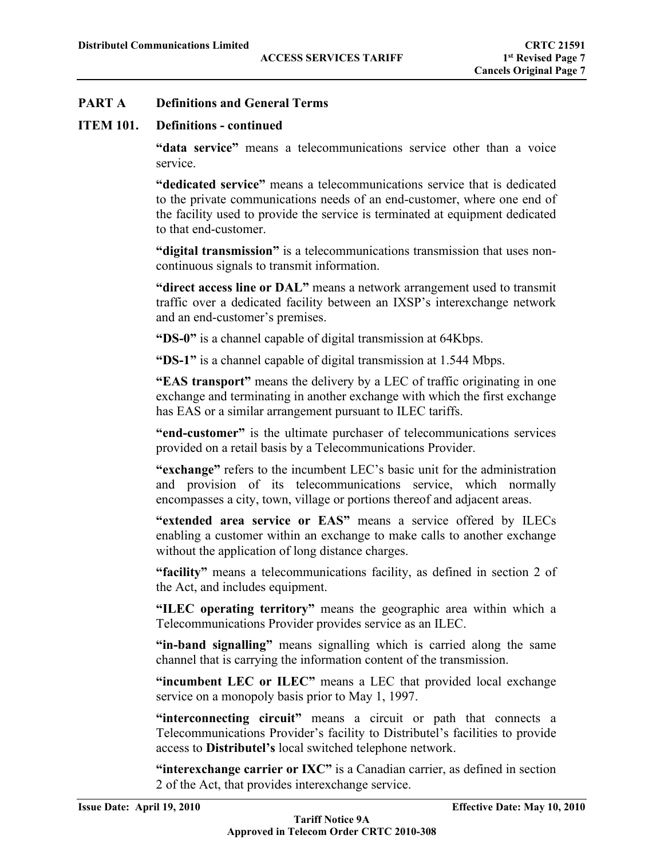## **ITEM 101. Definitions - continued**

**"data service"** means a telecommunications service other than a voice service.

**"dedicated service"** means a telecommunications service that is dedicated to the private communications needs of an end-customer, where one end of the facility used to provide the service is terminated at equipment dedicated to that end-customer.

**"digital transmission"** is a telecommunications transmission that uses noncontinuous signals to transmit information.

**"direct access line or DAL"** means a network arrangement used to transmit traffic over a dedicated facility between an IXSP's interexchange network and an end-customer's premises.

**"DS-0"** is a channel capable of digital transmission at 64Kbps.

**"DS-1"** is a channel capable of digital transmission at 1.544 Mbps.

**"EAS transport"** means the delivery by a LEC of traffic originating in one exchange and terminating in another exchange with which the first exchange has EAS or a similar arrangement pursuant to ILEC tariffs.

**"end-customer"** is the ultimate purchaser of telecommunications services provided on a retail basis by a Telecommunications Provider.

**"exchange"** refers to the incumbent LEC's basic unit for the administration and provision of its telecommunications service, which normally encompasses a city, town, village or portions thereof and adjacent areas.

**"extended area service or EAS"** means a service offered by ILECs enabling a customer within an exchange to make calls to another exchange without the application of long distance charges.

**"facility"** means a telecommunications facility, as defined in section 2 of the Act, and includes equipment.

**"ILEC operating territory"** means the geographic area within which a Telecommunications Provider provides service as an ILEC.

**"in-band signalling"** means signalling which is carried along the same channel that is carrying the information content of the transmission.

**"incumbent LEC or ILEC"** means a LEC that provided local exchange service on a monopoly basis prior to May 1, 1997.

**"interconnecting circuit"** means a circuit or path that connects a Telecommunications Provider's facility to Distributel's facilities to provide access to **Distributel's** local switched telephone network.

**"interexchange carrier or IXC"** is a Canadian carrier, as defined in section 2 of the Act, that provides interexchange service.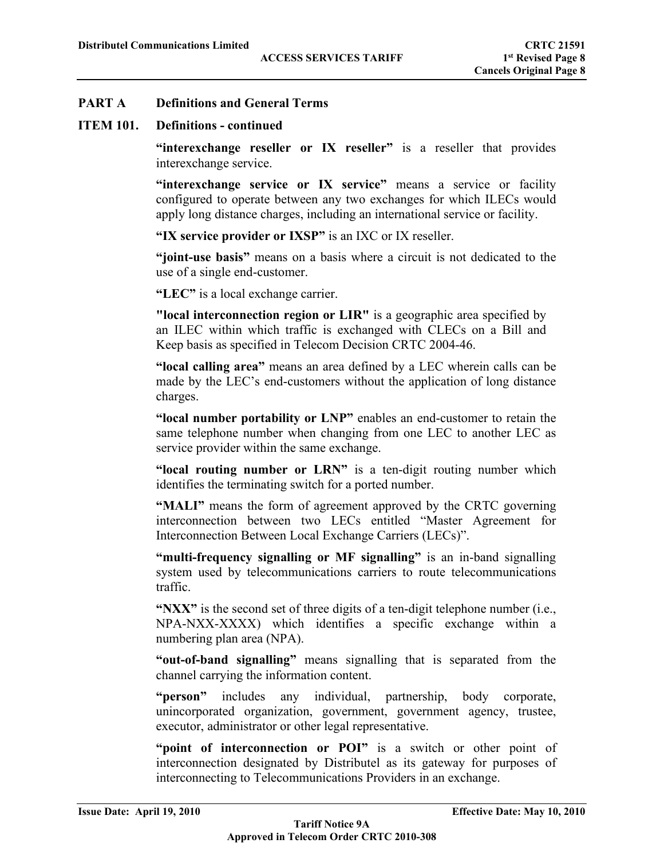#### **ITEM 101. Definitions - continued**

**"interexchange reseller or IX reseller"** is a reseller that provides interexchange service.

**"interexchange service or IX service"** means a service or facility configured to operate between any two exchanges for which ILECs would apply long distance charges, including an international service or facility.

**"IX service provider or IXSP"** is an IXC or IX reseller.

**"joint-use basis"** means on a basis where a circuit is not dedicated to the use of a single end-customer.

**"LEC"** is a local exchange carrier.

**"local interconnection region or LIR"** is a geographic area specified by an ILEC within which traffic is exchanged with CLECs on a Bill and Keep basis as specified in Telecom Decision CRTC 2004-46.

**"local calling area"** means an area defined by a LEC wherein calls can be made by the LEC's end-customers without the application of long distance charges.

**"local number portability or LNP"** enables an end-customer to retain the same telephone number when changing from one LEC to another LEC as service provider within the same exchange.

**"local routing number or LRN"** is a ten-digit routing number which identifies the terminating switch for a ported number.

**"MALI"** means the form of agreement approved by the CRTC governing interconnection between two LECs entitled "Master Agreement for Interconnection Between Local Exchange Carriers (LECs)".

**"multi-frequency signalling or MF signalling"** is an in-band signalling system used by telecommunications carriers to route telecommunications traffic.

**"NXX"** is the second set of three digits of a ten-digit telephone number (i.e., NPA-NXX-XXXX) which identifies a specific exchange within a numbering plan area (NPA).

**"out-of-band signalling"** means signalling that is separated from the channel carrying the information content.

**"person"** includes any individual, partnership, body corporate, unincorporated organization, government, government agency, trustee, executor, administrator or other legal representative.

"point of interconnection or POI" is a switch or other point of interconnection designated by Distributel as its gateway for purposes of interconnecting to Telecommunications Providers in an exchange.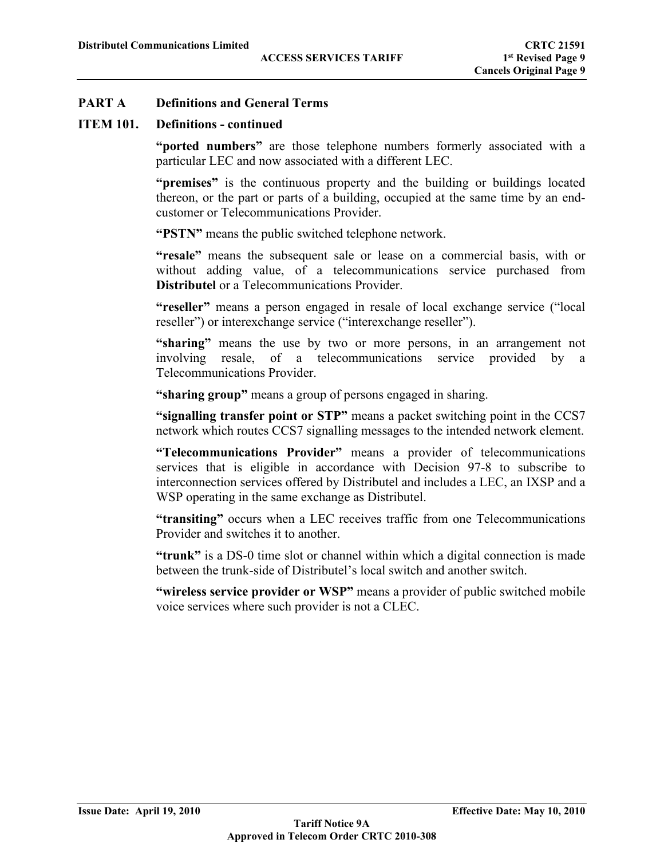#### **ITEM 101. Definitions - continued**

**"ported numbers"** are those telephone numbers formerly associated with a particular LEC and now associated with a different LEC.

**"premises"** is the continuous property and the building or buildings located thereon, or the part or parts of a building, occupied at the same time by an endcustomer or Telecommunications Provider.

**"PSTN"** means the public switched telephone network.

**"resale"** means the subsequent sale or lease on a commercial basis, with or without adding value, of a telecommunications service purchased from **Distributel** or a Telecommunications Provider.

**"reseller"** means a person engaged in resale of local exchange service ("local reseller") or interexchange service ("interexchange reseller").

**"sharing"** means the use by two or more persons, in an arrangement not involving resale, of a telecommunications service provided by a Telecommunications Provider.

**"sharing group"** means a group of persons engaged in sharing.

**"signalling transfer point or STP"** means a packet switching point in the CCS7 network which routes CCS7 signalling messages to the intended network element.

**"Telecommunications Provider"** means a provider of telecommunications services that is eligible in accordance with Decision 97-8 to subscribe to interconnection services offered by Distributel and includes a LEC, an IXSP and a WSP operating in the same exchange as Distributel.

**"transiting"** occurs when a LEC receives traffic from one Telecommunications Provider and switches it to another.

**"trunk"** is a DS-0 time slot or channel within which a digital connection is made between the trunk-side of Distributel's local switch and another switch.

**"wireless service provider or WSP"** means a provider of public switched mobile voice services where such provider is not a CLEC.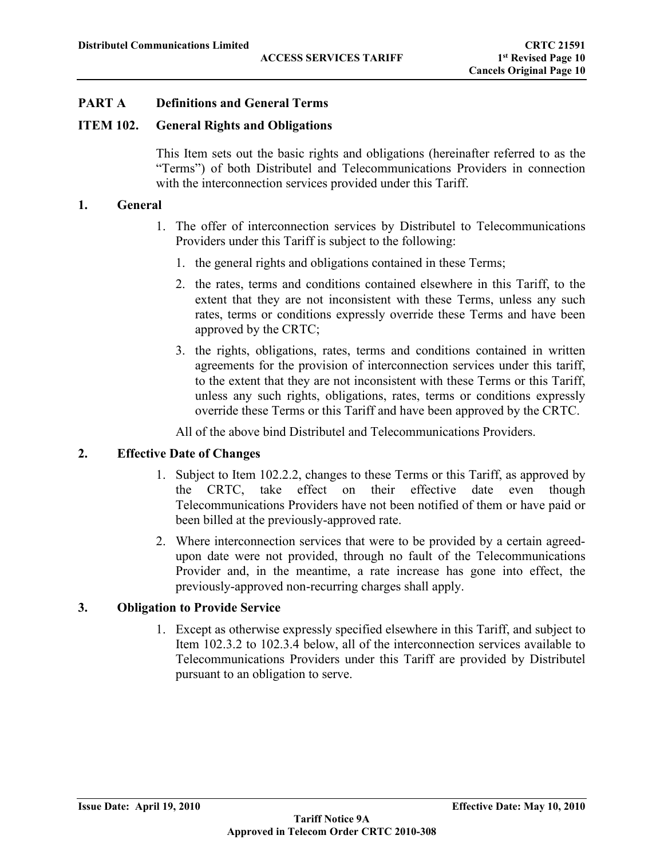#### **ITEM 102. General Rights and Obligations**

This Item sets out the basic rights and obligations (hereinafter referred to as the "Terms") of both Distributel and Telecommunications Providers in connection with the interconnection services provided under this Tariff.

#### **1. General**

- 1. The offer of interconnection services by Distributel to Telecommunications Providers under this Tariff is subject to the following:
	- 1. the general rights and obligations contained in these Terms;
	- 2. the rates, terms and conditions contained elsewhere in this Tariff, to the extent that they are not inconsistent with these Terms, unless any such rates, terms or conditions expressly override these Terms and have been approved by the CRTC;
	- 3. the rights, obligations, rates, terms and conditions contained in written agreements for the provision of interconnection services under this tariff, to the extent that they are not inconsistent with these Terms or this Tariff, unless any such rights, obligations, rates, terms or conditions expressly override these Terms or this Tariff and have been approved by the CRTC.

All of the above bind Distributel and Telecommunications Providers.

#### **2. Effective Date of Changes**

- 1. Subject to Item 102.2.2, changes to these Terms or this Tariff, as approved by the CRTC, take effect on their effective date even though Telecommunications Providers have not been notified of them or have paid or been billed at the previously-approved rate.
- 2. Where interconnection services that were to be provided by a certain agreedupon date were not provided, through no fault of the Telecommunications Provider and, in the meantime, a rate increase has gone into effect, the previously-approved non-recurring charges shall apply.

## **3. Obligation to Provide Service**

1. Except as otherwise expressly specified elsewhere in this Tariff, and subject to Item 102.3.2 to 102.3.4 below, all of the interconnection services available to Telecommunications Providers under this Tariff are provided by Distributel pursuant to an obligation to serve.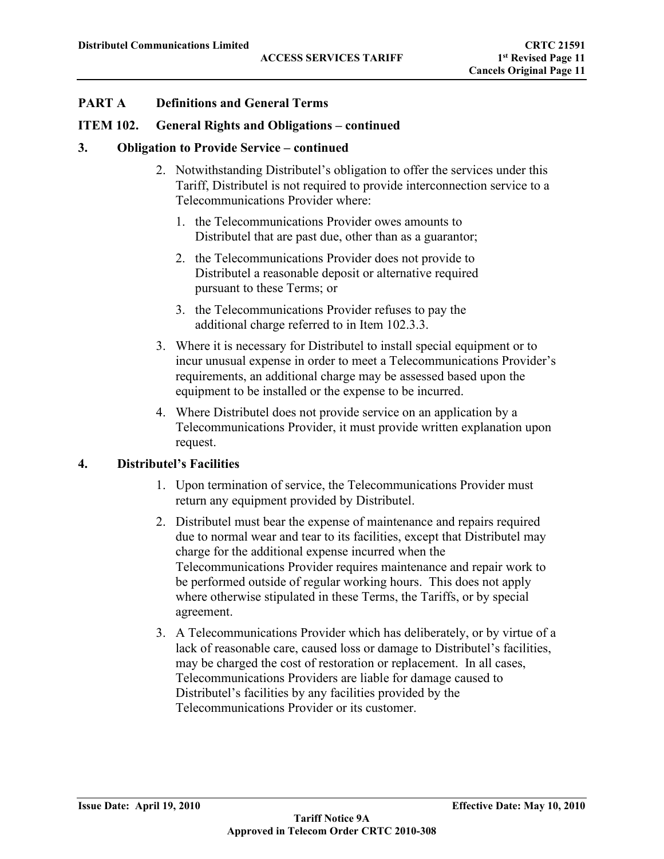#### **ITEM 102. General Rights and Obligations – continued**

#### **3. Obligation to Provide Service – continued**

- 2. Notwithstanding Distributel's obligation to offer the services under this Tariff, Distributel is not required to provide interconnection service to a Telecommunications Provider where:
	- 1. the Telecommunications Provider owes amounts to Distributel that are past due, other than as a guarantor;
	- 2. the Telecommunications Provider does not provide to Distributel a reasonable deposit or alternative required pursuant to these Terms; or
	- 3. the Telecommunications Provider refuses to pay the additional charge referred to in Item 102.3.3.
- 3. Where it is necessary for Distributel to install special equipment or to incur unusual expense in order to meet a Telecommunications Provider's requirements, an additional charge may be assessed based upon the equipment to be installed or the expense to be incurred.
- 4. Where Distributel does not provide service on an application by a Telecommunications Provider, it must provide written explanation upon request.

#### **4. Distributel's Facilities**

- 1. Upon termination of service, the Telecommunications Provider must return any equipment provided by Distributel.
- 2. Distributel must bear the expense of maintenance and repairs required due to normal wear and tear to its facilities, except that Distributel may charge for the additional expense incurred when the Telecommunications Provider requires maintenance and repair work to be performed outside of regular working hours. This does not apply where otherwise stipulated in these Terms, the Tariffs, or by special agreement.
- 3. A Telecommunications Provider which has deliberately, or by virtue of a lack of reasonable care, caused loss or damage to Distributel's facilities, may be charged the cost of restoration or replacement. In all cases, Telecommunications Providers are liable for damage caused to Distributel's facilities by any facilities provided by the Telecommunications Provider or its customer.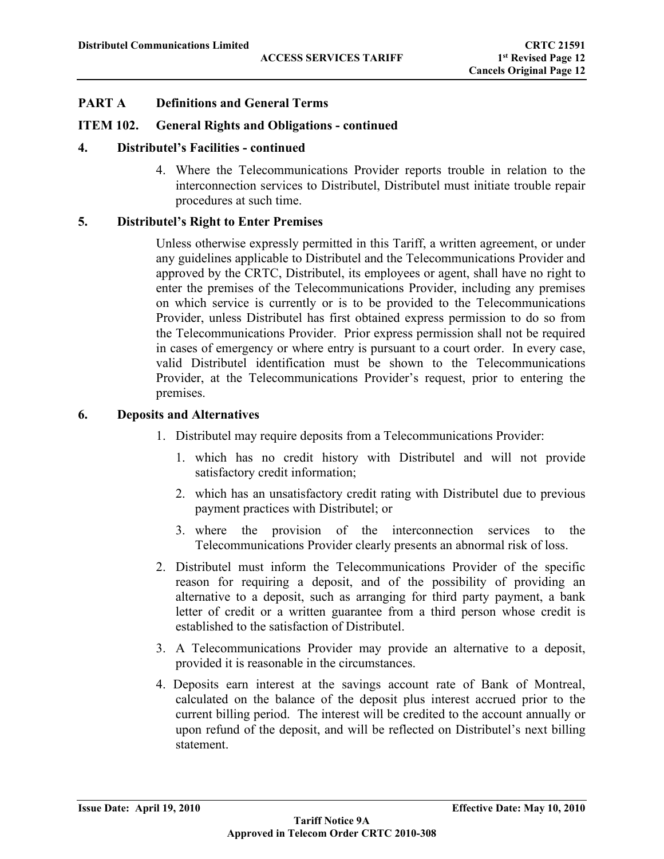## **ITEM 102. General Rights and Obligations - continued**

#### **4. Distributel's Facilities - continued**

4. Where the Telecommunications Provider reports trouble in relation to the interconnection services to Distributel, Distributel must initiate trouble repair procedures at such time.

## **5. Distributel's Right to Enter Premises**

Unless otherwise expressly permitted in this Tariff, a written agreement, or under any guidelines applicable to Distributel and the Telecommunications Provider and approved by the CRTC, Distributel, its employees or agent, shall have no right to enter the premises of the Telecommunications Provider, including any premises on which service is currently or is to be provided to the Telecommunications Provider, unless Distributel has first obtained express permission to do so from the Telecommunications Provider. Prior express permission shall not be required in cases of emergency or where entry is pursuant to a court order. In every case, valid Distributel identification must be shown to the Telecommunications Provider, at the Telecommunications Provider's request, prior to entering the premises.

#### **6. Deposits and Alternatives**

- 1. Distributel may require deposits from a Telecommunications Provider:
	- 1. which has no credit history with Distributel and will not provide satisfactory credit information;
	- 2. which has an unsatisfactory credit rating with Distributel due to previous payment practices with Distributel; or
	- 3. where the provision of the interconnection services to the Telecommunications Provider clearly presents an abnormal risk of loss.
- 2. Distributel must inform the Telecommunications Provider of the specific reason for requiring a deposit, and of the possibility of providing an alternative to a deposit, such as arranging for third party payment, a bank letter of credit or a written guarantee from a third person whose credit is established to the satisfaction of Distributel.
- 3. A Telecommunications Provider may provide an alternative to a deposit, provided it is reasonable in the circumstances.
- 4. Deposits earn interest at the savings account rate of Bank of Montreal, calculated on the balance of the deposit plus interest accrued prior to the current billing period. The interest will be credited to the account annually or upon refund of the deposit, and will be reflected on Distributel's next billing statement.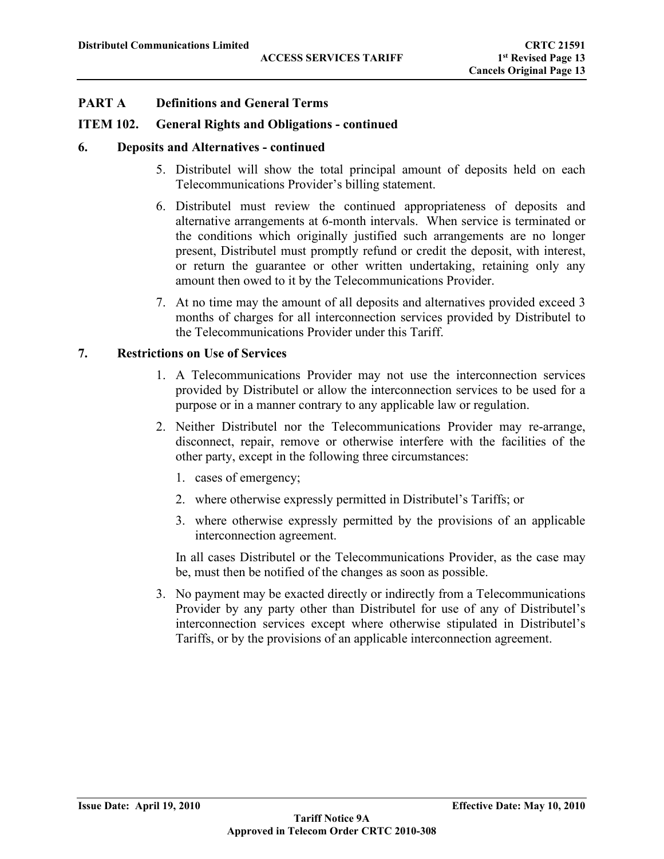#### **ITEM 102. General Rights and Obligations - continued**

#### **6. Deposits and Alternatives - continued**

- 5. Distributel will show the total principal amount of deposits held on each Telecommunications Provider's billing statement.
- 6. Distributel must review the continued appropriateness of deposits and alternative arrangements at 6-month intervals. When service is terminated or the conditions which originally justified such arrangements are no longer present, Distributel must promptly refund or credit the deposit, with interest, or return the guarantee or other written undertaking, retaining only any amount then owed to it by the Telecommunications Provider.
- 7. At no time may the amount of all deposits and alternatives provided exceed 3 months of charges for all interconnection services provided by Distributel to the Telecommunications Provider under this Tariff.

#### **7. Restrictions on Use of Services**

- 1. A Telecommunications Provider may not use the interconnection services provided by Distributel or allow the interconnection services to be used for a purpose or in a manner contrary to any applicable law or regulation.
- 2. Neither Distributel nor the Telecommunications Provider may re-arrange, disconnect, repair, remove or otherwise interfere with the facilities of the other party, except in the following three circumstances:
	- 1. cases of emergency;
	- 2. where otherwise expressly permitted in Distributel's Tariffs; or
	- 3. where otherwise expressly permitted by the provisions of an applicable interconnection agreement.

In all cases Distributel or the Telecommunications Provider, as the case may be, must then be notified of the changes as soon as possible.

3. No payment may be exacted directly or indirectly from a Telecommunications Provider by any party other than Distributel for use of any of Distributel's interconnection services except where otherwise stipulated in Distributel's Tariffs, or by the provisions of an applicable interconnection agreement.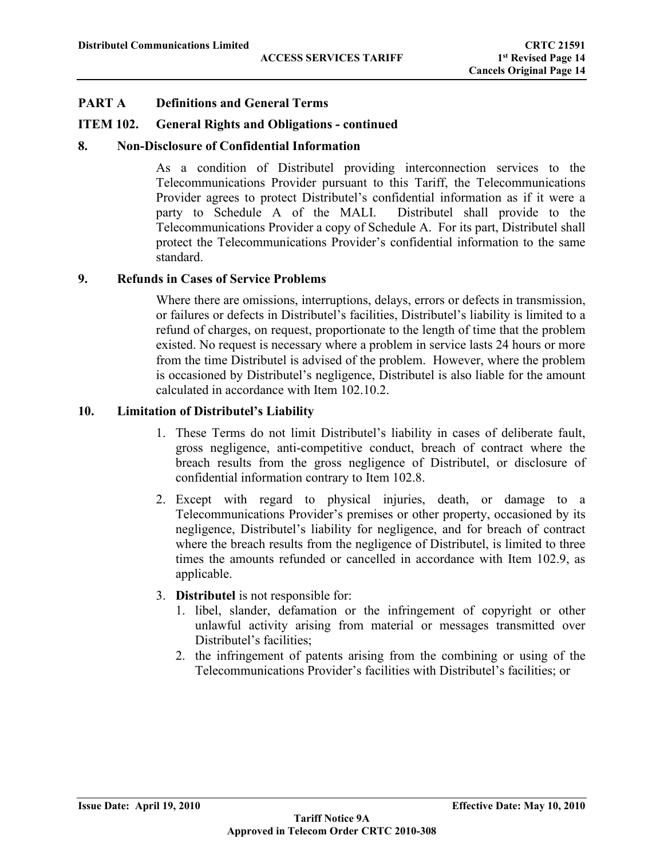## **ITEM 102. General Rights and Obligations - continued**

## **8. Non-Disclosure of Confidential Information**

As a condition of Distributel providing interconnection services to the Telecommunications Provider pursuant to this Tariff, the Telecommunications Provider agrees to protect Distributel's confidential information as if it were a party to Schedule A of the MALI. Distributel shall provide to the Telecommunications Provider a copy of Schedule A. For its part, Distributel shall protect the Telecommunications Provider's confidential information to the same standard.

#### **9. Refunds in Cases of Service Problems**

Where there are omissions, interruptions, delays, errors or defects in transmission, or failures or defects in Distributel's facilities, Distributel's liability is limited to a refund of charges, on request, proportionate to the length of time that the problem existed. No request is necessary where a problem in service lasts 24 hours or more from the time Distributel is advised of the problem. However, where the problem is occasioned by Distributel's negligence, Distributel is also liable for the amount calculated in accordance with Item 102.10.2.

#### **10. Limitation of Distributel's Liability**

- 1. These Terms do not limit Distributel's liability in cases of deliberate fault, gross negligence, anti-competitive conduct, breach of contract where the breach results from the gross negligence of Distributel, or disclosure of confidential information contrary to Item 102.8.
- 2. Except with regard to physical injuries, death, or damage to a Telecommunications Provider's premises or other property, occasioned by its negligence, Distributel's liability for negligence, and for breach of contract where the breach results from the negligence of Distributel, is limited to three times the amounts refunded or cancelled in accordance with Item 102.9, as applicable.
- 3. **Distributel** is not responsible for:
	- 1. libel, slander, defamation or the infringement of copyright or other unlawful activity arising from material or messages transmitted over Distributel's facilities;
	- 2. the infringement of patents arising from the combining or using of the Telecommunications Provider's facilities with Distributel's facilities; or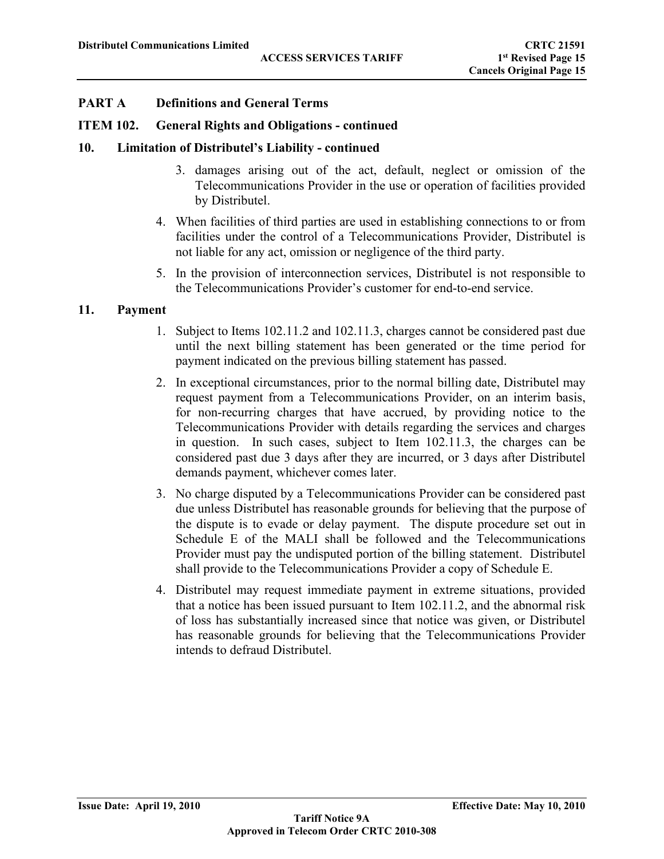#### **ITEM 102. General Rights and Obligations - continued**

#### **10. Limitation of Distributel's Liability - continued**

- 3. damages arising out of the act, default, neglect or omission of the Telecommunications Provider in the use or operation of facilities provided by Distributel.
- 4. When facilities of third parties are used in establishing connections to or from facilities under the control of a Telecommunications Provider, Distributel is not liable for any act, omission or negligence of the third party.
- 5. In the provision of interconnection services, Distributel is not responsible to the Telecommunications Provider's customer for end-to-end service.

## **11. Payment**

- 1. Subject to Items 102.11.2 and 102.11.3, charges cannot be considered past due until the next billing statement has been generated or the time period for payment indicated on the previous billing statement has passed.
- 2. In exceptional circumstances, prior to the normal billing date, Distributel may request payment from a Telecommunications Provider, on an interim basis, for non-recurring charges that have accrued, by providing notice to the Telecommunications Provider with details regarding the services and charges in question. In such cases, subject to Item 102.11.3, the charges can be considered past due 3 days after they are incurred, or 3 days after Distributel demands payment, whichever comes later.
- 3. No charge disputed by a Telecommunications Provider can be considered past due unless Distributel has reasonable grounds for believing that the purpose of the dispute is to evade or delay payment. The dispute procedure set out in Schedule E of the MALI shall be followed and the Telecommunications Provider must pay the undisputed portion of the billing statement. Distributel shall provide to the Telecommunications Provider a copy of Schedule E.
- 4. Distributel may request immediate payment in extreme situations, provided that a notice has been issued pursuant to Item 102.11.2, and the abnormal risk of loss has substantially increased since that notice was given, or Distributel has reasonable grounds for believing that the Telecommunications Provider intends to defraud Distributel.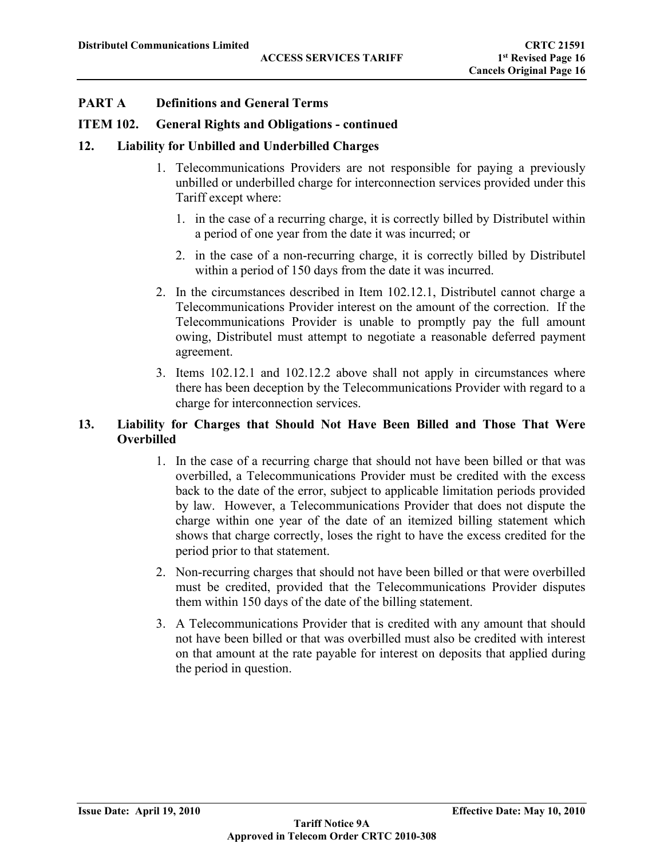#### **ITEM 102. General Rights and Obligations - continued**

## **12. Liability for Unbilled and Underbilled Charges**

- 1. Telecommunications Providers are not responsible for paying a previously unbilled or underbilled charge for interconnection services provided under this Tariff except where:
	- 1. in the case of a recurring charge, it is correctly billed by Distributel within a period of one year from the date it was incurred; or
	- 2. in the case of a non-recurring charge, it is correctly billed by Distributel within a period of 150 days from the date it was incurred.
- 2. In the circumstances described in Item 102.12.1, Distributel cannot charge a Telecommunications Provider interest on the amount of the correction. If the Telecommunications Provider is unable to promptly pay the full amount owing, Distributel must attempt to negotiate a reasonable deferred payment agreement.
- 3. Items 102.12.1 and 102.12.2 above shall not apply in circumstances where there has been deception by the Telecommunications Provider with regard to a charge for interconnection services.

## **13. Liability for Charges that Should Not Have Been Billed and Those That Were Overbilled**

- 1. In the case of a recurring charge that should not have been billed or that was overbilled, a Telecommunications Provider must be credited with the excess back to the date of the error, subject to applicable limitation periods provided by law. However, a Telecommunications Provider that does not dispute the charge within one year of the date of an itemized billing statement which shows that charge correctly, loses the right to have the excess credited for the period prior to that statement.
- 2. Non-recurring charges that should not have been billed or that were overbilled must be credited, provided that the Telecommunications Provider disputes them within 150 days of the date of the billing statement.
- 3. A Telecommunications Provider that is credited with any amount that should not have been billed or that was overbilled must also be credited with interest on that amount at the rate payable for interest on deposits that applied during the period in question.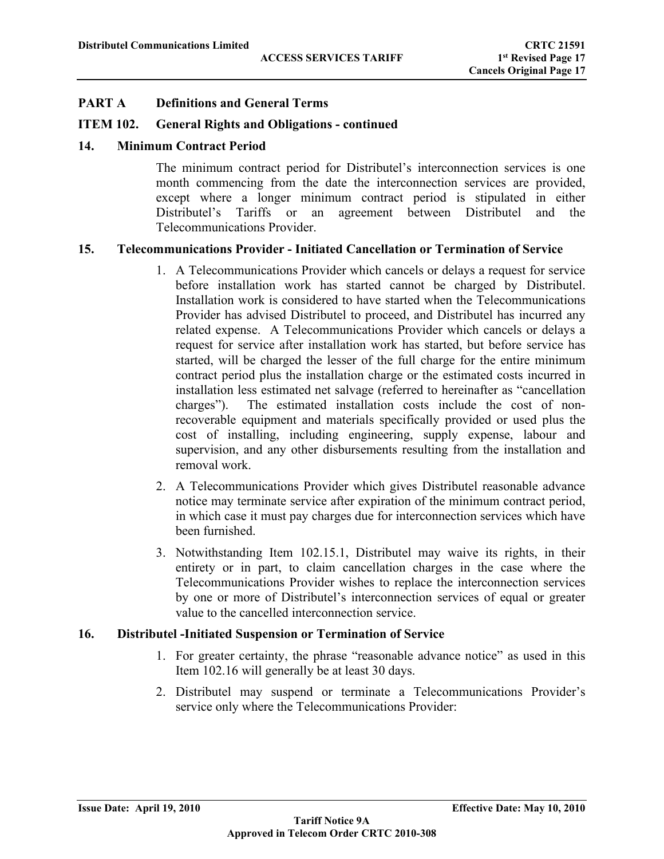## **ITEM 102. General Rights and Obligations - continued**

## **14. Minimum Contract Period**

The minimum contract period for Distributel's interconnection services is one month commencing from the date the interconnection services are provided, except where a longer minimum contract period is stipulated in either Distributel's Tariffs or an agreement between Distributel and the Telecommunications Provider.

## **15. Telecommunications Provider - Initiated Cancellation or Termination of Service**

- 1. A Telecommunications Provider which cancels or delays a request for service before installation work has started cannot be charged by Distributel. Installation work is considered to have started when the Telecommunications Provider has advised Distributel to proceed, and Distributel has incurred any related expense. A Telecommunications Provider which cancels or delays a request for service after installation work has started, but before service has started, will be charged the lesser of the full charge for the entire minimum contract period plus the installation charge or the estimated costs incurred in installation less estimated net salvage (referred to hereinafter as "cancellation charges"). The estimated installation costs include the cost of nonrecoverable equipment and materials specifically provided or used plus the cost of installing, including engineering, supply expense, labour and supervision, and any other disbursements resulting from the installation and removal work.
- 2. A Telecommunications Provider which gives Distributel reasonable advance notice may terminate service after expiration of the minimum contract period, in which case it must pay charges due for interconnection services which have been furnished.
- 3. Notwithstanding Item 102.15.1, Distributel may waive its rights, in their entirety or in part, to claim cancellation charges in the case where the Telecommunications Provider wishes to replace the interconnection services by one or more of Distributel's interconnection services of equal or greater value to the cancelled interconnection service.

## **16. Distributel -Initiated Suspension or Termination of Service**

- 1. For greater certainty, the phrase "reasonable advance notice" as used in this Item 102.16 will generally be at least 30 days.
- 2. Distributel may suspend or terminate a Telecommunications Provider's service only where the Telecommunications Provider: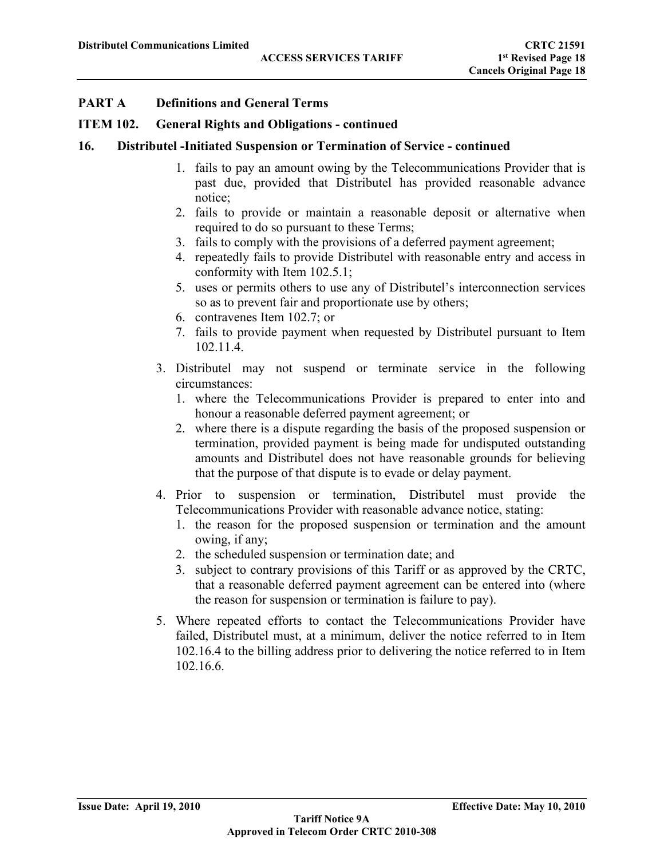#### **ITEM 102. General Rights and Obligations - continued**

#### **16. Distributel -Initiated Suspension or Termination of Service - continued**

- 1. fails to pay an amount owing by the Telecommunications Provider that is past due, provided that Distributel has provided reasonable advance notice;
- 2. fails to provide or maintain a reasonable deposit or alternative when required to do so pursuant to these Terms;
- 3. fails to comply with the provisions of a deferred payment agreement;
- 4. repeatedly fails to provide Distributel with reasonable entry and access in conformity with Item 102.5.1;
- 5. uses or permits others to use any of Distributel's interconnection services so as to prevent fair and proportionate use by others;
- 6. contravenes Item 102.7; or
- 7. fails to provide payment when requested by Distributel pursuant to Item 102.11.4.
- 3. Distributel may not suspend or terminate service in the following circumstances:
	- 1. where the Telecommunications Provider is prepared to enter into and honour a reasonable deferred payment agreement; or
	- 2. where there is a dispute regarding the basis of the proposed suspension or termination, provided payment is being made for undisputed outstanding amounts and Distributel does not have reasonable grounds for believing that the purpose of that dispute is to evade or delay payment.
- 4. Prior to suspension or termination, Distributel must provide the Telecommunications Provider with reasonable advance notice, stating:
	- 1. the reason for the proposed suspension or termination and the amount owing, if any;
	- 2. the scheduled suspension or termination date; and
	- 3. subject to contrary provisions of this Tariff or as approved by the CRTC, that a reasonable deferred payment agreement can be entered into (where the reason for suspension or termination is failure to pay).
- 5. Where repeated efforts to contact the Telecommunications Provider have failed, Distributel must, at a minimum, deliver the notice referred to in Item 102.16.4 to the billing address prior to delivering the notice referred to in Item 102.16.6.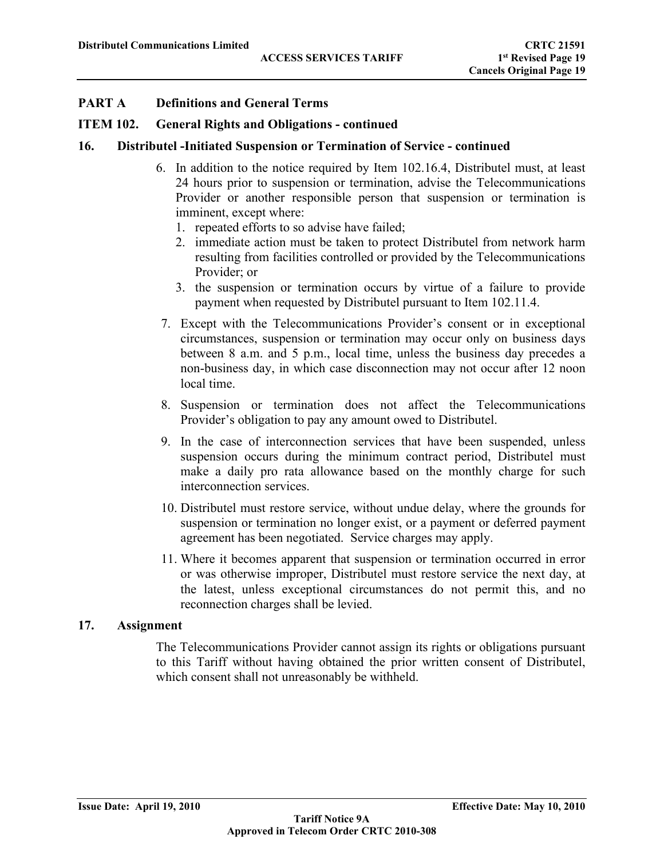#### **ITEM 102. General Rights and Obligations - continued**

#### **16. Distributel -Initiated Suspension or Termination of Service - continued**

- 6. In addition to the notice required by Item 102.16.4, Distributel must, at least 24 hours prior to suspension or termination, advise the Telecommunications Provider or another responsible person that suspension or termination is imminent, except where:
	- 1. repeated efforts to so advise have failed;
	- 2. immediate action must be taken to protect Distributel from network harm resulting from facilities controlled or provided by the Telecommunications Provider; or
	- 3. the suspension or termination occurs by virtue of a failure to provide payment when requested by Distributel pursuant to Item 102.11.4.
- 7. Except with the Telecommunications Provider's consent or in exceptional circumstances, suspension or termination may occur only on business days between 8 a.m. and 5 p.m., local time, unless the business day precedes a non-business day, in which case disconnection may not occur after 12 noon local time.
- 8. Suspension or termination does not affect the Telecommunications Provider's obligation to pay any amount owed to Distributel.
- 9. In the case of interconnection services that have been suspended, unless suspension occurs during the minimum contract period, Distributel must make a daily pro rata allowance based on the monthly charge for such interconnection services.
- 10. Distributel must restore service, without undue delay, where the grounds for suspension or termination no longer exist, or a payment or deferred payment agreement has been negotiated. Service charges may apply.
- 11. Where it becomes apparent that suspension or termination occurred in error or was otherwise improper, Distributel must restore service the next day, at the latest, unless exceptional circumstances do not permit this, and no reconnection charges shall be levied.

## **17. Assignment**

The Telecommunications Provider cannot assign its rights or obligations pursuant to this Tariff without having obtained the prior written consent of Distributel, which consent shall not unreasonably be withheld.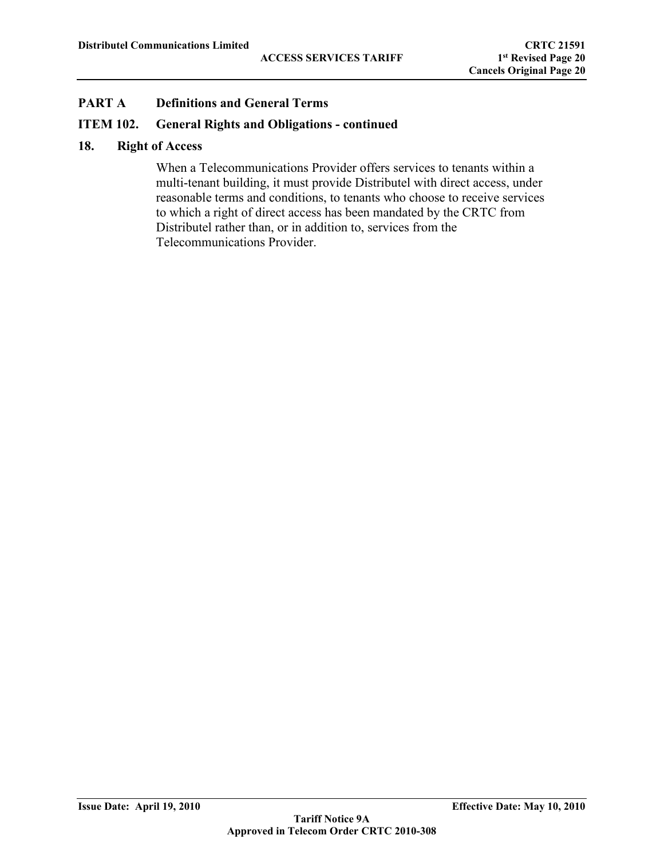#### **ITEM 102. General Rights and Obligations - continued**

#### **18. Right of Access**

When a Telecommunications Provider offers services to tenants within a multi-tenant building, it must provide Distributel with direct access, under reasonable terms and conditions, to tenants who choose to receive services to which a right of direct access has been mandated by the CRTC from Distributel rather than, or in addition to, services from the Telecommunications Provider.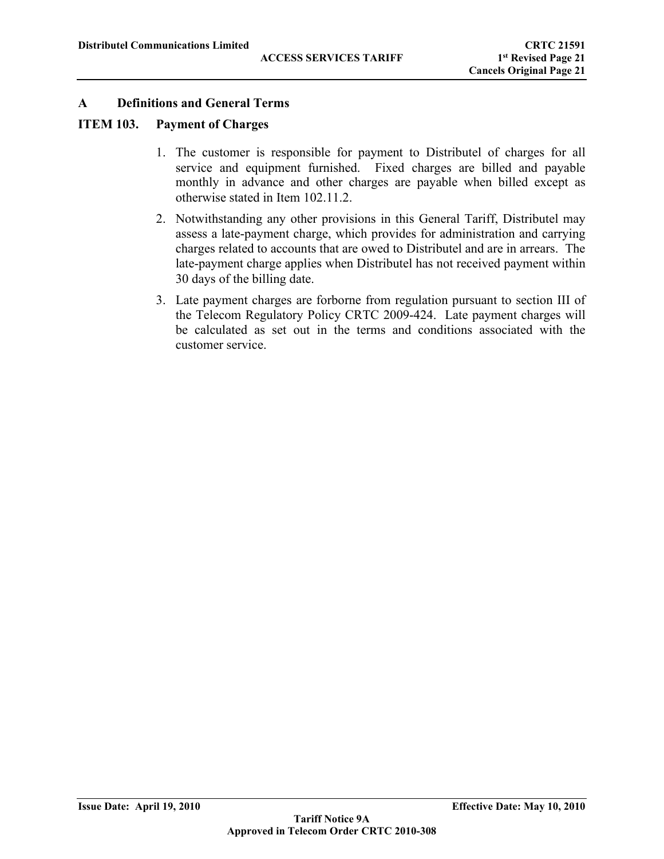#### **ITEM 103. Payment of Charges**

- 1. The customer is responsible for payment to Distributel of charges for all service and equipment furnished. Fixed charges are billed and payable monthly in advance and other charges are payable when billed except as otherwise stated in Item 102.11.2.
- 2. Notwithstanding any other provisions in this General Tariff, Distributel may assess a late-payment charge, which provides for administration and carrying charges related to accounts that are owed to Distributel and are in arrears. The late-payment charge applies when Distributel has not received payment within 30 days of the billing date.
- 3. Late payment charges are forborne from regulation pursuant to section III of the Telecom Regulatory Policy CRTC 2009-424. Late payment charges will be calculated as set out in the terms and conditions associated with the customer service.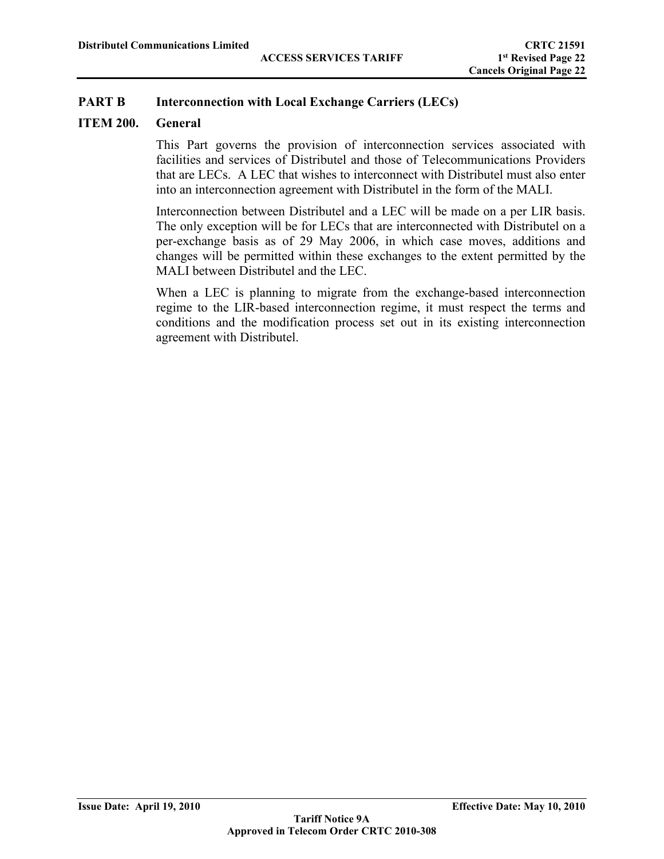## **ITEM 200. General**

This Part governs the provision of interconnection services associated with facilities and services of Distributel and those of Telecommunications Providers that are LECs. A LEC that wishes to interconnect with Distributel must also enter into an interconnection agreement with Distributel in the form of the MALI.

Interconnection between Distributel and a LEC will be made on a per LIR basis. The only exception will be for LECs that are interconnected with Distributel on a per-exchange basis as of 29 May 2006, in which case moves, additions and changes will be permitted within these exchanges to the extent permitted by the MALI between Distributel and the LEC.

When a LEC is planning to migrate from the exchange-based interconnection regime to the LIR-based interconnection regime, it must respect the terms and conditions and the modification process set out in its existing interconnection agreement with Distributel.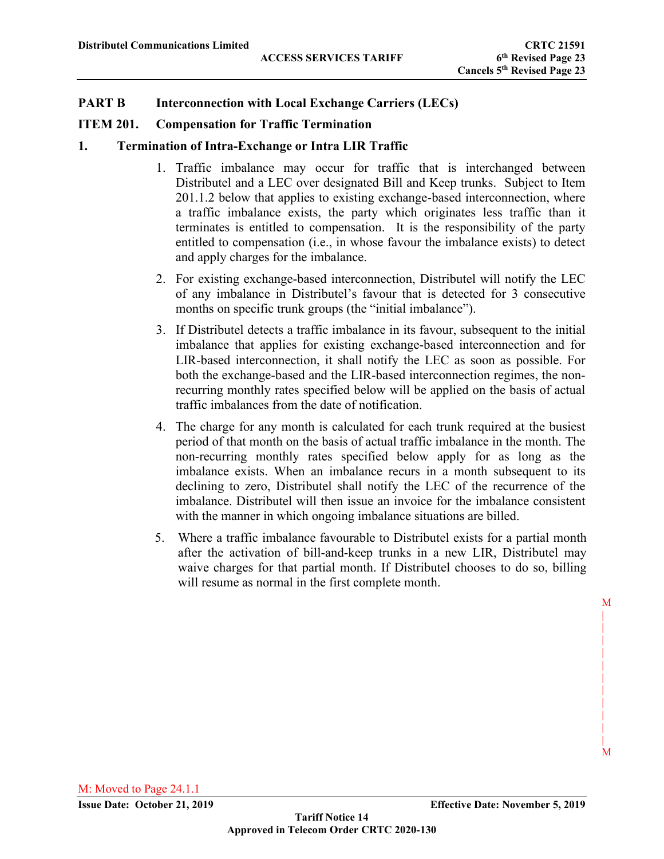## **ITEM 201. Compensation for Traffic Termination**

## **1. Termination of Intra-Exchange or Intra LIR Traffic**

- 1. Traffic imbalance may occur for traffic that is interchanged between Distributel and a LEC over designated Bill and Keep trunks. Subject to Item 201.1.2 below that applies to existing exchange-based interconnection, where a traffic imbalance exists, the party which originates less traffic than it terminates is entitled to compensation. It is the responsibility of the party entitled to compensation (i.e., in whose favour the imbalance exists) to detect and apply charges for the imbalance.
- 2. For existing exchange-based interconnection, Distributel will notify the LEC of any imbalance in Distributel's favour that is detected for 3 consecutive months on specific trunk groups (the "initial imbalance").
- 3. If Distributel detects a traffic imbalance in its favour, subsequent to the initial imbalance that applies for existing exchange-based interconnection and for LIR-based interconnection, it shall notify the LEC as soon as possible. For both the exchange-based and the LIR-based interconnection regimes, the nonrecurring monthly rates specified below will be applied on the basis of actual traffic imbalances from the date of notification.
- 4. The charge for any month is calculated for each trunk required at the busiest period of that month on the basis of actual traffic imbalance in the month. The non-recurring monthly rates specified below apply for as long as the imbalance exists. When an imbalance recurs in a month subsequent to its declining to zero, Distributel shall notify the LEC of the recurrence of the imbalance. Distributel will then issue an invoice for the imbalance consistent with the manner in which ongoing imbalance situations are billed.
- 5. Where a traffic imbalance favourable to Distributel exists for a partial month after the activation of bill-and-keep trunks in a new LIR, Distributel may waive charges for that partial month. If Distributel chooses to do so, billing will resume as normal in the first complete month.

 M | | | | | | | | |

 | M

M: Moved to Page 24.1.1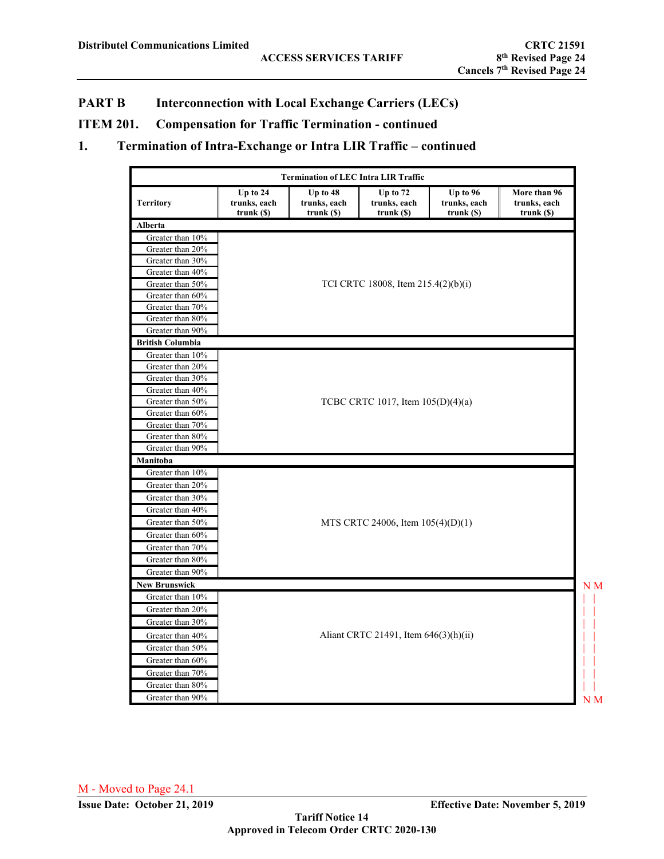# **ITEM 201. Compensation for Traffic Termination - continued**

# **1. Termination of Intra-Exchange or Intra LIR Traffic – continued**

|                                      |                                           | <b>Termination of LEC Intra LIR Traffic</b> |                                            |                                          |                                             |
|--------------------------------------|-------------------------------------------|---------------------------------------------|--------------------------------------------|------------------------------------------|---------------------------------------------|
| <b>Territory</b>                     | Up to $24$<br>trunks, each<br>trunk $(S)$ | Up to $48$<br>trunks, each<br>trunk $(S)$   | Up to $72$<br>trunks, each<br>$trunk($ \$) | Up to 96<br>trunks, each<br>$trunk($ \$) | More than 96<br>trunks, each<br>trunk $(S)$ |
| Alberta                              |                                           |                                             |                                            |                                          |                                             |
| Greater than 10%                     |                                           |                                             |                                            |                                          |                                             |
| Greater than 20%                     |                                           |                                             |                                            |                                          |                                             |
| Greater than 30%                     |                                           |                                             |                                            |                                          |                                             |
| Greater than 40%                     |                                           |                                             |                                            |                                          |                                             |
| Greater than 50%                     |                                           |                                             | TCI CRTC 18008, Item 215.4(2)(b)(i)        |                                          |                                             |
| Greater than 60%                     |                                           |                                             |                                            |                                          |                                             |
| Greater than 70%                     |                                           |                                             |                                            |                                          |                                             |
| Greater than 80%                     |                                           |                                             |                                            |                                          |                                             |
| Greater than 90%                     |                                           |                                             |                                            |                                          |                                             |
| <b>British Columbia</b>              |                                           |                                             |                                            |                                          |                                             |
| Greater than 10%                     |                                           |                                             |                                            |                                          |                                             |
| Greater than 20%<br>Greater than 30% |                                           |                                             |                                            |                                          |                                             |
| Greater than 40%                     |                                           |                                             |                                            |                                          |                                             |
| Greater than 50%                     |                                           |                                             | TCBC CRTC 1017, Item 105(D)(4)(a)          |                                          |                                             |
| Greater than 60%                     |                                           |                                             |                                            |                                          |                                             |
| Greater than 70%                     |                                           |                                             |                                            |                                          |                                             |
| Greater than 80%                     |                                           |                                             |                                            |                                          |                                             |
| Greater than 90%                     |                                           |                                             |                                            |                                          |                                             |
| Manitoba                             |                                           |                                             |                                            |                                          |                                             |
| Greater than 10%                     |                                           |                                             |                                            |                                          |                                             |
| Greater than 20%                     |                                           |                                             |                                            |                                          |                                             |
| Greater than 30%                     |                                           |                                             |                                            |                                          |                                             |
| Greater than 40%                     |                                           |                                             |                                            |                                          |                                             |
| Greater than 50%                     |                                           |                                             | MTS CRTC 24006, Item $105(4)(D)(1)$        |                                          |                                             |
| Greater than 60%                     |                                           |                                             |                                            |                                          |                                             |
| Greater than 70%                     |                                           |                                             |                                            |                                          |                                             |
| Greater than 80%                     |                                           |                                             |                                            |                                          |                                             |
| Greater than 90%                     |                                           |                                             |                                            |                                          |                                             |
| <b>New Brunswick</b>                 |                                           |                                             |                                            |                                          | N M                                         |
| Greater than 10%                     |                                           |                                             |                                            |                                          |                                             |
| Greater than 20%                     |                                           |                                             |                                            |                                          |                                             |
| Greater than 30%                     |                                           |                                             |                                            |                                          |                                             |
| Greater than 40%                     |                                           |                                             | Aliant CRTC 21491, Item 646(3)(h)(ii)      |                                          |                                             |
| Greater than 50%                     |                                           |                                             |                                            |                                          |                                             |
| Greater than 60%                     |                                           |                                             |                                            |                                          |                                             |
| Greater than 70%                     |                                           |                                             |                                            |                                          |                                             |
| Greater than 80%                     |                                           |                                             |                                            |                                          |                                             |
| Greater than 90%                     |                                           |                                             |                                            |                                          | N M                                         |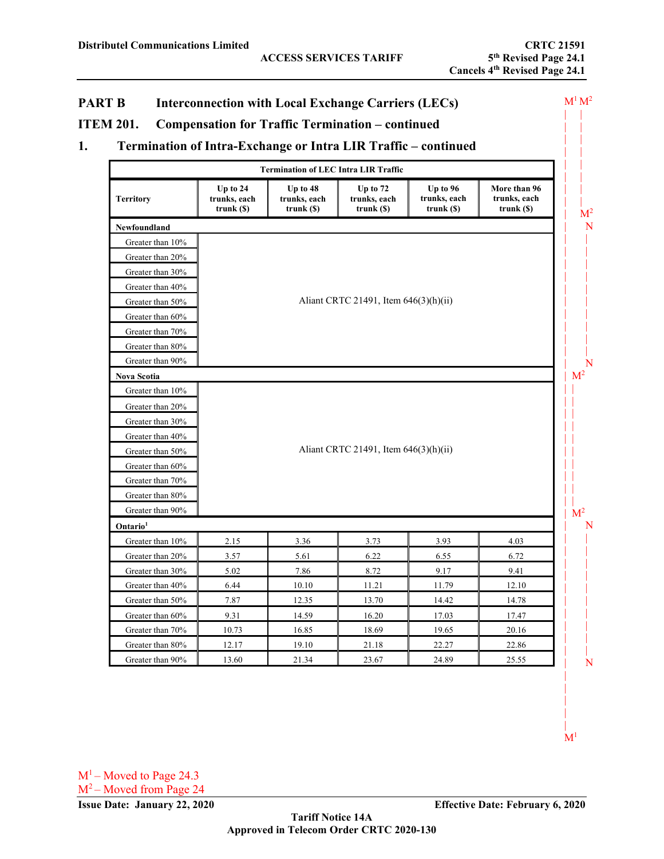|                                      |                                            | <b>Termination of LEC Intra LIR Traffic</b> |                                             |                                          |                                              |
|--------------------------------------|--------------------------------------------|---------------------------------------------|---------------------------------------------|------------------------------------------|----------------------------------------------|
| <b>Territory</b>                     | Up to $24$<br>trunks, each<br>$trunk($ \$) | Up to 48<br>trunks, each<br>$trunk($ S)     | $Up$ to $72$<br>trunks, each<br>$trunk($ S) | Up to 96<br>trunks, each<br>$trunk($ \$) | More than 96<br>trunks, each<br>$trunk($ \$) |
| Newfoundland                         |                                            |                                             |                                             |                                          |                                              |
| Greater than 10%                     |                                            |                                             |                                             |                                          |                                              |
| Greater than 20%                     |                                            |                                             |                                             |                                          |                                              |
| Greater than 30%                     |                                            |                                             |                                             |                                          |                                              |
| Greater than 40%                     |                                            |                                             |                                             |                                          |                                              |
| Greater than 50%                     |                                            |                                             | Aliant CRTC 21491, Item 646(3)(h)(ii)       |                                          |                                              |
| Greater than 60%                     |                                            |                                             |                                             |                                          |                                              |
| Greater than 70%                     |                                            |                                             |                                             |                                          |                                              |
| Greater than 80%                     |                                            |                                             |                                             |                                          |                                              |
| Greater than 90%                     |                                            |                                             |                                             |                                          |                                              |
| <b>Nova Scotia</b>                   |                                            |                                             |                                             |                                          |                                              |
| Greater than 10%                     |                                            |                                             |                                             |                                          |                                              |
| Greater than 20%                     |                                            |                                             |                                             |                                          |                                              |
| Greater than 30%                     |                                            |                                             |                                             |                                          |                                              |
| Greater than 40%                     |                                            |                                             |                                             |                                          |                                              |
| Greater than 50%                     |                                            |                                             | Aliant CRTC 21491, Item 646(3)(h)(ii)       |                                          |                                              |
| Greater than 60%                     |                                            |                                             |                                             |                                          |                                              |
| Greater than 70%                     |                                            |                                             |                                             |                                          |                                              |
| Greater than 80%<br>Greater than 90% |                                            |                                             |                                             |                                          |                                              |
| Ontario <sup>1</sup>                 |                                            |                                             |                                             |                                          |                                              |
| Greater than 10%                     | 2.15                                       | 3.36                                        | 3.73                                        | 3.93                                     | 4.03                                         |
| Greater than 20%                     | 3.57                                       | 5.61                                        | 6.22                                        | 6.55                                     | 6.72                                         |
| Greater than 30%                     | 5.02                                       | 7.86                                        | 8.72                                        | 9.17                                     | 9.41                                         |
| Greater than 40%                     | 6.44                                       | 10.10                                       | 11.21                                       | 11.79                                    | 12.10                                        |
| Greater than 50%                     | 7.87                                       | 12.35                                       | 13.70                                       | 14.42                                    | 14.78                                        |
| Greater than 60%                     | 9.31                                       | 14.59                                       | 16.20                                       | 17.03                                    | 17.47                                        |
|                                      |                                            | 16.85                                       | 18.69                                       | 19.65                                    | 20.16                                        |
|                                      |                                            |                                             |                                             |                                          |                                              |
| Greater than 70%<br>Greater than 80% | 10.73<br>12.17                             | 19.10                                       | 21.18                                       | 22.27                                    | 22.86                                        |

 $M<sup>1</sup>$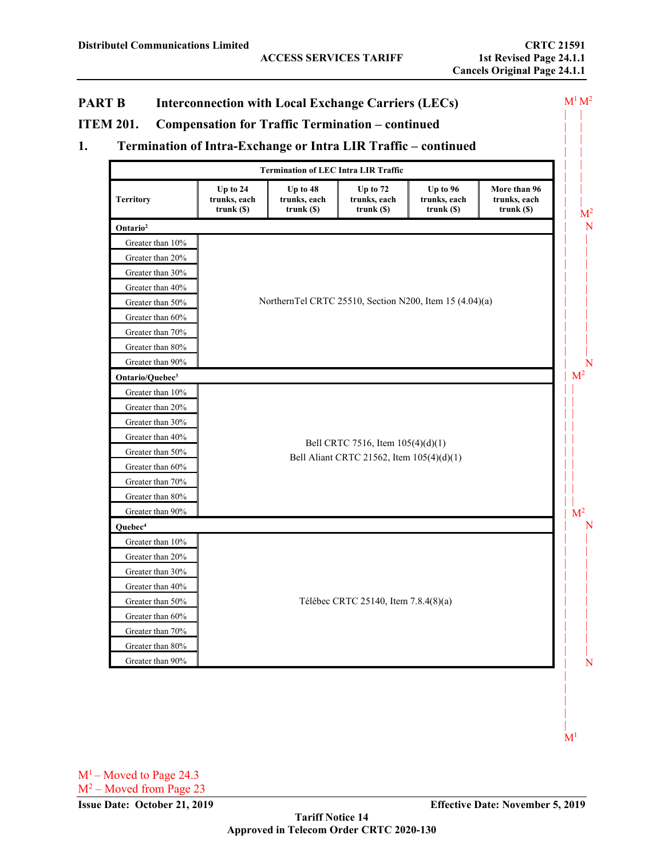|                                      |                                            | <b>Termination of LEC Intra LIR Traffic</b>         |                                           |                                                         |                                              |
|--------------------------------------|--------------------------------------------|-----------------------------------------------------|-------------------------------------------|---------------------------------------------------------|----------------------------------------------|
| <b>Territory</b>                     | Up to 24<br>trunks, each<br>$trunk($ S $)$ | Up to 48<br>trunks, each<br>$trunk($ $\mathcal{S})$ | Up to 72<br>trunks, each<br>$trunk($ \$)  | Up to 96<br>trunks, each<br>trunk $(S)$                 | More than 96<br>trunks, each<br>$trunk($ \$) |
| Ontario <sup>2</sup>                 |                                            |                                                     |                                           |                                                         |                                              |
| Greater than 10%                     |                                            |                                                     |                                           |                                                         |                                              |
| Greater than 20%                     |                                            |                                                     |                                           |                                                         |                                              |
| Greater than 30%                     |                                            |                                                     |                                           |                                                         |                                              |
| Greater than 40%                     |                                            |                                                     |                                           |                                                         |                                              |
| Greater than 50%                     |                                            |                                                     |                                           | NorthernTel CRTC 25510, Section N200, Item 15 (4.04)(a) |                                              |
| Greater than 60%                     |                                            |                                                     |                                           |                                                         |                                              |
| Greater than 70%                     |                                            |                                                     |                                           |                                                         |                                              |
| Greater than 80%                     |                                            |                                                     |                                           |                                                         |                                              |
| Greater than 90%                     |                                            |                                                     |                                           |                                                         |                                              |
| Ontario/Quebec <sup>3</sup>          |                                            |                                                     |                                           |                                                         |                                              |
| Greater than 10%                     |                                            |                                                     |                                           |                                                         |                                              |
| Greater than 20%                     |                                            |                                                     |                                           |                                                         |                                              |
| Greater than 30%                     |                                            |                                                     |                                           |                                                         |                                              |
| Greater than 40%                     |                                            |                                                     | Bell CRTC 7516, Item 105(4)(d)(1)         |                                                         |                                              |
| Greater than 50%                     |                                            |                                                     | Bell Aliant CRTC 21562, Item 105(4)(d)(1) |                                                         |                                              |
| Greater than 60%                     |                                            |                                                     |                                           |                                                         |                                              |
| Greater than 70%                     |                                            |                                                     |                                           |                                                         |                                              |
| Greater than 80%<br>Greater than 90% |                                            |                                                     |                                           |                                                         |                                              |
| Quebec <sup>4</sup>                  |                                            |                                                     |                                           |                                                         |                                              |
| Greater than 10%                     |                                            |                                                     |                                           |                                                         |                                              |
| Greater than 20%                     |                                            |                                                     |                                           |                                                         |                                              |
| Greater than 30%                     |                                            |                                                     |                                           |                                                         |                                              |
| Greater than 40%                     |                                            |                                                     |                                           |                                                         |                                              |
| Greater than 50%                     |                                            |                                                     | Télébec CRTC 25140, Item 7.8.4(8)(a)      |                                                         |                                              |
| Greater than 60%                     |                                            |                                                     |                                           |                                                         |                                              |
| Greater than 70%                     |                                            |                                                     |                                           |                                                         |                                              |
| Greater than 80%                     |                                            |                                                     |                                           |                                                         |                                              |
|                                      |                                            |                                                     |                                           |                                                         |                                              |

 $M<sup>1</sup>$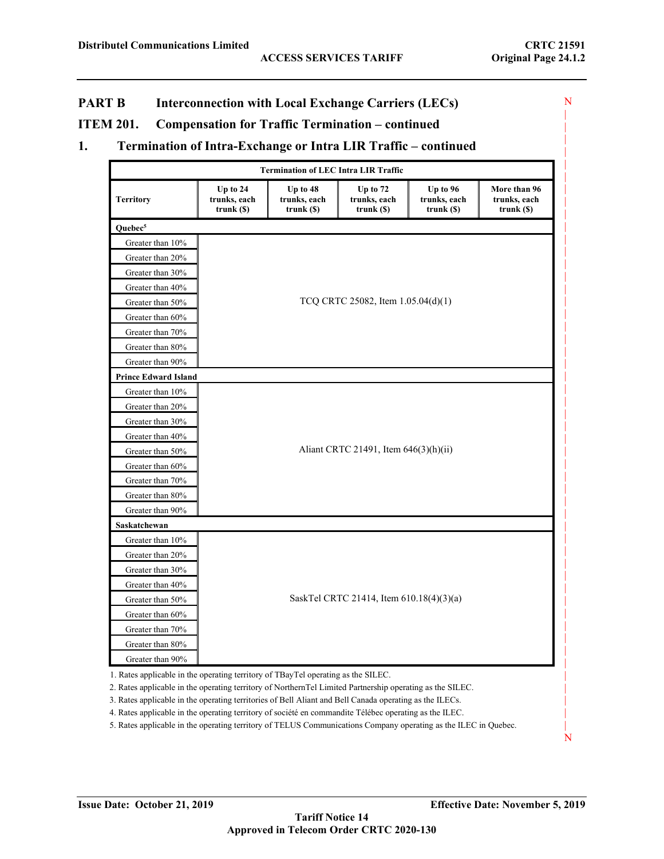N | |

> | | | | | | | | | | | | | | | | | | | | | | |

|

| | |

| | | | | | | | | | | | |

| N

## **PART B Interconnection with Local Exchange Carriers (LECs)**

#### **ITEM 201. Compensation for Traffic Termination – continued**

## **1. Termination of Intra-Exchange or Intra LIR Traffic – continued**

|                             |                                          | <b>Termination of LEC Intra LIR Traffic</b> |                                          |                                        |                                                         |  |
|-----------------------------|------------------------------------------|---------------------------------------------|------------------------------------------|----------------------------------------|---------------------------------------------------------|--|
| <b>Territory</b>            | Up to 24<br>trunks, each<br>$trunk($ \$) | Up to 48<br>trunks, each<br>$trunk($ \$)    | Up to 72<br>trunks, each<br>$trunk($ S)  | Up to 96<br>trunks, each<br>trunk (\$) | More than 96<br>trunks, each<br>$trunk($ $\mathcal{S})$ |  |
| Quebec <sup>5</sup>         |                                          |                                             |                                          |                                        |                                                         |  |
| Greater than 10%            |                                          |                                             |                                          |                                        |                                                         |  |
| Greater than 20%            |                                          |                                             |                                          |                                        |                                                         |  |
| Greater than 30%            |                                          |                                             |                                          |                                        |                                                         |  |
| Greater than 40%            |                                          |                                             |                                          |                                        |                                                         |  |
| Greater than 50%            |                                          |                                             | TCQ CRTC 25082, Item 1.05.04(d)(1)       |                                        |                                                         |  |
| Greater than 60%            |                                          |                                             |                                          |                                        |                                                         |  |
| Greater than 70%            |                                          |                                             |                                          |                                        |                                                         |  |
| Greater than 80%            |                                          |                                             |                                          |                                        |                                                         |  |
| Greater than 90%            |                                          |                                             |                                          |                                        |                                                         |  |
| <b>Prince Edward Island</b> |                                          |                                             |                                          |                                        |                                                         |  |
| Greater than 10%            |                                          |                                             |                                          |                                        |                                                         |  |
| Greater than 20%            |                                          |                                             |                                          |                                        |                                                         |  |
| Greater than 30%            |                                          |                                             |                                          |                                        |                                                         |  |
| Greater than 40%            |                                          |                                             |                                          |                                        |                                                         |  |
| Greater than 50%            |                                          |                                             | Aliant CRTC 21491, Item 646(3)(h)(ii)    |                                        |                                                         |  |
| Greater than 60%            |                                          |                                             |                                          |                                        |                                                         |  |
| Greater than 70%            |                                          |                                             |                                          |                                        |                                                         |  |
| Greater than 80%            |                                          |                                             |                                          |                                        |                                                         |  |
| Greater than 90%            |                                          |                                             |                                          |                                        |                                                         |  |
| Saskatchewan                |                                          |                                             |                                          |                                        |                                                         |  |
| Greater than 10%            |                                          |                                             |                                          |                                        |                                                         |  |
| Greater than 20%            |                                          |                                             |                                          |                                        |                                                         |  |
| Greater than 30%            |                                          |                                             |                                          |                                        |                                                         |  |
| Greater than 40%            |                                          |                                             |                                          |                                        |                                                         |  |
| Greater than 50%            |                                          |                                             | SaskTel CRTC 21414, Item 610.18(4)(3)(a) |                                        |                                                         |  |
| Greater than 60%            |                                          |                                             |                                          |                                        |                                                         |  |
| Greater than 70%            |                                          |                                             |                                          |                                        |                                                         |  |
| Greater than 80%            |                                          |                                             |                                          |                                        |                                                         |  |
| Greater than 90%            |                                          |                                             |                                          |                                        |                                                         |  |

1. Rates applicable in the operating territory of TBayTel operating as the SILEC.

2. Rates applicable in the operating territory of NorthernTel Limited Partnership operating as the SILEC.

3. Rates applicable in the operating territories of Bell Aliant and Bell Canada operating as the ILECs.

4. Rates applicable in the operating territory of société en commandite Télébec operating as the ILEC.

5. Rates applicable in the operating territory of TELUS Communications Company operating as the ILEC in Quebec.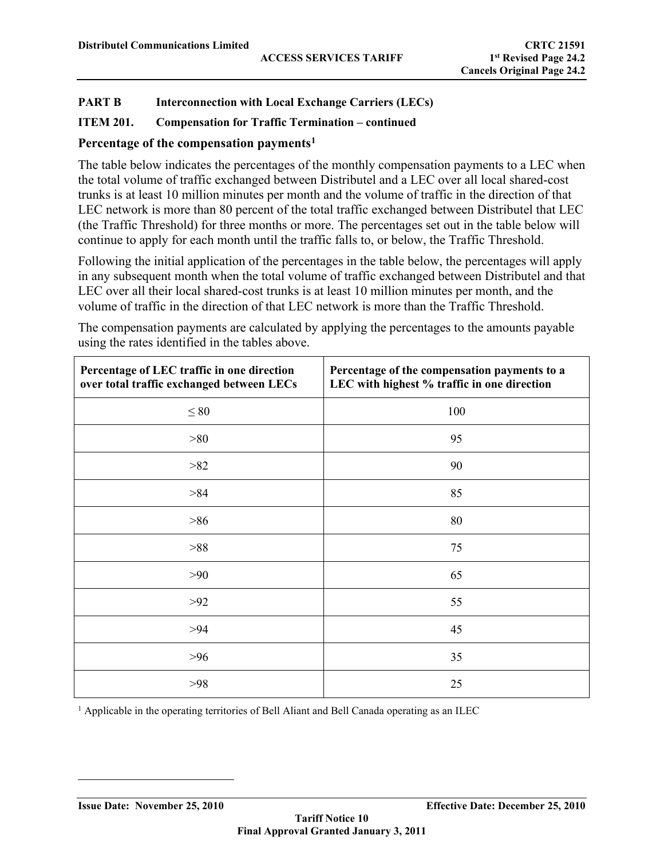## **ITEM 201. Compensation for Traffic Termination – continued**

## **Percentage of the compensation payments[1](#page-28-0)**

The table below indicates the percentages of the monthly compensation payments to a LEC when the total volume of traffic exchanged between Distributel and a LEC over all local shared-cost trunks is at least 10 million minutes per month and the volume of traffic in the direction of that LEC network is more than 80 percent of the total traffic exchanged between Distributel that LEC (the Traffic Threshold) for three months or more. The percentages set out in the table below will continue to apply for each month until the traffic falls to, or below, the Traffic Threshold.

Following the initial application of the percentages in the table below, the percentages will apply in any subsequent month when the total volume of traffic exchanged between Distributel and that LEC over all their local shared-cost trunks is at least 10 million minutes per month, and the volume of traffic in the direction of that LEC network is more than the Traffic Threshold.

The compensation payments are calculated by applying the percentages to the amounts payable using the rates identified in the tables above.

| Percentage of LEC traffic in one direction<br>over total traffic exchanged between LECs | Percentage of the compensation payments to a<br>LEC with highest % traffic in one direction |
|-----------------------------------------------------------------------------------------|---------------------------------------------------------------------------------------------|
| $\leq 80$                                                                               | 100                                                                                         |
| >80                                                                                     | 95                                                                                          |
| >82                                                                                     | 90                                                                                          |
| >84                                                                                     | 85                                                                                          |
| $>86$                                                                                   | 80                                                                                          |
| >88                                                                                     | 75                                                                                          |
| $>90$                                                                                   | 65                                                                                          |
| $>92$                                                                                   | 55                                                                                          |
| >94                                                                                     | 45                                                                                          |
| $>96$                                                                                   | 35                                                                                          |
| $>98$                                                                                   | 25                                                                                          |

<span id="page-28-0"></span><sup>1</sup> Applicable in the operating territories of Bell Aliant and Bell Canada operating as an ILEC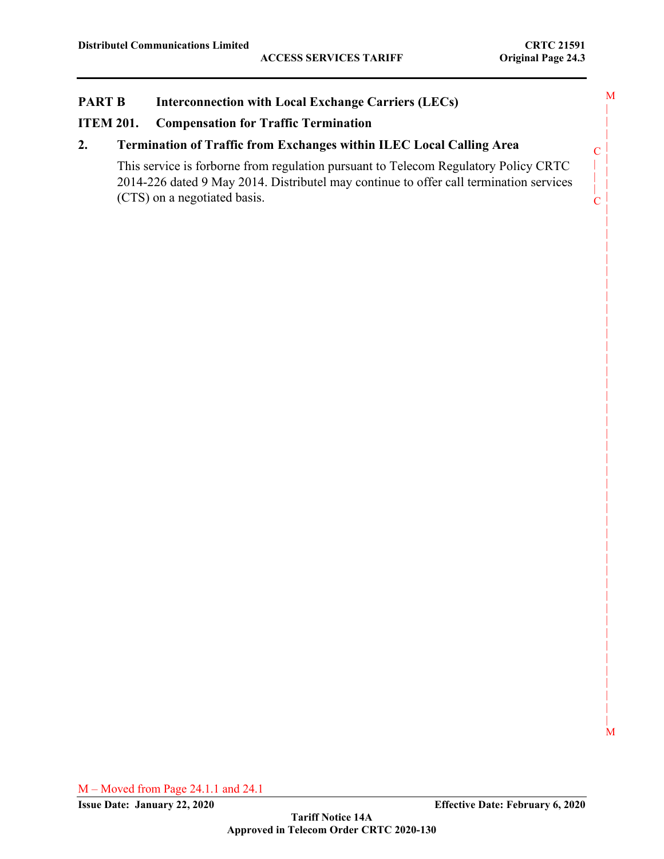C | | | C

|

|

|

|

|

|

|

|

|

|

|

|

M

## **PART B Interconnection with Local Exchange Carriers (LECs)**

#### **ITEM 201. Compensation for Traffic Termination**

#### **2. Termination of Traffic from Exchanges within ILEC Local Calling Area**

This service is forborne from regulation pursuant to Telecom Regulatory Policy CRTC 2014-226 dated 9 May 2014. Distributel may continue to offer call termination services (CTS) on a negotiated basis.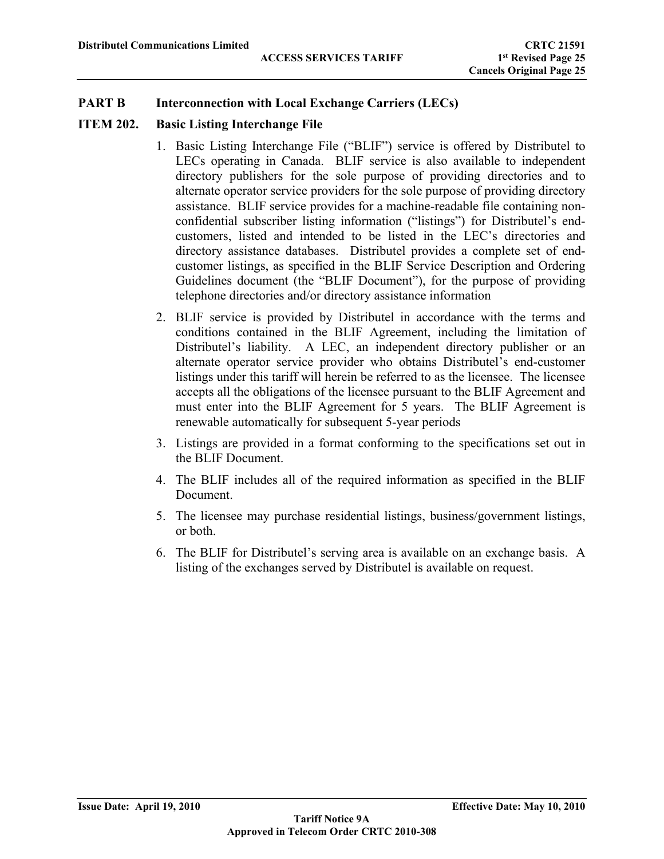# **ITEM 202. Basic Listing Interchange File**

- 1. Basic Listing Interchange File ("BLIF") service is offered by Distributel to LECs operating in Canada. BLIF service is also available to independent directory publishers for the sole purpose of providing directories and to alternate operator service providers for the sole purpose of providing directory assistance. BLIF service provides for a machine-readable file containing nonconfidential subscriber listing information ("listings") for Distributel's endcustomers, listed and intended to be listed in the LEC's directories and directory assistance databases. Distributel provides a complete set of endcustomer listings, as specified in the BLIF Service Description and Ordering Guidelines document (the "BLIF Document"), for the purpose of providing telephone directories and/or directory assistance information
- 2. BLIF service is provided by Distributel in accordance with the terms and conditions contained in the BLIF Agreement, including the limitation of Distributel's liability. A LEC, an independent directory publisher or an alternate operator service provider who obtains Distributel's end-customer listings under this tariff will herein be referred to as the licensee. The licensee accepts all the obligations of the licensee pursuant to the BLIF Agreement and must enter into the BLIF Agreement for 5 years. The BLIF Agreement is renewable automatically for subsequent 5-year periods
- 3. Listings are provided in a format conforming to the specifications set out in the BLIF Document.
- 4. The BLIF includes all of the required information as specified in the BLIF Document.
- 5. The licensee may purchase residential listings, business/government listings, or both.
- 6. The BLIF for Distributel's serving area is available on an exchange basis. A listing of the exchanges served by Distributel is available on request.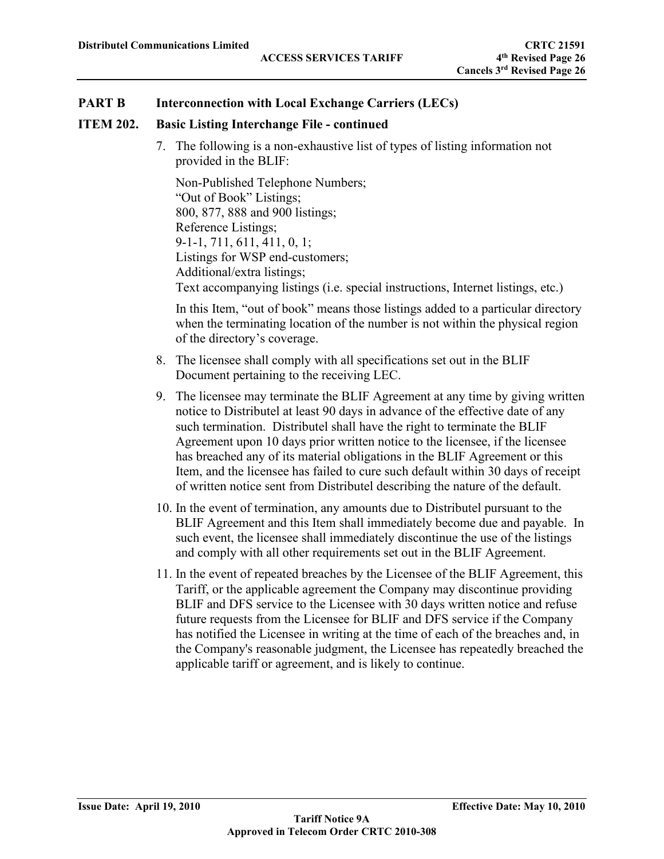#### **ITEM 202. Basic Listing Interchange File - continued**

7. The following is a non-exhaustive list of types of listing information not provided in the BLIF:

Non-Published Telephone Numbers; "Out of Book" Listings; 800, 877, 888 and 900 listings; Reference Listings; 9-1-1, 711, 611, 411, 0, 1; Listings for WSP end-customers; Additional/extra listings; Text accompanying listings (i.e. special instructions, Internet listings, etc.)

In this Item, "out of book" means those listings added to a particular directory when the terminating location of the number is not within the physical region of the directory's coverage.

- 8. The licensee shall comply with all specifications set out in the BLIF Document pertaining to the receiving LEC.
- 9. The licensee may terminate the BLIF Agreement at any time by giving written notice to Distributel at least 90 days in advance of the effective date of any such termination. Distributel shall have the right to terminate the BLIF Agreement upon 10 days prior written notice to the licensee, if the licensee has breached any of its material obligations in the BLIF Agreement or this Item, and the licensee has failed to cure such default within 30 days of receipt of written notice sent from Distributel describing the nature of the default.
- 10. In the event of termination, any amounts due to Distributel pursuant to the BLIF Agreement and this Item shall immediately become due and payable. In such event, the licensee shall immediately discontinue the use of the listings and comply with all other requirements set out in the BLIF Agreement.
- 11. In the event of repeated breaches by the Licensee of the BLIF Agreement, this Tariff, or the applicable agreement the Company may discontinue providing BLIF and DFS service to the Licensee with 30 days written notice and refuse future requests from the Licensee for BLIF and DFS service if the Company has notified the Licensee in writing at the time of each of the breaches and, in the Company's reasonable judgment, the Licensee has repeatedly breached the applicable tariff or agreement, and is likely to continue.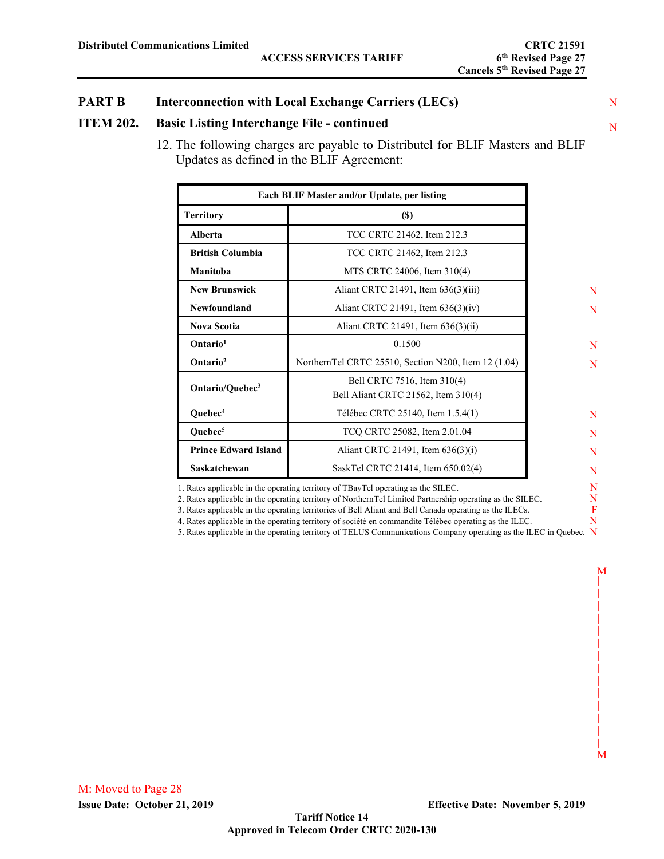# N **ITEM 202. Basic Listing Interchange File - continued**

12. The following charges are payable to Distributel for BLIF Masters and BLIF Updates as defined in the BLIF Agreement:

| Each BLIF Master and/or Update, per listing              |                                                                    |  |  |  |  |
|----------------------------------------------------------|--------------------------------------------------------------------|--|--|--|--|
| <b>Territory</b>                                         | $\left( \mathbb{S}\right)$                                         |  |  |  |  |
| Alberta                                                  | TCC CRTC 21462, Item 212.3                                         |  |  |  |  |
| <b>British Columbia</b>                                  | TCC CRTC 21462, Item 212.3                                         |  |  |  |  |
| Manitoba                                                 | MTS CRTC 24006, Item 310(4)                                        |  |  |  |  |
| <b>New Brunswick</b>                                     | Aliant CRTC 21491, Item 636(3)(iii)                                |  |  |  |  |
| Newfoundland                                             | Aliant CRTC 21491, Item $636(3)(iv)$                               |  |  |  |  |
| <b>Nova Scotia</b>                                       | Aliant CRTC 21491, Item 636(3)(ii)                                 |  |  |  |  |
| Ontario <sup>1</sup>                                     | 0.1500                                                             |  |  |  |  |
| Ontario <sup>2</sup>                                     | NorthernTel CRTC 25510, Section N200, Item 12 (1.04)               |  |  |  |  |
| Ontario/Quebec <sup>3</sup>                              | Bell CRTC 7516, Item 310(4)<br>Bell Aliant CRTC 21562, Item 310(4) |  |  |  |  |
| Quebec <sup>4</sup><br>Télébec CRTC 25140, Item 1.5.4(1) |                                                                    |  |  |  |  |
| Quebec <sup>5</sup>                                      | TCQ CRTC 25082, Item 2.01.04                                       |  |  |  |  |
| <b>Prince Edward Island</b>                              | Aliant CRTC 21491, Item 636(3)(i)                                  |  |  |  |  |
| Saskatchewan                                             | SaskTel CRTC 21414, Item 650.02(4)                                 |  |  |  |  |

1. Rates applicable in the operating territory of TBayTel operating as the SILEC.

2. Rates applicable in the operating territory of NorthernTel Limited Partnership operating as the SILEC.

3. Rates applicable in the operating territories of Bell Aliant and Bell Canada operating as the ILECs.

4. Rates applicable in the operating territory of société en commandite Télébec operating as the ILEC.

5. Rates applicable in the operating territory of TELUS Communications Company operating as the ILEC in Quebec. N

 N N

N N

N N N N N N F N

M | | | | | | | | |  $\blacksquare$  $\blacksquare$  |  $\blacksquare$  $\blacksquare$ M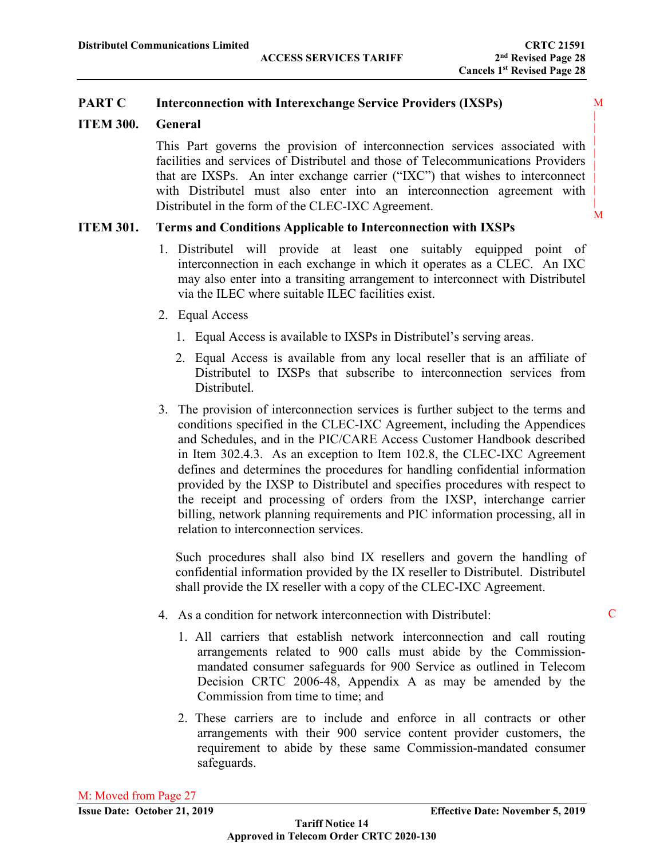M | | | | | | | | M

# **PART C Interconnection with Interexchange Service Providers (IXSPs)**

# **ITEM 300. General**

This Part governs the provision of interconnection services associated with facilities and services of Distributel and those of Telecommunications Providers that are IXSPs. An inter exchange carrier ("IXC") that wishes to interconnect with Distributel must also enter into an interconnection agreement with Distributel in the form of the CLEC-IXC Agreement.

# **ITEM 301. Terms and Conditions Applicable to Interconnection with IXSPs**

- 1. Distributel will provide at least one suitably equipped point of interconnection in each exchange in which it operates as a CLEC. An IXC may also enter into a transiting arrangement to interconnect with Distributel via the ILEC where suitable ILEC facilities exist.
- 2. Equal Access
	- 1. Equal Access is available to IXSPs in Distributel's serving areas.
	- 2. Equal Access is available from any local reseller that is an affiliate of Distributel to IXSPs that subscribe to interconnection services from Distributel.
- 3. The provision of interconnection services is further subject to the terms and conditions specified in the CLEC-IXC Agreement, including the Appendices and Schedules, and in the PIC/CARE Access Customer Handbook described in Item 302.4.3. As an exception to Item 102.8, the CLEC-IXC Agreement defines and determines the procedures for handling confidential information provided by the IXSP to Distributel and specifies procedures with respect to the receipt and processing of orders from the IXSP, interchange carrier billing, network planning requirements and PIC information processing, all in relation to interconnection services.

Such procedures shall also bind IX resellers and govern the handling of confidential information provided by the IX reseller to Distributel. Distributel shall provide the IX reseller with a copy of the CLEC-IXC Agreement.

- 4. As a condition for network interconnection with Distributel:
	- 1. All carriers that establish network interconnection and call routing arrangements related to 900 calls must abide by the Commissionmandated consumer safeguards for 900 Service as outlined in Telecom Decision CRTC 2006-48, Appendix A as may be amended by the Commission from time to time; and
	- 2. These carriers are to include and enforce in all contracts or other arrangements with their 900 service content provider customers, the requirement to abide by these same Commission-mandated consumer safeguards.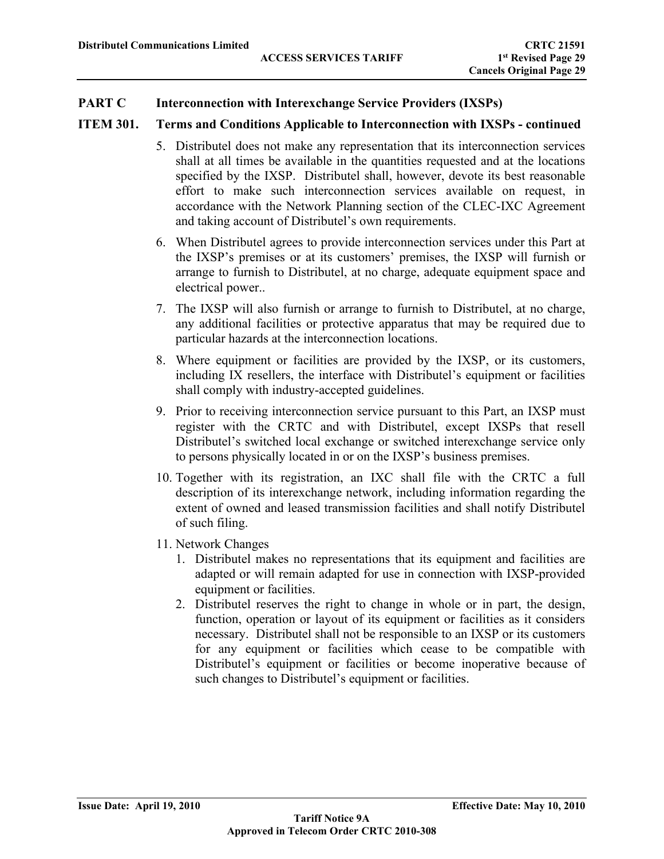## **PART C Interconnection with Interexchange Service Providers (IXSPs)**

## **ITEM 301. Terms and Conditions Applicable to Interconnection with IXSPs - continued**

- 5. Distributel does not make any representation that its interconnection services shall at all times be available in the quantities requested and at the locations specified by the IXSP. Distributel shall, however, devote its best reasonable effort to make such interconnection services available on request, in accordance with the Network Planning section of the CLEC-IXC Agreement and taking account of Distributel's own requirements.
- 6. When Distributel agrees to provide interconnection services under this Part at the IXSP's premises or at its customers' premises, the IXSP will furnish or arrange to furnish to Distributel, at no charge, adequate equipment space and electrical power..
- 7. The IXSP will also furnish or arrange to furnish to Distributel, at no charge, any additional facilities or protective apparatus that may be required due to particular hazards at the interconnection locations.
- 8. Where equipment or facilities are provided by the IXSP, or its customers, including IX resellers, the interface with Distributel's equipment or facilities shall comply with industry-accepted guidelines.
- 9. Prior to receiving interconnection service pursuant to this Part, an IXSP must register with the CRTC and with Distributel, except IXSPs that resell Distributel's switched local exchange or switched interexchange service only to persons physically located in or on the IXSP's business premises.
- 10. Together with its registration, an IXC shall file with the CRTC a full description of its interexchange network, including information regarding the extent of owned and leased transmission facilities and shall notify Distributel of such filing.
- 11. Network Changes
	- 1. Distributel makes no representations that its equipment and facilities are adapted or will remain adapted for use in connection with IXSP-provided equipment or facilities.
	- 2. Distributel reserves the right to change in whole or in part, the design, function, operation or layout of its equipment or facilities as it considers necessary. Distributel shall not be responsible to an IXSP or its customers for any equipment or facilities which cease to be compatible with Distributel's equipment or facilities or become inoperative because of such changes to Distributel's equipment or facilities.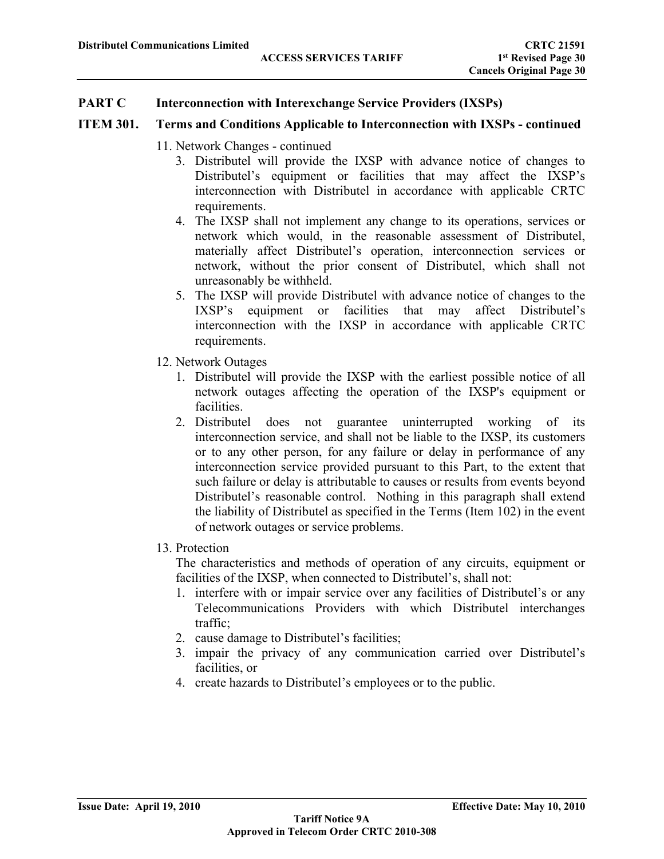## **PART C Interconnection with Interexchange Service Providers (IXSPs)**

#### **ITEM 301. Terms and Conditions Applicable to Interconnection with IXSPs - continued**

- 11. Network Changes continued
	- 3. Distributel will provide the IXSP with advance notice of changes to Distributel's equipment or facilities that may affect the IXSP's interconnection with Distributel in accordance with applicable CRTC requirements.
	- 4. The IXSP shall not implement any change to its operations, services or network which would, in the reasonable assessment of Distributel, materially affect Distributel's operation, interconnection services or network, without the prior consent of Distributel, which shall not unreasonably be withheld.
	- 5. The IXSP will provide Distributel with advance notice of changes to the IXSP's equipment or facilities that may affect Distributel's interconnection with the IXSP in accordance with applicable CRTC requirements.
- 12. Network Outages
	- 1. Distributel will provide the IXSP with the earliest possible notice of all network outages affecting the operation of the IXSP's equipment or facilities.
	- 2. Distributel does not guarantee uninterrupted working of its interconnection service, and shall not be liable to the IXSP, its customers or to any other person, for any failure or delay in performance of any interconnection service provided pursuant to this Part, to the extent that such failure or delay is attributable to causes or results from events beyond Distributel's reasonable control. Nothing in this paragraph shall extend the liability of Distributel as specified in the Terms (Item 102) in the event of network outages or service problems.
- 13. Protection

The characteristics and methods of operation of any circuits, equipment or facilities of the IXSP, when connected to Distributel's, shall not:

- 1. interfere with or impair service over any facilities of Distributel's or any Telecommunications Providers with which Distributel interchanges traffic;
- 2. cause damage to Distributel's facilities;
- 3. impair the privacy of any communication carried over Distributel's facilities, or
- 4. create hazards to Distributel's employees or to the public.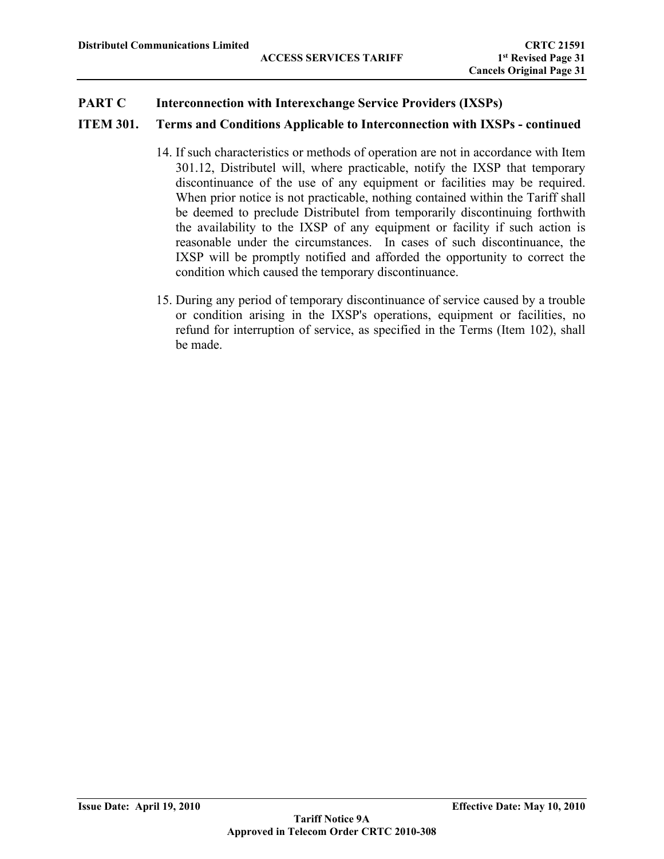# **ITEM 301. Terms and Conditions Applicable to Interconnection with IXSPs - continued**

- 14. If such characteristics or methods of operation are not in accordance with Item 301.12, Distributel will, where practicable, notify the IXSP that temporary discontinuance of the use of any equipment or facilities may be required. When prior notice is not practicable, nothing contained within the Tariff shall be deemed to preclude Distributel from temporarily discontinuing forthwith the availability to the IXSP of any equipment or facility if such action is reasonable under the circumstances. In cases of such discontinuance, the IXSP will be promptly notified and afforded the opportunity to correct the condition which caused the temporary discontinuance.
- 15. During any period of temporary discontinuance of service caused by a trouble or condition arising in the IXSP's operations, equipment or facilities, no refund for interruption of service, as specified in the Terms (Item 102), shall be made.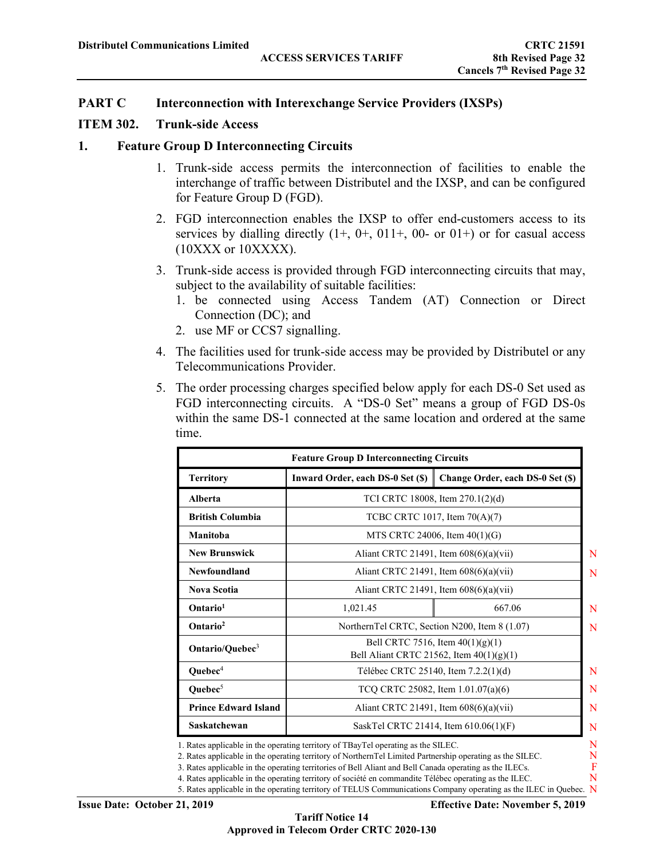#### **ITEM 302. Trunk-side Access**

#### **1. Feature Group D Interconnecting Circuits**

- 1. Trunk-side access permits the interconnection of facilities to enable the interchange of traffic between Distributel and the IXSP, and can be configured for Feature Group D (FGD).
- 2. FGD interconnection enables the IXSP to offer end-customers access to its services by dialling directly  $(1+, 0+, 011+, 00$ - or  $(0.01)$  or for casual access  $(10XXX)$  or  $10XXX$ XXX).
- 3. Trunk-side access is provided through FGD interconnecting circuits that may, subject to the availability of suitable facilities:
	- 1. be connected using Access Tandem (AT) Connection or Direct Connection (DC); and
	- 2. use MF or CCS7 signalling.
- 4. The facilities used for trunk-side access may be provided by Distributel or any Telecommunications Provider.
- 5. The order processing charges specified below apply for each DS-0 Set used as FGD interconnecting circuits. A "DS-0 Set" means a group of FGD DS-0s within the same DS-1 connected at the same location and ordered at the same time.

| <b>Feature Group D Interconnecting Circuits</b> |                                                                                  |                                          |  |  |  |
|-------------------------------------------------|----------------------------------------------------------------------------------|------------------------------------------|--|--|--|
| <b>Territory</b>                                | Inward Order, each DS-0 Set (\$)                                                 | Change Order, each DS-0 Set (\$)         |  |  |  |
| Alberta                                         |                                                                                  | TCI CRTC 18008, Item 270.1(2)(d)         |  |  |  |
| <b>British Columbia</b>                         |                                                                                  | TCBC CRTC 1017, Item 70(A)(7)            |  |  |  |
| Manitoba                                        |                                                                                  | MTS CRTC 24006, Item $40(1)(G)$          |  |  |  |
| <b>New Brunswick</b>                            |                                                                                  | Aliant CRTC 21491, Item $608(6)(a)(vii)$ |  |  |  |
| Newfoundland                                    |                                                                                  | Aliant CRTC 21491, Item 608(6)(a)(vii)   |  |  |  |
| <b>Nova Scotia</b>                              | Aliant CRTC 21491, Item 608(6)(a)(vii)                                           |                                          |  |  |  |
| Ontario <sup>1</sup>                            | 667.06<br>1,021.45                                                               |                                          |  |  |  |
| Ontario <sup>2</sup>                            | NorthernTel CRTC, Section N200, Item 8 (1.07)                                    |                                          |  |  |  |
| Ontario/Quebec <sup>3</sup>                     | Bell CRTC 7516, Item $40(1)(g)(1)$<br>Bell Aliant CRTC 21562, Item $40(1)(g)(1)$ |                                          |  |  |  |
| Quebec <sup>4</sup>                             |                                                                                  | Télébec CRTC 25140, Item 7.2.2(1)(d)     |  |  |  |
| Quebec <sup>5</sup>                             |                                                                                  | TCQ CRTC 25082, Item 1.01.07(a)(6)       |  |  |  |
| <b>Prince Edward Island</b>                     | Aliant CRTC 21491, Item 608(6)(a)(vii)                                           |                                          |  |  |  |
| Saskatchewan                                    |                                                                                  | SaskTel CRTC 21414, Item 610.06(1)(F)    |  |  |  |

2. Rates applicable in the operating territory of NorthernTel Limited Partnership operating as the SILEC.

3. Rates applicable in the operating territories of Bell Aliant and Bell Canada operating as the ILECs.

4. Rates applicable in the operating territory of société en commandite Télébec operating as the ILEC.

5. Rates applicable in the operating territory of TELUS Communications Company operating as the ILEC in Quebec. N

**Issue Date: October 21, 2019 Effective Date: November 5, 2019**

F N

**Tariff Notice 14 Approved in Telecom Order CRTC 2020-130**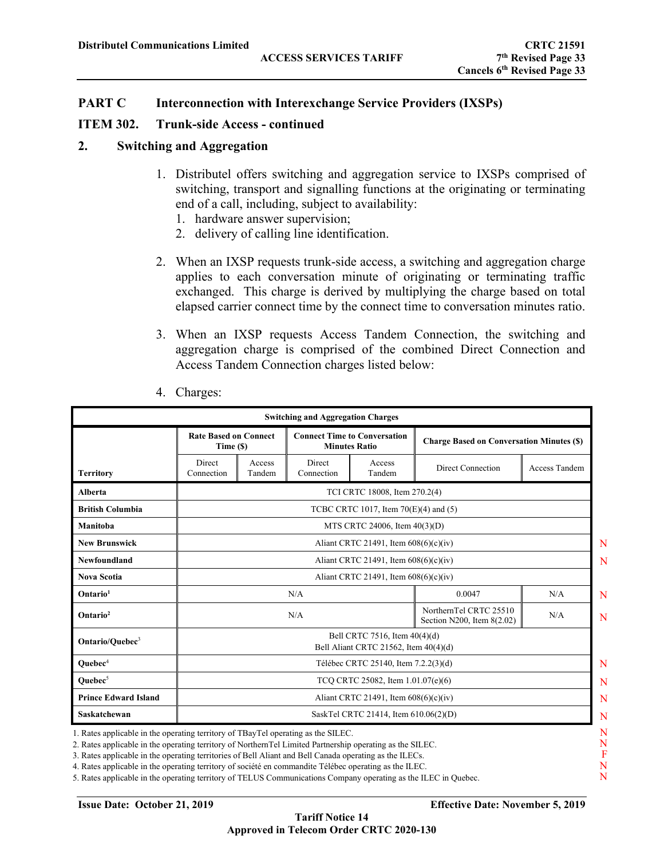### **ITEM 302. Trunk-side Access - continued**

#### **2. Switching and Aggregation**

- 1. Distributel offers switching and aggregation service to IXSPs comprised of switching, transport and signalling functions at the originating or terminating end of a call, including, subject to availability:
	- 1. hardware answer supervision;
	- 2. delivery of calling line identification.
- 2. When an IXSP requests trunk-side access, a switching and aggregation charge applies to each conversation minute of originating or terminating traffic exchanged. This charge is derived by multiplying the charge based on total elapsed carrier connect time by the connect time to conversation minutes ratio.
- 3. When an IXSP requests Access Tandem Connection, the switching and aggregation charge is comprised of the combined Direct Connection and Access Tandem Connection charges listed below:

|                             | <b>Rate Based on Connect</b><br><b>Connect Time to Conversation</b><br><b>Charge Based on Conversation Minutes (\$)</b><br><b>Minutes Ratio</b><br>Time (\$) |                                                                    |                      |                                                                        |                   |               |
|-----------------------------|--------------------------------------------------------------------------------------------------------------------------------------------------------------|--------------------------------------------------------------------|----------------------|------------------------------------------------------------------------|-------------------|---------------|
| <b>Territory</b>            | Direct<br>Connection                                                                                                                                         | Access<br>Tandem                                                   | Direct<br>Connection | Access<br>Tandem                                                       | Direct Connection | Access Tandem |
| <b>Alberta</b>              |                                                                                                                                                              |                                                                    |                      | TCI CRTC 18008, Item 270.2(4)                                          |                   |               |
| <b>British Columbia</b>     |                                                                                                                                                              |                                                                    |                      | TCBC CRTC 1017, Item $70(E)(4)$ and $(5)$                              |                   |               |
| Manitoba                    |                                                                                                                                                              |                                                                    |                      | MTS CRTC 24006, Item 40(3)(D)                                          |                   |               |
| <b>New Brunswick</b>        |                                                                                                                                                              |                                                                    |                      | Aliant CRTC 21491, Item $608(6)(c)(iv)$                                |                   |               |
| Newfoundland                |                                                                                                                                                              | Aliant CRTC 21491, Item 608(6)(c)(iv)                              |                      |                                                                        |                   |               |
| <b>Nova Scotia</b>          |                                                                                                                                                              | Aliant CRTC 21491, Item $608(6)(c)(iv)$                            |                      |                                                                        |                   |               |
| Ontario <sup>1</sup>        |                                                                                                                                                              | 0.0047<br>N/A                                                      |                      |                                                                        |                   | N/A           |
| Ontario <sup>2</sup>        |                                                                                                                                                              | NorthernTel CRTC 25510<br>N/A<br>N/A<br>Section N200, Item 8(2.02) |                      |                                                                        |                   |               |
| Ontario/Ouebec <sup>3</sup> |                                                                                                                                                              |                                                                    |                      | Bell CRTC 7516, Item 40(4)(d)<br>Bell Aliant CRTC 21562, Item 40(4)(d) |                   |               |
| $Queue4$                    |                                                                                                                                                              |                                                                    |                      | Télébec CRTC 25140, Item 7.2.2(3)(d)                                   |                   |               |
| Ouebec $5$                  |                                                                                                                                                              |                                                                    |                      | TCQ CRTC 25082, Item 1.01.07(e)(6)                                     |                   |               |
| <b>Prince Edward Island</b> |                                                                                                                                                              |                                                                    |                      | Aliant CRTC 21491, Item $608(6)(c)(iv)$                                |                   |               |
| Saskatchewan                |                                                                                                                                                              |                                                                    |                      | SaskTel CRTC 21414, Item 610.06(2)(D)                                  |                   |               |

4. Charges:

2. Rates applicable in the operating territory of NorthernTel Limited Partnership operating as the SILEC.

3. Rates applicable in the operating territories of Bell Aliant and Bell Canada operating as the ILECs.

4. Rates applicable in the operating territory of société en commandite Télébec operating as the ILEC.

5. Rates applicable in the operating territory of TELUS Communications Company operating as the ILEC in Quebec.

F N N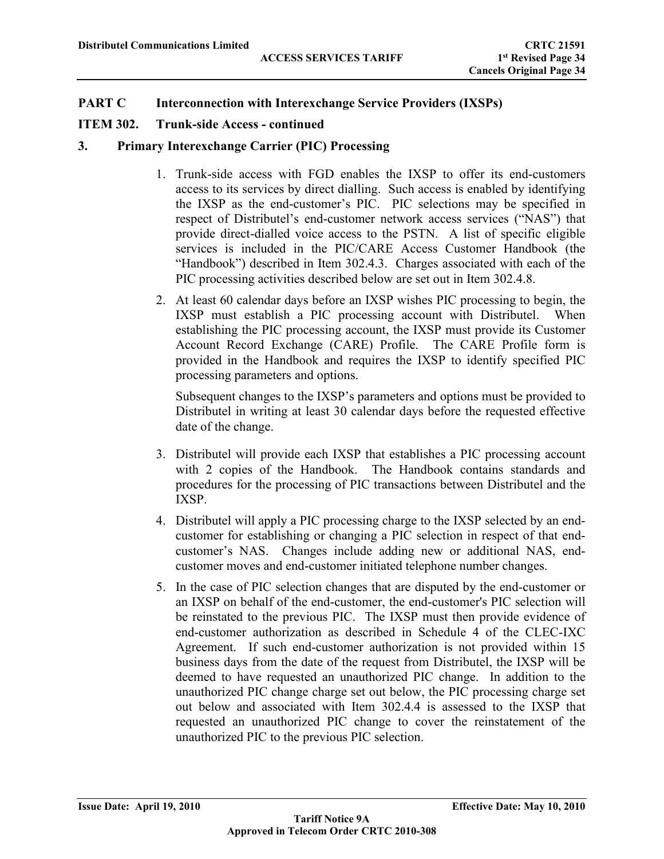# **ITEM 302. Trunk-side Access - continued**

# **3. Primary Interexchange Carrier (PIC) Processing**

- 1. Trunk-side access with FGD enables the IXSP to offer its end-customers access to its services by direct dialling. Such access is enabled by identifying the IXSP as the end-customer's PIC. PIC selections may be specified in respect of Distributel's end-customer network access services ("NAS") that provide direct-dialled voice access to the PSTN. A list of specific eligible services is included in the PIC/CARE Access Customer Handbook (the "Handbook") described in Item 302.4.3. Charges associated with each of the PIC processing activities described below are set out in Item 302.4.8.
- 2. At least 60 calendar days before an IXSP wishes PIC processing to begin, the IXSP must establish a PIC processing account with Distributel. When establishing the PIC processing account, the IXSP must provide its Customer Account Record Exchange (CARE) Profile. The CARE Profile form is provided in the Handbook and requires the IXSP to identify specified PIC processing parameters and options.

Subsequent changes to the IXSP's parameters and options must be provided to Distributel in writing at least 30 calendar days before the requested effective date of the change.

- 3. Distributel will provide each IXSP that establishes a PIC processing account with 2 copies of the Handbook. The Handbook contains standards and procedures for the processing of PIC transactions between Distributel and the IXSP.
- 4. Distributel will apply a PIC processing charge to the IXSP selected by an endcustomer for establishing or changing a PIC selection in respect of that endcustomer's NAS. Changes include adding new or additional NAS, endcustomer moves and end-customer initiated telephone number changes.
- 5. In the case of PIC selection changes that are disputed by the end-customer or an IXSP on behalf of the end-customer, the end-customer's PIC selection will be reinstated to the previous PIC. The IXSP must then provide evidence of end-customer authorization as described in Schedule 4 of the CLEC-IXC Agreement. If such end-customer authorization is not provided within 15 business days from the date of the request from Distributel, the IXSP will be deemed to have requested an unauthorized PIC change. In addition to the unauthorized PIC change charge set out below, the PIC processing charge set out below and associated with Item 302.4.4 is assessed to the IXSP that requested an unauthorized PIC change to cover the reinstatement of the unauthorized PIC to the previous PIC selection.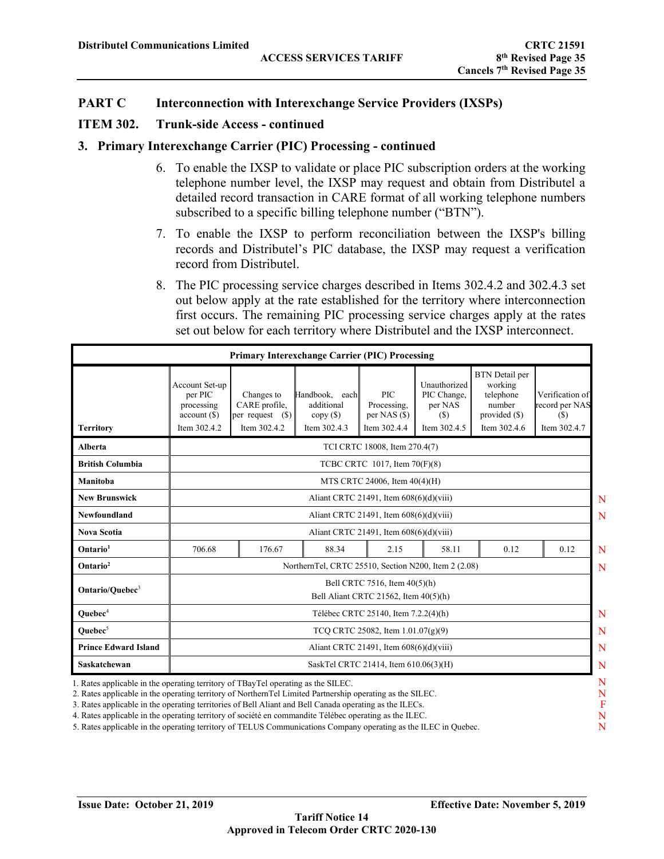#### **ITEM 302. Trunk-side Access - continued**

#### **3. Primary Interexchange Carrier (PIC) Processing - continued**

- 6. To enable the IXSP to validate or place PIC subscription orders at the working telephone number level, the IXSP may request and obtain from Distributel a detailed record transaction in CARE format of all working telephone numbers subscribed to a specific billing telephone number ("BTN").
- 7. To enable the IXSP to perform reconciliation between the IXSP's billing records and Distributel's PIC database, the IXSP may request a verification record from Distributel.
- 8. The PIC processing service charges described in Items 302.4.2 and 302.4.3 set out below apply at the rate established for the territory where interconnection first occurs. The remaining PIC processing service charges apply at the rates set out below for each territory where Distributel and the IXSP interconnect.

|                                                                                   |                                                                       |                                                                  | <b>Primary Interexchange Carrier (PIC) Processing</b>      |                                                                           |                                                               |                                                                                            |                                                          |
|-----------------------------------------------------------------------------------|-----------------------------------------------------------------------|------------------------------------------------------------------|------------------------------------------------------------|---------------------------------------------------------------------------|---------------------------------------------------------------|--------------------------------------------------------------------------------------------|----------------------------------------------------------|
| <b>Territory</b>                                                                  | Account Set-up<br>per PIC<br>processing<br>account(S)<br>Item 302.4.2 | Changes to<br>CARE profile,<br>per request $(S)$<br>Item 302.4.2 | Handbook.<br>each<br>additional<br>copy(S)<br>Item 302.4.3 | <b>PIC</b><br>Processing.<br>per NAS $($ \$)<br>Item 302.4.4              | Unauthorized<br>PIC Change,<br>per NAS<br>(S)<br>Item 302.4.5 | <b>BTN</b> Detail per<br>working<br>telephone<br>number<br>provided $(\$)$<br>Item 302.4.6 | Verification of<br>record per NAS<br>(S)<br>Item 302.4.7 |
| Alberta                                                                           |                                                                       |                                                                  |                                                            | TCI CRTC 18008, Item 270.4(7)                                             |                                                               |                                                                                            |                                                          |
| <b>British Columbia</b>                                                           |                                                                       |                                                                  |                                                            | TCBC CRTC 1017, Item 70(F)(8)                                             |                                                               |                                                                                            |                                                          |
| Manitoba                                                                          |                                                                       |                                                                  |                                                            | MTS CRTC 24006, Item 40(4)(H)                                             |                                                               |                                                                                            |                                                          |
| <b>New Brunswick</b>                                                              |                                                                       | Aliant CRTC 21491, Item $608(6)(d)(viii)$                        |                                                            |                                                                           |                                                               |                                                                                            |                                                          |
| Newfoundland                                                                      |                                                                       |                                                                  |                                                            | Aliant CRTC 21491, Item $608(6)(d)(viii)$                                 |                                                               |                                                                                            |                                                          |
| <b>Nova Scotia</b>                                                                |                                                                       |                                                                  |                                                            | Aliant CRTC 21491, Item $608(6)(d)(viii)$                                 |                                                               |                                                                                            |                                                          |
| Ontario <sup>1</sup>                                                              | 706.68                                                                | 176.67                                                           | 88.34                                                      | 2.15                                                                      | 58.11                                                         | 0.12                                                                                       | 0.12                                                     |
| Ontario <sup>2</sup>                                                              |                                                                       |                                                                  | NorthernTel, CRTC 25510, Section N200, Item 2 (2.08)       |                                                                           |                                                               |                                                                                            |                                                          |
| Ontario/Ouebec <sup>3</sup>                                                       |                                                                       |                                                                  |                                                            | Bell CRTC 7516, Item 40(5)(h)<br>Bell Aliant CRTC 21562, Item $40(5)$ (h) |                                                               |                                                                                            |                                                          |
| Ouebec <sup>4</sup>                                                               |                                                                       |                                                                  |                                                            | Télébec CRTC 25140, Item 7.2.2(4)(h)                                      |                                                               |                                                                                            |                                                          |
| Ouebec $5$                                                                        |                                                                       | TCQ CRTC 25082, Item $1.01.07(g)(9)$                             |                                                            |                                                                           |                                                               |                                                                                            |                                                          |
| <b>Prince Edward Island</b>                                                       |                                                                       |                                                                  |                                                            | Aliant CRTC 21491, Item $608(6)(d)(viii)$                                 |                                                               |                                                                                            |                                                          |
| Saskatchewan                                                                      |                                                                       |                                                                  |                                                            | SaskTel CRTC 21414, Item 610.06(3)(H)                                     |                                                               |                                                                                            |                                                          |
| 1. Rates applicable in the operating territory of TBayTel operating as the SILEC. |                                                                       |                                                                  |                                                            |                                                                           |                                                               |                                                                                            |                                                          |

1. Rates applicable in the operating territory of TBayTel operating as the SILEC.

2. Rates applicable in the operating territory of NorthernTel Limited Partnership operating as the SILEC.

3. Rates applicable in the operating territories of Bell Aliant and Bell Canada operating as the ILECs.

4. Rates applicable in the operating territory of société en commandite Télébec operating as the ILEC.

5. Rates applicable in the operating territory of TELUS Communications Company operating as the ILEC in Quebec.

N F N N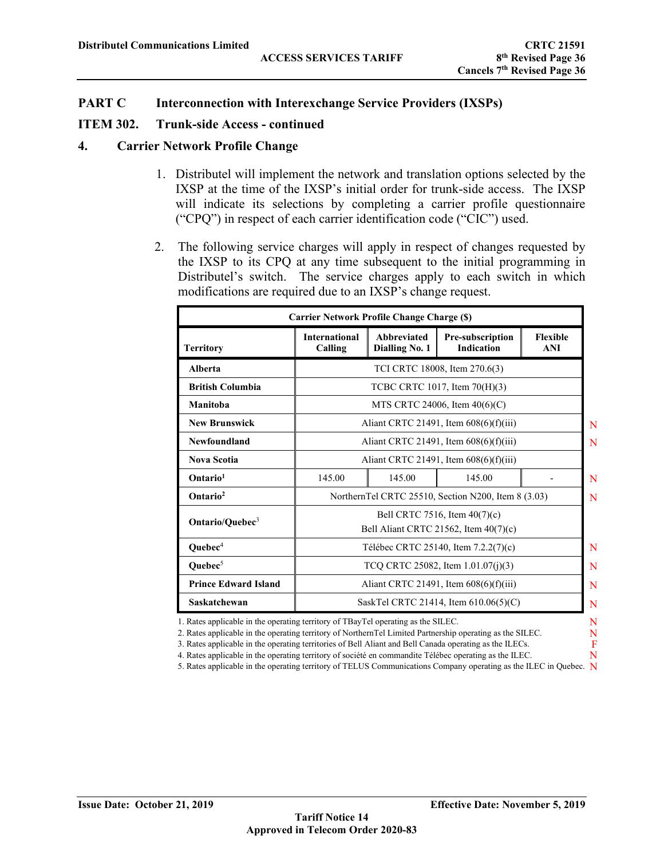#### **ITEM 302. Trunk-side Access - continued**

#### **4. Carrier Network Profile Change**

- 1. Distributel will implement the network and translation options selected by the IXSP at the time of the IXSP's initial order for trunk-side access. The IXSP will indicate its selections by completing a carrier profile questionnaire ("CPQ") in respect of each carrier identification code ("CIC") used.
- 2. The following service charges will apply in respect of changes requested by the IXSP to its CPQ at any time subsequent to the initial programming in Distributel's switch. The service charges apply to each switch in which modifications are required due to an IXSP's change request.

| <b>Carrier Network Profile Change Charge (\$)</b> |                                                                                                                                            |  |                                                                        |  |  |  |  |
|---------------------------------------------------|--------------------------------------------------------------------------------------------------------------------------------------------|--|------------------------------------------------------------------------|--|--|--|--|
| <b>Territory</b>                                  | <b>International</b><br>Abbreviated<br>Pre-subscription<br><b>Flexible</b><br>Calling<br><b>Dialling No. 1</b><br><b>Indication</b><br>ANI |  |                                                                        |  |  |  |  |
| Alberta                                           |                                                                                                                                            |  | TCI CRTC 18008, Item 270.6(3)                                          |  |  |  |  |
| <b>British Columbia</b>                           |                                                                                                                                            |  | TCBC CRTC 1017, Item 70(H)(3)                                          |  |  |  |  |
| Manitoba                                          |                                                                                                                                            |  | MTS CRTC 24006, Item $40(6)(C)$                                        |  |  |  |  |
| <b>New Brunswick</b>                              |                                                                                                                                            |  | Aliant CRTC 21491, Item $608(6)(f)(iii)$                               |  |  |  |  |
| Newfoundland                                      |                                                                                                                                            |  | Aliant CRTC 21491, Item $608(6)(f)(iii)$                               |  |  |  |  |
| <b>Nova Scotia</b>                                |                                                                                                                                            |  | Aliant CRTC 21491, Item 608(6)(f)(iii)                                 |  |  |  |  |
| Ontario <sup>1</sup>                              | 145.00<br>145.00<br>145.00                                                                                                                 |  |                                                                        |  |  |  |  |
| Ontario <sup>2</sup>                              |                                                                                                                                            |  | NorthernTel CRTC 25510, Section N200, Item 8 (3.03)                    |  |  |  |  |
| Ontario/Quebec <sup>3</sup>                       |                                                                                                                                            |  | Bell CRTC 7516, Item 40(7)(c)<br>Bell Aliant CRTC 21562, Item 40(7)(c) |  |  |  |  |
| Quebec <sup>4</sup>                               |                                                                                                                                            |  | Télébec CRTC 25140, Item 7.2.2(7)(c)                                   |  |  |  |  |
| Quebec <sup>5</sup>                               | TCQ CRTC 25082, Item $1.01.07(i)(3)$                                                                                                       |  |                                                                        |  |  |  |  |
| <b>Prince Edward Island</b>                       |                                                                                                                                            |  | Aliant CRTC 21491, Item $608(6)(f)(iii)$                               |  |  |  |  |
| Saskatchewan                                      |                                                                                                                                            |  | SaskTel CRTC 21414, Item 610.06(5)(C)                                  |  |  |  |  |

1. Rates applicable in the operating territory of TBayTel operating as the SILEC.

2. Rates applicable in the operating territory of NorthernTel Limited Partnership operating as the SILEC.

- 3. Rates applicable in the operating territories of Bell Aliant and Bell Canada operating as the ILECs. 4. Rates applicable in the operating territory of société en commandite Télébec operating as the ILEC.
- N 5. Rates applicable in the operating territory of TELUS Communications Company operating as the ILEC in Quebec. N

N F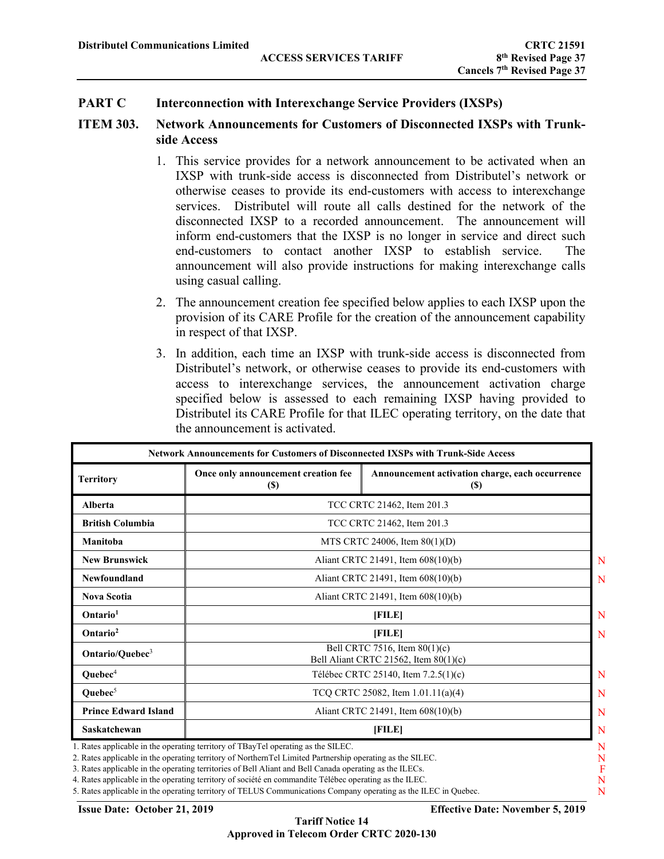## **ITEM 303. Network Announcements for Customers of Disconnected IXSPs with Trunkside Access**

- 1. This service provides for a network announcement to be activated when an IXSP with trunk-side access is disconnected from Distributel's network or otherwise ceases to provide its end-customers with access to interexchange services. Distributel will route all calls destined for the network of the disconnected IXSP to a recorded announcement. The announcement will inform end-customers that the IXSP is no longer in service and direct such end-customers to contact another IXSP to establish service. The announcement will also provide instructions for making interexchange calls using casual calling.
- 2. The announcement creation fee specified below applies to each IXSP upon the provision of its CARE Profile for the creation of the announcement capability in respect of that IXSP.
- 3. In addition, each time an IXSP with trunk-side access is disconnected from Distributel's network, or otherwise ceases to provide its end-customers with access to interexchange services, the announcement activation charge specified below is assessed to each remaining IXSP having provided to Distributel its CARE Profile for that ILEC operating territory, on the date that the announcement is activated.

| Territory                   | Once only announcement creation fee<br><b>(\$)</b> | Announcement activation charge, each occurrence<br>(S)                 |  |  |  |
|-----------------------------|----------------------------------------------------|------------------------------------------------------------------------|--|--|--|
| Alberta                     |                                                    | TCC CRTC 21462, Item 201.3                                             |  |  |  |
| <b>British Columbia</b>     |                                                    | TCC CRTC 21462, Item 201.3                                             |  |  |  |
| Manitoba                    |                                                    | MTS CRTC 24006, Item $80(1)(D)$                                        |  |  |  |
| <b>New Brunswick</b>        |                                                    | Aliant CRTC 21491, Item 608(10)(b)                                     |  |  |  |
| Newfoundland                |                                                    | Aliant CRTC 21491, Item 608(10)(b)                                     |  |  |  |
| <b>Nova Scotia</b>          | Aliant CRTC 21491, Item 608(10)(b)                 |                                                                        |  |  |  |
| Ontario <sup>1</sup>        |                                                    | [FILE]                                                                 |  |  |  |
| Ontario <sup>2</sup>        |                                                    | [FILE]                                                                 |  |  |  |
| Ontario/Quebec <sup>3</sup> |                                                    | Bell CRTC 7516, Item 80(1)(c)<br>Bell Aliant CRTC 21562, Item 80(1)(c) |  |  |  |
| Quebec <sup>4</sup>         |                                                    | Télébec CRTC 25140, Item 7.2.5(1)(c)                                   |  |  |  |
| Quebec <sup>5</sup>         |                                                    | TCQ CRTC 25082, Item $1.01.11(a)(4)$                                   |  |  |  |
| <b>Prince Edward Island</b> |                                                    | Aliant CRTC 21491, Item 608(10)(b)                                     |  |  |  |
| Saskatchewan                |                                                    | [FILE]                                                                 |  |  |  |

3. Rates applicable in the operating territories of Bell Aliant and Bell Canada operating as the ILECs.

4. Rates applicable in the operating territory of société en commandite Télébec operating as the ILEC.

5. Rates applicable in the operating territory of TELUS Communications Company operating as the ILEC in Quebec.

**Issue Date: October 21, 2019 Effective Date: November 5, 2019**

F N N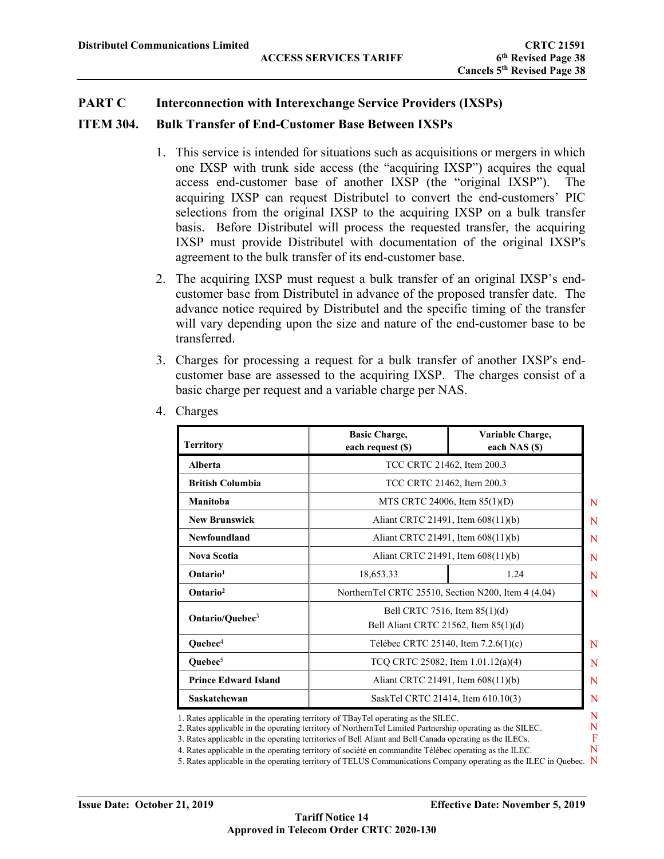### **ITEM 304. Bulk Transfer of End-Customer Base Between IXSPs**

- 1. This service is intended for situations such as acquisitions or mergers in which one IXSP with trunk side access (the "acquiring IXSP") acquires the equal access end-customer base of another IXSP (the "original IXSP"). The acquiring IXSP can request Distributel to convert the end-customers' PIC selections from the original IXSP to the acquiring IXSP on a bulk transfer basis. Before Distributel will process the requested transfer, the acquiring IXSP must provide Distributel with documentation of the original IXSP's agreement to the bulk transfer of its end-customer base.
- 2. The acquiring IXSP must request a bulk transfer of an original IXSP's endcustomer base from Distributel in advance of the proposed transfer date. The advance notice required by Distributel and the specific timing of the transfer will vary depending upon the size and nature of the end-customer base to be transferred.
- 3. Charges for processing a request for a bulk transfer of another IXSP's endcustomer base are assessed to the acquiring IXSP. The charges consist of a basic charge per request and a variable charge per NAS.

| <b>Territory</b>            | <b>Basic Charge,</b><br>each request (\$)                                      | Variable Charge,<br>each NAS (\$) |  |  |
|-----------------------------|--------------------------------------------------------------------------------|-----------------------------------|--|--|
| Alberta                     | TCC CRTC 21462, Item 200.3                                                     |                                   |  |  |
| <b>British Columbia</b>     | TCC CRTC 21462, Item 200.3                                                     |                                   |  |  |
| Manitoba                    | MTS CRTC 24006, Item $85(1)(D)$                                                |                                   |  |  |
| <b>New Brunswick</b>        | Aliant CRTC 21491, Item 608(11)(b)                                             |                                   |  |  |
| Newfoundland                | Aliant CRTC 21491, Item 608(11)(b)                                             |                                   |  |  |
| <b>Nova Scotia</b>          | Aliant CRTC 21491, Item 608(11)(b)                                             |                                   |  |  |
| Ontario <sup>1</sup>        | 18,653.33<br>1.24                                                              |                                   |  |  |
| Ontario <sup>2</sup>        | NorthernTel CRTC 25510, Section N200, Item 4 (4.04)                            |                                   |  |  |
| Ontario/Quebec <sup>3</sup> | Bell CRTC 7516, Item 85(1)(d)<br>Bell Aliant CRTC 21562, Item 85(1)(d)         |                                   |  |  |
| Quebec <sup>4</sup>         | Télébec CRTC 25140, Item 7.2.6(1)(c)                                           |                                   |  |  |
| Quebec <sup>5</sup>         | TCQ CRTC 25082, Item 1.01.12(a)(4)                                             |                                   |  |  |
| <b>Prince Edward Island</b> | Aliant CRTC 21491, Item 608(11)(b)                                             |                                   |  |  |
| Saskatchewan                | SaskTel CRTC 21414, Item 610.10(3)                                             |                                   |  |  |
|                             | Rates applicable in the operating territory of TBayTel operating as the SILEC. |                                   |  |  |

4. Charges

1. Rates applicable in the operating territory of TBayTel operating as the SILEC.

2. Rates applicable in the operating territory of NorthernTel Limited Partnership operating as the SILEC.

3. Rates applicable in the operating territories of Bell Aliant and Bell Canada operating as the ILECs.

4. Rates applicable in the operating territory of société en commandite Télébec operating as the ILEC.

5. Rates applicable in the operating territory of TELUS Communications Company operating as the ILEC in Quebec. N

N F N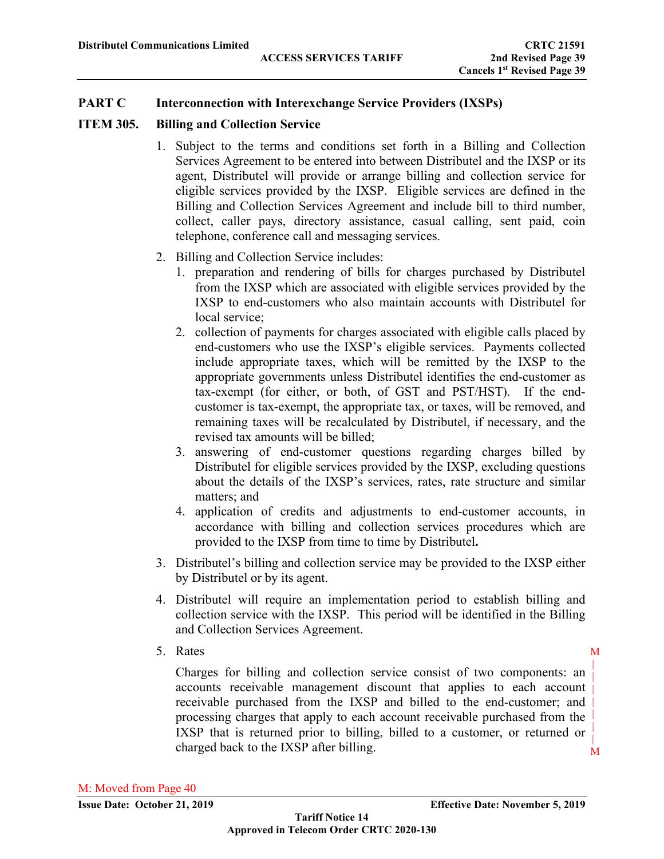# **ITEM 305. Billing and Collection Service**

- 1. Subject to the terms and conditions set forth in a Billing and Collection Services Agreement to be entered into between Distributel and the IXSP or its agent, Distributel will provide or arrange billing and collection service for eligible services provided by the IXSP. Eligible services are defined in the Billing and Collection Services Agreement and include bill to third number, collect, caller pays, directory assistance, casual calling, sent paid, coin telephone, conference call and messaging services.
- 2. Billing and Collection Service includes:
	- 1. preparation and rendering of bills for charges purchased by Distributel from the IXSP which are associated with eligible services provided by the IXSP to end-customers who also maintain accounts with Distributel for local service;
	- 2. collection of payments for charges associated with eligible calls placed by end-customers who use the IXSP's eligible services. Payments collected include appropriate taxes, which will be remitted by the IXSP to the appropriate governments unless Distributel identifies the end-customer as tax-exempt (for either, or both, of GST and PST/HST). If the endcustomer is tax-exempt, the appropriate tax, or taxes, will be removed, and remaining taxes will be recalculated by Distributel, if necessary, and the revised tax amounts will be billed;
	- 3. answering of end-customer questions regarding charges billed by Distributel for eligible services provided by the IXSP, excluding questions about the details of the IXSP's services, rates, rate structure and similar matters; and
	- 4. application of credits and adjustments to end-customer accounts, in accordance with billing and collection services procedures which are provided to the IXSP from time to time by Distributel**.**
- 3. Distributel's billing and collection service may be provided to the IXSP either by Distributel or by its agent.
- 4. Distributel will require an implementation period to establish billing and collection service with the IXSP. This period will be identified in the Billing and Collection Services Agreement.
- 5. Rates

M Charges for billing and collection service consist of two components: an accounts receivable management discount that applies to each account receivable purchased from the IXSP and billed to the end-customer; and processing charges that apply to each account receivable purchased from the IXSP that is returned prior to billing, billed to a customer, or returned or charged back to the IXSP after billing.

M |

|

|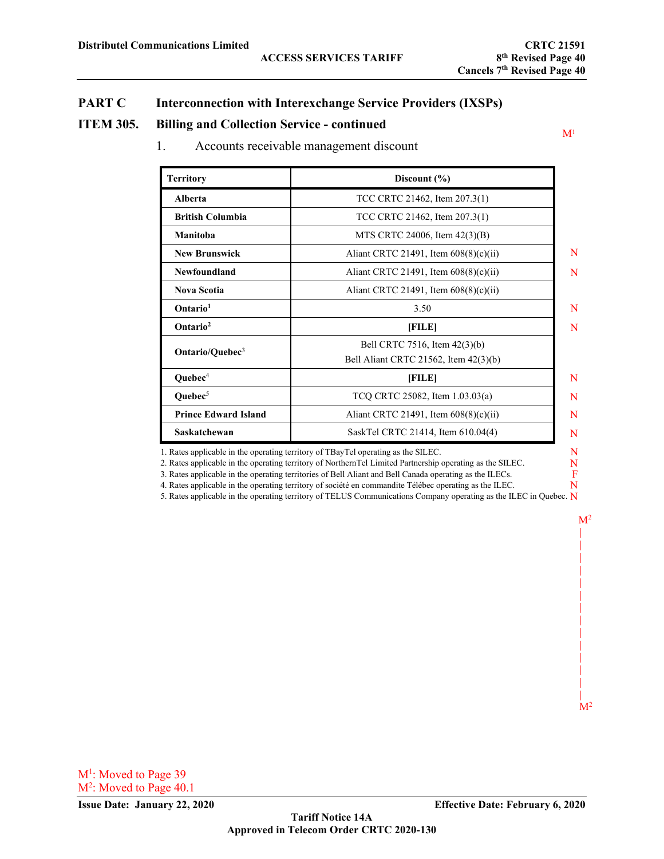$M<sup>1</sup>$ 

N F N

 $M^2$ || || || | | | | | | | | | | | | |  $M<sup>2</sup>$ 

# **PART C Interconnection with Interexchange Service Providers (IXSPs)**

#### **ITEM 305. Billing and Collection Service - continued**

1. Accounts receivable management discount

| <b>Territory</b>            | Discount $(\% )$                                                       |  |
|-----------------------------|------------------------------------------------------------------------|--|
| Alberta                     | TCC CRTC 21462, Item 207.3(1)                                          |  |
| <b>British Columbia</b>     | TCC CRTC 21462, Item 207.3(1)                                          |  |
| Manitoba                    | MTS CRTC 24006, Item 42(3)(B)                                          |  |
| <b>New Brunswick</b>        | Aliant CRTC 21491, Item $608(8)(c)(ii)$                                |  |
| Newfoundland                | Aliant CRTC 21491, Item $608(8)(c)(ii)$                                |  |
| <b>Nova Scotia</b>          | Aliant CRTC 21491, Item $608(8)(c)(ii)$                                |  |
| Ontario <sup>1</sup>        | 3.50                                                                   |  |
| Ontario <sup>2</sup>        | [FILE]                                                                 |  |
| Ontario/Quebec <sup>3</sup> | Bell CRTC 7516, Item 42(3)(b)<br>Bell Aliant CRTC 21562, Item 42(3)(b) |  |
| Quebec <sup>4</sup>         | [FILE]                                                                 |  |
| Quebec <sup>5</sup>         | TCQ CRTC 25082, Item 1.03.03(a)                                        |  |
| <b>Prince Edward Island</b> | Aliant CRTC 21491, Item $608(8)(c)(ii)$                                |  |
| Saskatchewan                | SaskTel CRTC 21414, Item 610.04(4)                                     |  |

1. Rates applicable in the operating territory of TBayTel operating as the SILEC.

2. Rates applicable in the operating territory of NorthernTel Limited Partnership operating as the SILEC.

3. Rates applicable in the operating territories of Bell Aliant and Bell Canada operating as the ILECs.

4. Rates applicable in the operating territory of société en commandite Télébec operating as the ILEC.

5. Rates applicable in the operating territory of TELUS Communications Company operating as the ILEC in Quebec. N

M<sup>1</sup>: Moved to Page 39 M<sup>2</sup>: Moved to Page 40.1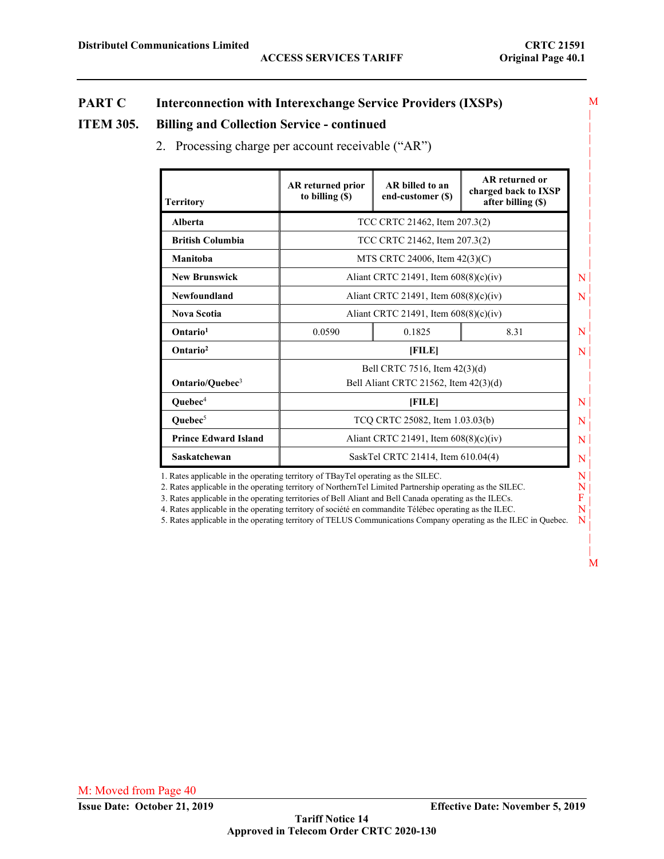M | | | |

# **PART C Interconnection with Interexchange Service Providers (IXSPs)**

#### **ITEM 305. Billing and Collection Service - continued**

2. Processing charge per account receivable ("AR")

| <b>Territory</b>            | <b>AR</b> returned prior<br>to billing $(\$)$ | AR billed to an<br>end-customer (\$)                                   | AR returned or<br>charged back to IXSP<br>after billing $(\$)$ |  |  |  |
|-----------------------------|-----------------------------------------------|------------------------------------------------------------------------|----------------------------------------------------------------|--|--|--|
| Alberta                     |                                               | TCC CRTC 21462, Item 207.3(2)                                          |                                                                |  |  |  |
| <b>British Columbia</b>     |                                               | TCC CRTC 21462, Item 207.3(2)                                          |                                                                |  |  |  |
| Manitoba                    |                                               | MTS CRTC 24006, Item $42(3)(C)$                                        |                                                                |  |  |  |
| <b>New Brunswick</b>        |                                               | Aliant CRTC 21491, Item $608(8)(c)(iv)$                                |                                                                |  |  |  |
| Newfoundland                |                                               | Aliant CRTC 21491, Item $608(8)(c)(iv)$                                |                                                                |  |  |  |
| <b>Nova Scotia</b>          |                                               | Aliant CRTC 21491, Item $608(8)(c)(iv)$                                |                                                                |  |  |  |
| Ontario <sup>1</sup>        | 0.0590                                        | 0.1825                                                                 | 8.31                                                           |  |  |  |
| Ontario <sup>2</sup>        |                                               | [FILE]                                                                 |                                                                |  |  |  |
| Ontario/Quebec <sup>3</sup> |                                               | Bell CRTC 7516, Item 42(3)(d)<br>Bell Aliant CRTC 21562, Item 42(3)(d) |                                                                |  |  |  |
| Quebec <sup>4</sup>         |                                               | [FILE]                                                                 |                                                                |  |  |  |
| Quebec <sup>5</sup>         |                                               | TCQ CRTC 25082, Item 1.03.03(b)                                        |                                                                |  |  |  |
| <b>Prince Edward Island</b> |                                               | Aliant CRTC 21491, Item $608(8)(c)(iv)$                                |                                                                |  |  |  |
| Saskatchewan                |                                               | SaskTel CRTC 21414, Item 610.04(4)                                     |                                                                |  |  |  |

1. Rates applicable in the operating territory of TBayTel operating as the SILEC.

2. Rates applicable in the operating territory of NorthernTel Limited Partnership operating as the SILEC.

3. Rates applicable in the operating territories of Bell Aliant and Bell Canada operating as the ILECs.

4. Rates applicable in the operating territory of société en commandite Télébec operating as the ILEC.

5. Rates applicable in the operating territory of TELUS Communications Company operating as the ILEC in Quebec.

| |

N N F N N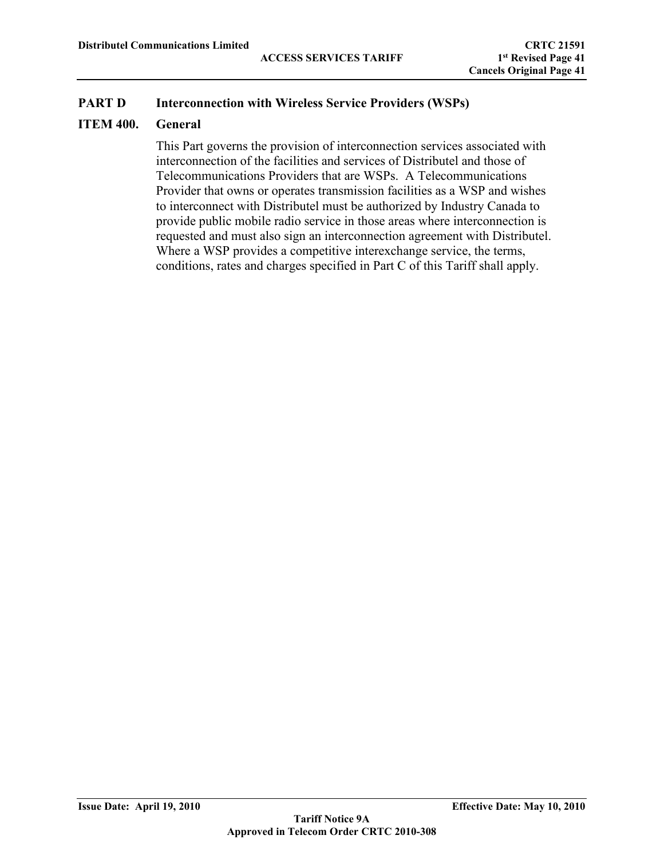# **ITEM 400. General**

This Part governs the provision of interconnection services associated with interconnection of the facilities and services of Distributel and those of Telecommunications Providers that are WSPs. A Telecommunications Provider that owns or operates transmission facilities as a WSP and wishes to interconnect with Distributel must be authorized by Industry Canada to provide public mobile radio service in those areas where interconnection is requested and must also sign an interconnection agreement with Distributel. Where a WSP provides a competitive interexchange service, the terms, conditions, rates and charges specified in Part C of this Tariff shall apply.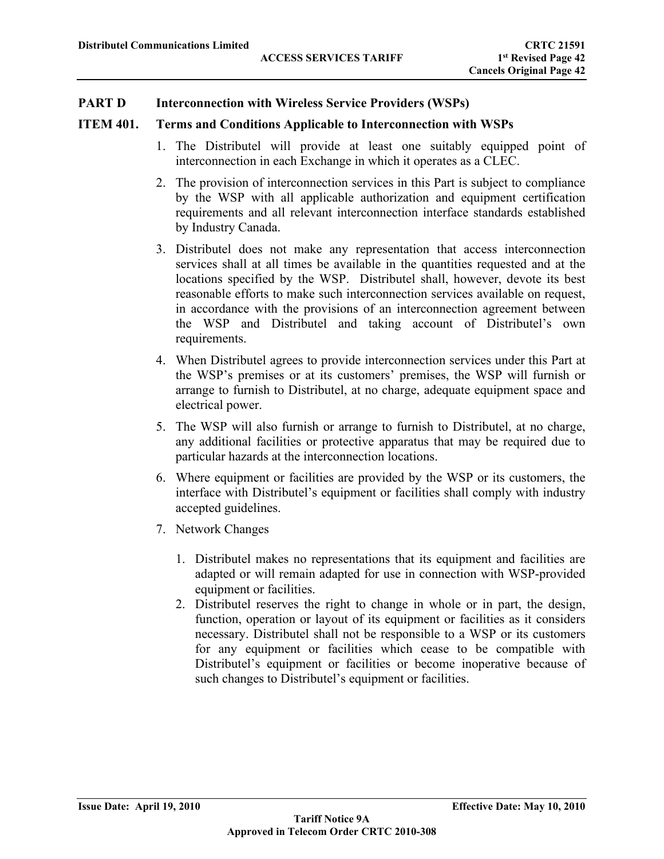### **ITEM 401. Terms and Conditions Applicable to Interconnection with WSPs**

- 1. The Distributel will provide at least one suitably equipped point of interconnection in each Exchange in which it operates as a CLEC.
- 2. The provision of interconnection services in this Part is subject to compliance by the WSP with all applicable authorization and equipment certification requirements and all relevant interconnection interface standards established by Industry Canada.
- 3. Distributel does not make any representation that access interconnection services shall at all times be available in the quantities requested and at the locations specified by the WSP. Distributel shall, however, devote its best reasonable efforts to make such interconnection services available on request, in accordance with the provisions of an interconnection agreement between the WSP and Distributel and taking account of Distributel's own requirements.
- 4. When Distributel agrees to provide interconnection services under this Part at the WSP's premises or at its customers' premises, the WSP will furnish or arrange to furnish to Distributel, at no charge, adequate equipment space and electrical power.
- 5. The WSP will also furnish or arrange to furnish to Distributel, at no charge, any additional facilities or protective apparatus that may be required due to particular hazards at the interconnection locations.
- 6. Where equipment or facilities are provided by the WSP or its customers, the interface with Distributel's equipment or facilities shall comply with industry accepted guidelines.
- 7. Network Changes
	- 1. Distributel makes no representations that its equipment and facilities are adapted or will remain adapted for use in connection with WSP-provided equipment or facilities.
	- 2. Distributel reserves the right to change in whole or in part, the design, function, operation or layout of its equipment or facilities as it considers necessary. Distributel shall not be responsible to a WSP or its customers for any equipment or facilities which cease to be compatible with Distributel's equipment or facilities or become inoperative because of such changes to Distributel's equipment or facilities.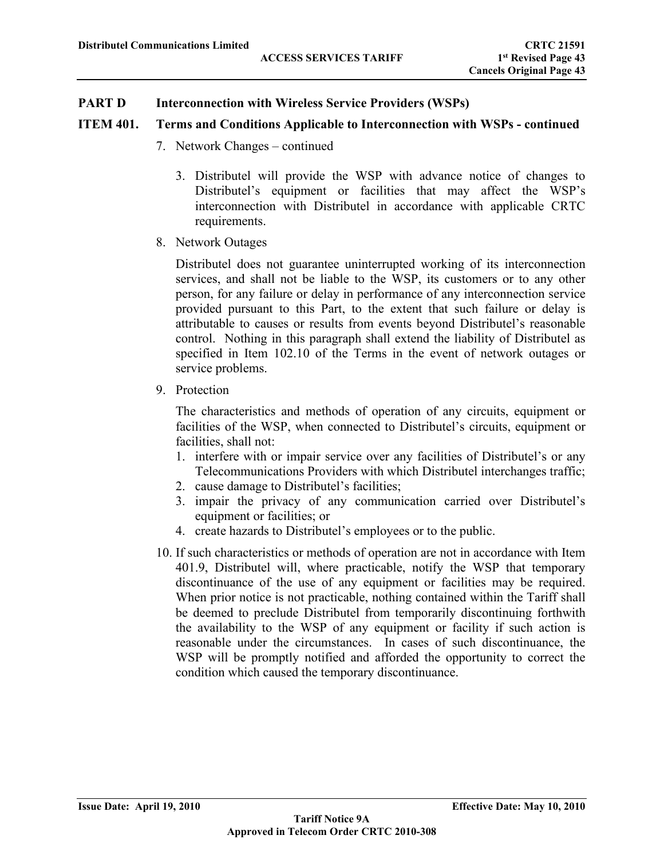# **ITEM 401. Terms and Conditions Applicable to Interconnection with WSPs - continued**

- 7. Network Changes continued
	- 3. Distributel will provide the WSP with advance notice of changes to Distributel's equipment or facilities that may affect the WSP's interconnection with Distributel in accordance with applicable CRTC requirements.
- 8. Network Outages

Distributel does not guarantee uninterrupted working of its interconnection services, and shall not be liable to the WSP, its customers or to any other person, for any failure or delay in performance of any interconnection service provided pursuant to this Part, to the extent that such failure or delay is attributable to causes or results from events beyond Distributel's reasonable control. Nothing in this paragraph shall extend the liability of Distributel as specified in Item 102.10 of the Terms in the event of network outages or service problems.

9. Protection

The characteristics and methods of operation of any circuits, equipment or facilities of the WSP, when connected to Distributel's circuits, equipment or facilities, shall not:

- 1. interfere with or impair service over any facilities of Distributel's or any Telecommunications Providers with which Distributel interchanges traffic;
- 2. cause damage to Distributel's facilities;
- 3. impair the privacy of any communication carried over Distributel's equipment or facilities; or
- 4. create hazards to Distributel's employees or to the public.
- 10. If such characteristics or methods of operation are not in accordance with Item 401.9, Distributel will, where practicable, notify the WSP that temporary discontinuance of the use of any equipment or facilities may be required. When prior notice is not practicable, nothing contained within the Tariff shall be deemed to preclude Distributel from temporarily discontinuing forthwith the availability to the WSP of any equipment or facility if such action is reasonable under the circumstances. In cases of such discontinuance, the WSP will be promptly notified and afforded the opportunity to correct the condition which caused the temporary discontinuance.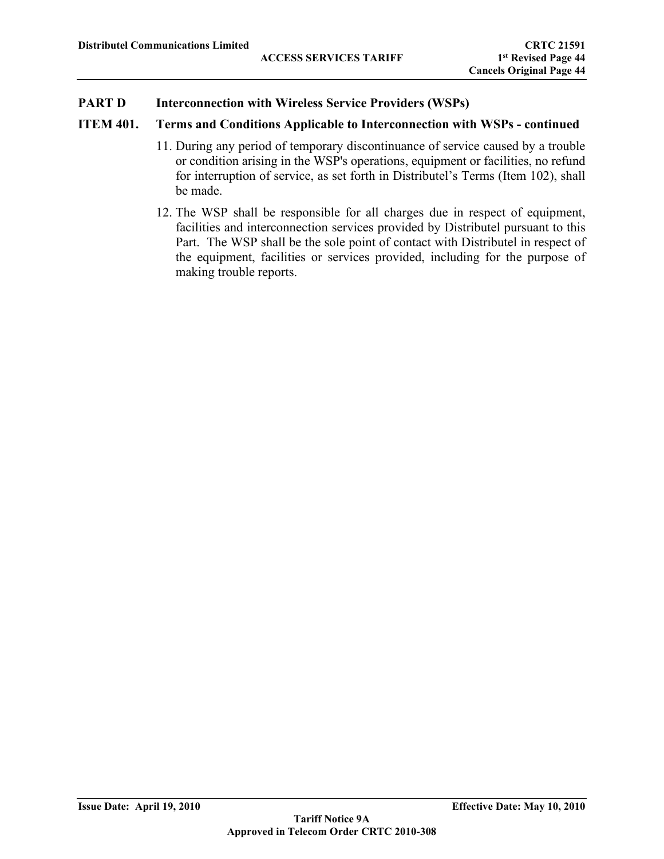# **ITEM 401. Terms and Conditions Applicable to Interconnection with WSPs - continued**

- 11. During any period of temporary discontinuance of service caused by a trouble or condition arising in the WSP's operations, equipment or facilities, no refund for interruption of service, as set forth in Distributel's Terms (Item 102), shall be made.
- 12. The WSP shall be responsible for all charges due in respect of equipment, facilities and interconnection services provided by Distributel pursuant to this Part. The WSP shall be the sole point of contact with Distributel in respect of the equipment, facilities or services provided, including for the purpose of making trouble reports.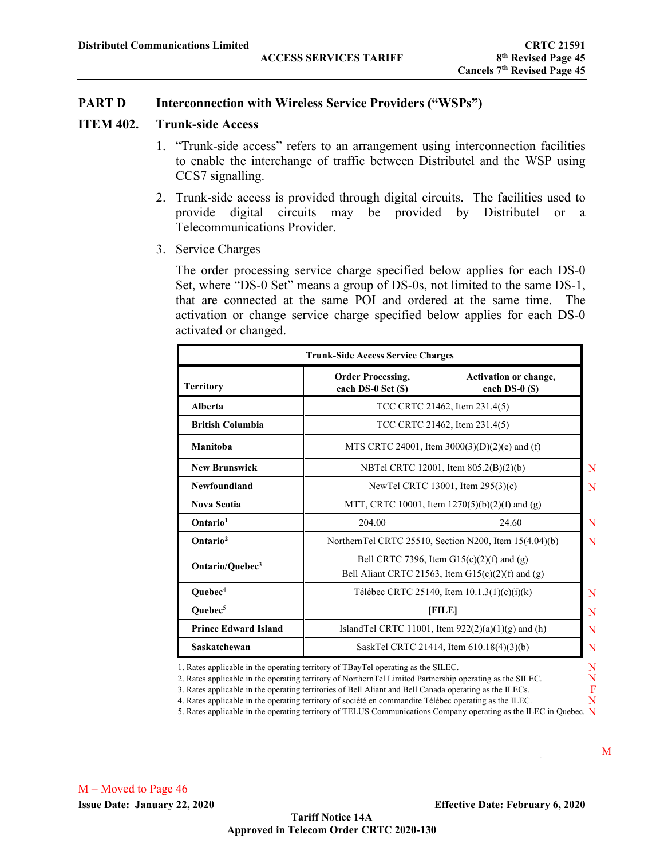#### **ITEM 402. Trunk-side Access**

- 1. "Trunk-side access" refers to an arrangement using interconnection facilities to enable the interchange of traffic between Distributel and the WSP using CCS7 signalling.
- 2. Trunk-side access is provided through digital circuits. The facilities used to provide digital circuits may be provided by Distributel or a Telecommunications Provider.
- 3. Service Charges

The order processing service charge specified below applies for each DS-0 Set, where "DS-0 Set" means a group of DS-0s, not limited to the same DS-1, that are connected at the same POI and ordered at the same time. The activation or change service charge specified below applies for each DS-0 activated or changed.

|                             | <b>Trunk-Side Access Service Charges</b>       |                                                                                                    |   |  |  |  |
|-----------------------------|------------------------------------------------|----------------------------------------------------------------------------------------------------|---|--|--|--|
| <b>Territory</b>            | <b>Order Processing,</b><br>each DS-0 Set (\$) | <b>Activation or change,</b><br>each $DS-0(S)$                                                     |   |  |  |  |
| Alberta                     |                                                | TCC CRTC 21462, Item 231.4(5)                                                                      |   |  |  |  |
| <b>British Columbia</b>     |                                                | TCC CRTC 21462, Item 231.4(5)                                                                      |   |  |  |  |
| Manitoba                    |                                                | MTS CRTC 24001, Item $3000(3)(D)(2)(e)$ and (f)                                                    |   |  |  |  |
| <b>New Brunswick</b>        |                                                | NBTel CRTC 12001, Item 805.2(B)(2)(b)                                                              |   |  |  |  |
| Newfoundland                |                                                | NewTel CRTC 13001, Item 295(3)(c)                                                                  |   |  |  |  |
| <b>Nova Scotia</b>          |                                                | MTT, CRTC 10001, Item $1270(5)(b)(2)(f)$ and (g)                                                   |   |  |  |  |
| Ontario <sup>1</sup>        | 204.00                                         | 24.60                                                                                              | N |  |  |  |
| Ontario <sup>2</sup>        |                                                | NorthernTel CRTC 25510, Section N200, Item 15(4.04)(b)                                             | N |  |  |  |
| Ontario/Quebec <sup>3</sup> |                                                | Bell CRTC 7396, Item $G15(c)(2)(f)$ and $(g)$<br>Bell Aliant CRTC 21563, Item G15(c)(2)(f) and (g) |   |  |  |  |
| Quebec <sup>4</sup>         |                                                | Télébec CRTC 25140, Item 10.1.3(1)(c)(i)(k)                                                        | N |  |  |  |
| Ouebec $5$                  |                                                | [FILE]                                                                                             |   |  |  |  |
| <b>Prince Edward Island</b> |                                                | IslandTel CRTC 11001, Item $922(2)(a)(1)(g)$ and (h)                                               | N |  |  |  |
| Saskatchewan                |                                                | SaskTel CRTC 21414, Item 610.18(4)(3)(b)                                                           | N |  |  |  |

1. Rates applicable in the operating territory of TBayTel operating as the SILEC.

2. Rates applicable in the operating territory of NorthernTel Limited Partnership operating as the SILEC.

3. Rates applicable in the operating territories of Bell Aliant and Bell Canada operating as the ILECs.

4. Rates applicable in the operating territory of société en commandite Télébec operating as the ILEC.

5. Rates applicable in the operating territory of TELUS Communications Company operating as the ILEC in Quebec. N

N N F N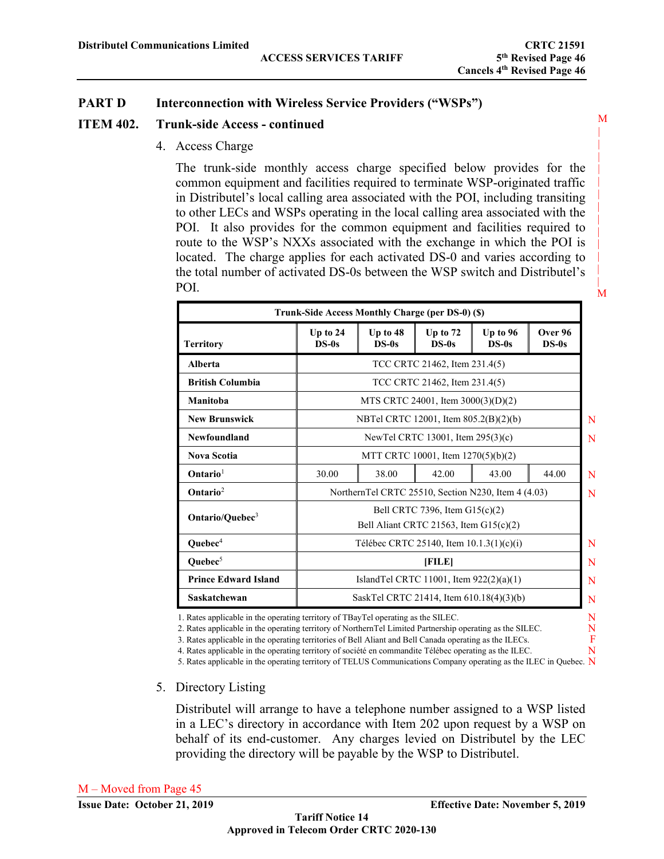#### **ITEM 402. Trunk-side Access - continued**

4. Access Charge

 | The trunk-side monthly access charge specified below provides for the common equipment and facilities required to terminate WSP-originated traffic | to other LECs and WSPs operating in the local calling area associated with the  $\begin{bmatrix} 1 & 1 & 1 & 1 \\ 1 & 1 & 1 & 1 \end{bmatrix}$ POI. It also provides for the common equipment and facilities required to route to the WSP's NXXs associated with the exchange in which the POI is located. The charge applies for each activated DS-0 and varies according to the total number of activated DS-0s between the WSP switch and Distributel's || in Distributel's local calling area associated with the POI, including transiting POI.

|                             | Trunk-Side Access Monthly Charge (per DS-0) (\$) |                                                                                             |                                    |       |       |  |  |  |
|-----------------------------|--------------------------------------------------|---------------------------------------------------------------------------------------------|------------------------------------|-------|-------|--|--|--|
| <b>Territory</b>            | Up to $24$<br>$DS-0s$                            | Over 96<br>Up to $48$<br>Up to $72$<br>Up to 96<br>$DS-0s$<br>$DS-0s$<br>$DS-0s$<br>$DS-0s$ |                                    |       |       |  |  |  |
| Alberta                     |                                                  |                                                                                             | TCC CRTC 21462, Item 231.4(5)      |       |       |  |  |  |
| <b>British Columbia</b>     |                                                  |                                                                                             | TCC CRTC 21462, Item 231.4(5)      |       |       |  |  |  |
| Manitoba                    |                                                  |                                                                                             | MTS CRTC 24001, Item 3000(3)(D)(2) |       |       |  |  |  |
| <b>New Brunswick</b>        |                                                  | NBTel CRTC 12001, Item 805.2(B)(2)(b)                                                       |                                    |       |       |  |  |  |
| Newfoundland                | NewTel CRTC 13001, Item 295(3)(c)                |                                                                                             |                                    |       |       |  |  |  |
| <b>Nova Scotia</b>          |                                                  |                                                                                             | MTT CRTC 10001, Item 1270(5)(b)(2) |       |       |  |  |  |
| Ontario <sup>1</sup>        | 30.00                                            | 38.00                                                                                       | 42.00                              | 43.00 | 44.00 |  |  |  |
| $Ontario2$                  |                                                  | NorthernTel CRTC 25510, Section N230, Item 4 (4.03)                                         |                                    |       |       |  |  |  |
| Ontario/Quebec <sup>3</sup> |                                                  | Bell CRTC 7396, Item G15(c)(2)<br>Bell Aliant CRTC 21563, Item G15(c)(2)                    |                                    |       |       |  |  |  |
| Quebec <sup>4</sup>         |                                                  | Télébec CRTC 25140, Item $10.1.3(1)(c)(i)$                                                  |                                    |       |       |  |  |  |
| Quebec <sup>5</sup>         |                                                  |                                                                                             | [FILE]                             |       |       |  |  |  |
| <b>Prince Edward Island</b> |                                                  | Island Tel CRTC 11001, Item $922(2)(a)(1)$                                                  |                                    |       |       |  |  |  |
| Saskatchewan                |                                                  | SaskTel CRTC 21414, Item 610.18(4)(3)(b)                                                    |                                    |       |       |  |  |  |

1. Rates applicable in the operating territory of TBayTel operating as the SILEC.

2. Rates applicable in the operating territory of NorthernTel Limited Partnership operating as the SILEC.

3. Rates applicable in the operating territories of Bell Aliant and Bell Canada operating as the ILECs.

4. Rates applicable in the operating territory of société en commandite Télébec operating as the ILEC.

5. Rates applicable in the operating territory of TELUS Communications Company operating as the ILEC in Quebec. N

#### 5. Directory Listing

Distributel will arrange to have a telephone number assigned to a WSP listed in a LEC's directory in accordance with Item 202 upon request by a WSP on behalf of its end-customer. Any charges levied on Distributel by the LEC providing the directory will be payable by the WSP to Distributel.

N N F N

M

|

 | |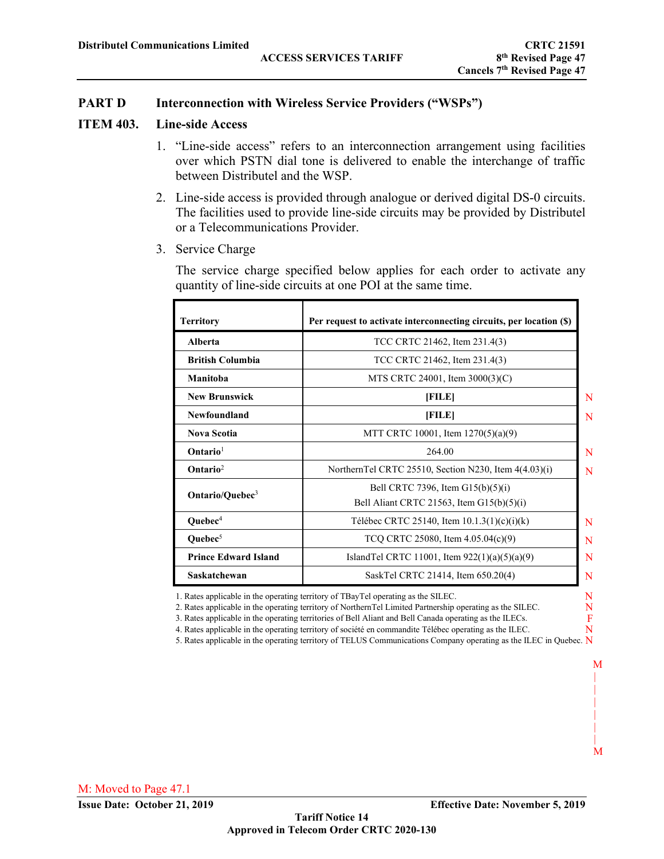#### **ITEM 403. Line-side Access**

- 1. "Line-side access" refers to an interconnection arrangement using facilities over which PSTN dial tone is delivered to enable the interchange of traffic between Distributel and the WSP.
- 2. Line-side access is provided through analogue or derived digital DS-0 circuits. The facilities used to provide line-side circuits may be provided by Distributel or a Telecommunications Provider.
- 3. Service Charge

The service charge specified below applies for each order to activate any quantity of line-side circuits at one POI at the same time.

| <b>Territory</b>            | Per request to activate interconnecting circuits, per location (\$)                |   |
|-----------------------------|------------------------------------------------------------------------------------|---|
| Alberta                     | TCC CRTC 21462, Item 231.4(3)                                                      |   |
| <b>British Columbia</b>     | TCC CRTC 21462, Item 231.4(3)                                                      |   |
| Manitoba                    | MTS CRTC 24001, Item 3000(3)(C)                                                    |   |
| <b>New Brunswick</b>        | [FILE]                                                                             | N |
| Newfoundland                | [FILE]                                                                             | N |
| <b>Nova Scotia</b>          | MTT CRTC 10001, Item 1270(5)(a)(9)                                                 |   |
| $Ontario1$                  | 264.00                                                                             | N |
| $\mathbf{Ontario}^2$        | NorthernTel CRTC 25510, Section N230, Item $4(4.03)(i)$                            | N |
| Ontario/Quebec <sup>3</sup> | Bell CRTC 7396, Item $G15(b)(5)(i)$<br>Bell Aliant CRTC 21563, Item $G15(b)(5)(i)$ |   |
| Quebec <sup>4</sup>         | Télébec CRTC 25140, Item 10.1.3(1)(c)(i)(k)                                        | N |
| Ouebec $5$                  | TCQ CRTC 25080, Item $4.05.04(c)(9)$                                               | N |
| <b>Prince Edward Island</b> | IslandTel CRTC 11001, Item 922(1)(a)(5)(a)(9)                                      | N |
| Saskatchewan                | SaskTel CRTC 21414, Item 650.20(4)                                                 | N |

1. Rates applicable in the operating territory of TBayTel operating as the SILEC.

2. Rates applicable in the operating territory of NorthernTel Limited Partnership operating as the SILEC.

3. Rates applicable in the operating territories of Bell Aliant and Bell Canada operating as the ILECs.

4. Rates applicable in the operating territory of société en commandite Télébec operating as the ILEC.

5. Rates applicable in the operating territory of TELUS Communications Company operating as the ILEC in Quebec. N

 M | | | | |  $\blacksquare$ M

N N F N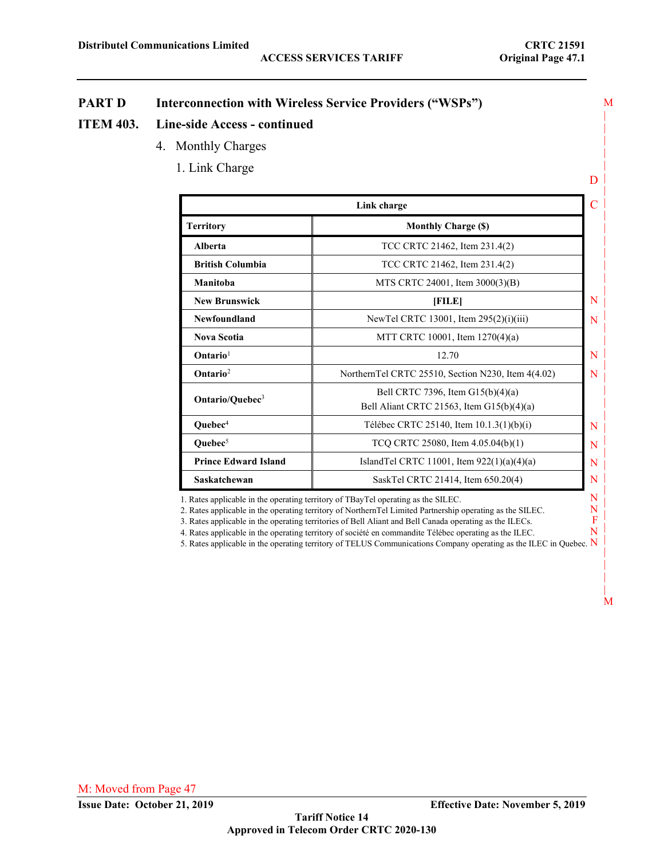D

M

|

|

|

|

|

|

|

|

|

|

|

|

# **PART D Interconnection with Wireless Service Providers ("WSPs")**

### **ITEM 403. Line-side Access - continued**

- 4. Monthly Charges
	- 1. Link Charge

|                             | Link charge                                                                        |   |  |
|-----------------------------|------------------------------------------------------------------------------------|---|--|
| <b>Territory</b>            | <b>Monthly Charge (\$)</b>                                                         |   |  |
| <b>Alberta</b>              | TCC CRTC 21462, Item 231.4(2)                                                      |   |  |
| <b>British Columbia</b>     | TCC CRTC 21462, Item 231.4(2)                                                      |   |  |
| Manitoba                    | MTS CRTC 24001, Item 3000(3)(B)                                                    |   |  |
| <b>New Brunswick</b>        | [FILE]                                                                             | N |  |
| Newfoundland                | New Tel CRTC 13001, Item $295(2)(i)(iii)$                                          | N |  |
| <b>Nova Scotia</b>          | MTT CRTC 10001, Item 1270(4)(a)                                                    |   |  |
| Ontario <sup>1</sup>        | 12.70                                                                              | N |  |
| Ontario <sup>2</sup>        | NorthernTel CRTC 25510, Section N230, Item 4(4.02)                                 | N |  |
| Ontario/Quebec <sup>3</sup> | Bell CRTC 7396, Item $G15(b)(4)(a)$<br>Bell Aliant CRTC 21563, Item $G15(b)(4)(a)$ |   |  |
| Quebec <sup>4</sup>         | Télébec CRTC 25140, Item $10.1.3(1)(b)(i)$                                         | N |  |
| Quebec <sup>5</sup>         | TCQ CRTC 25080, Item 4.05.04(b)(1)                                                 | N |  |
| <b>Prince Edward Island</b> | Island Tel CRTC 11001, Item $922(1)(a)(4)(a)$                                      | N |  |
| Saskatchewan                | SaskTel CRTC 21414, Item 650.20(4)                                                 | N |  |

1. Rates applicable in the operating territory of TBayTel operating as the SILEC.

2. Rates applicable in the operating territory of NorthernTel Limited Partnership operating as the SILEC.

3. Rates applicable in the operating territories of Bell Aliant and Bell Canada operating as the ILECs.

4. Rates applicable in the operating territory of société en commandite Télébec operating as the ILEC.

5. Rates applicable in the operating territory of TELUS Communications Company operating as the ILEC in Quebec.  $\overline{N}$ 

N N  $\overline{F}$ N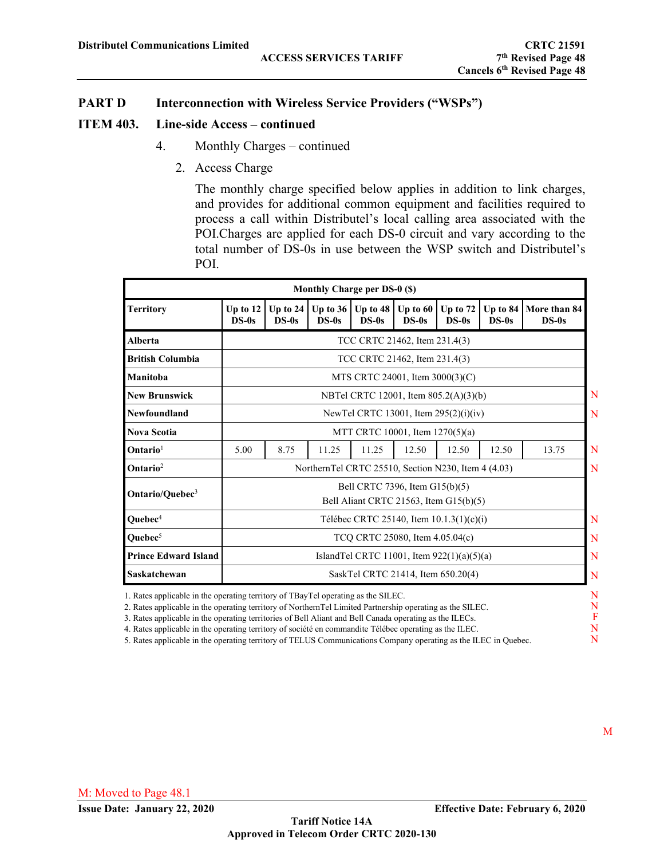#### **ITEM 403. Line-side Access – continued**

- 4. Monthly Charges continued
	- 2. Access Charge

The monthly charge specified below applies in addition to link charges, and provides for additional common equipment and facilities required to process a call within Distributel's local calling area associated with the POI.Charges are applied for each DS-0 circuit and vary according to the total number of DS-0s in use between the WSP switch and Distributel's POI.

|                             |                                 |                                                                          | Monthly Charge per DS-0 (\$) |                       |                       |                       |                     |                         |
|-----------------------------|---------------------------------|--------------------------------------------------------------------------|------------------------------|-----------------------|-----------------------|-----------------------|---------------------|-------------------------|
| <b>Territory</b>            | Up to $12$<br>$DS-0s$           | Up to 24<br>$DS-0s$                                                      | Up to $36$<br>$DS-0s$        | Up to $48$<br>$DS-0s$ | Up to $60$<br>$DS-0s$ | Up to $72$<br>$DS-0s$ | Up to 84<br>$DS-0s$ | More than 84<br>$DS-0s$ |
| <b>Alberta</b>              |                                 | TCC CRTC 21462, Item 231.4(3)                                            |                              |                       |                       |                       |                     |                         |
| <b>British Columbia</b>     |                                 | TCC CRTC 21462, Item 231.4(3)                                            |                              |                       |                       |                       |                     |                         |
| Manitoba                    |                                 | MTS CRTC 24001, Item $3000(3)(C)$                                        |                              |                       |                       |                       |                     |                         |
| <b>New Brunswick</b>        |                                 | NBTel CRTC 12001, Item 805.2(A)(3)(b)                                    |                              |                       |                       |                       |                     |                         |
| Newfoundland                |                                 | New Tel CRTC 13001, Item $295(2)(i)(iv)$                                 |                              |                       |                       |                       |                     |                         |
| <b>Nova Scotia</b>          |                                 | MTT CRTC 10001, Item 1270(5)(a)                                          |                              |                       |                       |                       |                     |                         |
| $Ontario1$                  | 5.00                            | 8.75                                                                     | 11.25                        | 11.25                 | 12.50                 | 12.50                 | 12.50               | 13.75                   |
| $\mathbf{Ontario}^2$        |                                 | NorthernTel CRTC 25510, Section N230, Item 4 (4.03)                      |                              |                       |                       |                       |                     |                         |
| Ontario/Quebec <sup>3</sup> |                                 | Bell CRTC 7396, Item G15(b)(5)<br>Bell Aliant CRTC 21563, Item G15(b)(5) |                              |                       |                       |                       |                     |                         |
| Quebec <sup>4</sup>         |                                 | Télébec CRTC 25140, Item 10.1.3(1)(c)(i)                                 |                              |                       |                       |                       |                     |                         |
| Quebec <sup>5</sup>         | TCQ CRTC 25080, Item 4.05.04(c) |                                                                          |                              |                       |                       |                       |                     |                         |
| <b>Prince Edward Island</b> |                                 | IslandTel CRTC 11001, Item 922(1)(a)(5)(a)                               |                              |                       |                       |                       |                     |                         |
| <b>Saskatchewan</b>         |                                 | SaskTel CRTC 21414, Item 650.20(4)                                       |                              |                       |                       |                       |                     |                         |

1. Rates applicable in the operating territory of TBayTel operating as the SILEC.

2. Rates applicable in the operating territory of NorthernTel Limited Partnership operating as the SILEC.

3. Rates applicable in the operating territories of Bell Aliant and Bell Canada operating as the ILECs.

4. Rates applicable in the operating territory of société en commandite Télébec operating as the ILEC.

5. Rates applicable in the operating territory of TELUS Communications Company operating as the ILEC in Quebec.

N F N N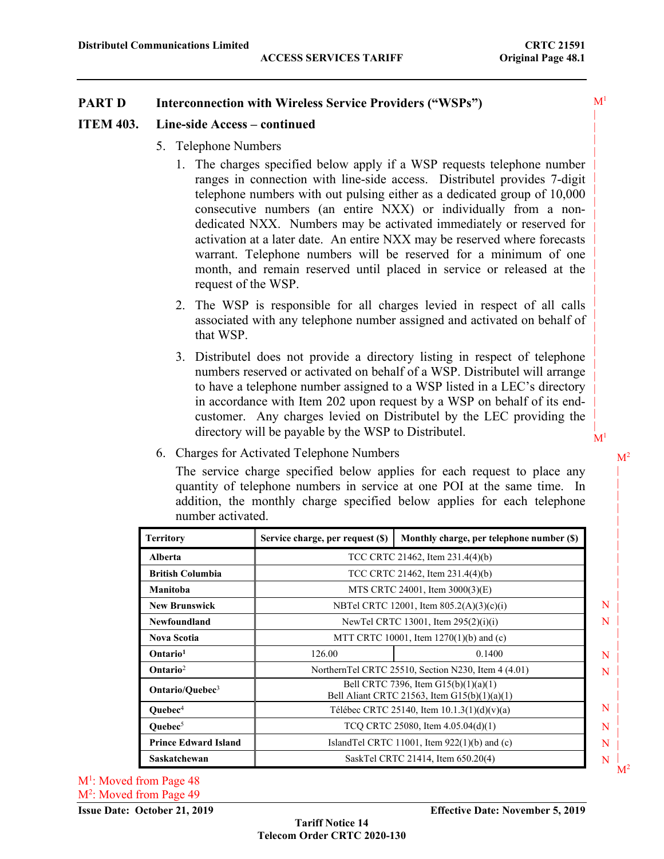$M<sup>1</sup>$ | | | | | | | | | | | | | | | | | | | | | | | | | |  $M<sup>1</sup>$ 

### **PART D Interconnection with Wireless Service Providers ("WSPs")**

#### **ITEM 403. Line-side Access – continued**

- 5. Telephone Numbers
	- 1. The charges specified below apply if a WSP requests telephone number ranges in connection with line-side access. Distributel provides 7-digit telephone numbers with out pulsing either as a dedicated group of 10,000 consecutive numbers (an entire NXX) or individually from a nondedicated NXX. Numbers may be activated immediately or reserved for activation at a later date. An entire NXX may be reserved where forecasts warrant. Telephone numbers will be reserved for a minimum of one month, and remain reserved until placed in service or released at the request of the WSP.
	- 2. The WSP is responsible for all charges levied in respect of all calls associated with any telephone number assigned and activated on behalf of that WSP.
	- 3. Distributel does not provide a directory listing in respect of telephone numbers reserved or activated on behalf of a WSP. Distributel will arrange to have a telephone number assigned to a WSP listed in a LEC's directory in accordance with Item 202 upon request by a WSP on behalf of its endcustomer. Any charges levied on Distributel by the LEC providing the directory will be payable by the WSP to Distributel.
- 6. Charges for Activated Telephone Numbers

The service charge specified below applies for each request to place any quantity of telephone numbers in service at one POI at the same time. In addition, the monthly charge specified below applies for each telephone number activated.

| <b>Territory</b>            | Service charge, per request (\$)                                                         | Monthly charge, per telephone number (\$) |  |  |  |
|-----------------------------|------------------------------------------------------------------------------------------|-------------------------------------------|--|--|--|
| Alberta                     | TCC CRTC 21462, Item 231.4(4)(b)                                                         |                                           |  |  |  |
| <b>British Columbia</b>     |                                                                                          | TCC CRTC 21462, Item 231.4(4)(b)          |  |  |  |
| Manitoba                    |                                                                                          | MTS CRTC 24001, Item 3000(3)(E)           |  |  |  |
| <b>New Brunswick</b>        | NBTel CRTC 12001, Item 805.2(A)(3)(c)(i)                                                 |                                           |  |  |  |
| Newfoundland                | NewTel CRTC 13001, Item $295(2)(i)(i)$                                                   |                                           |  |  |  |
| <b>Nova Scotia</b>          | MTT CRTC 10001, Item 1270(1)(b) and (c)                                                  |                                           |  |  |  |
| Ontario <sup>1</sup>        | 126.00<br>0.1400                                                                         |                                           |  |  |  |
| Ontario <sup>2</sup>        | NorthernTel CRTC 25510, Section N230, Item 4 (4.01)                                      |                                           |  |  |  |
| Ontario/Quebec <sup>3</sup> | Bell CRTC 7396, Item $G15(b)(1)(a)(1)$<br>Bell Aliant CRTC 21563, Item $GI5(b)(1)(a)(1)$ |                                           |  |  |  |
| Quebec <sup>4</sup>         | Télébec CRTC 25140, Item $10.1.3(1)(d)(v)(a)$                                            |                                           |  |  |  |
| Ouebec $5$                  | TCO CRTC 25080, Item 4.05.04(d)(1)                                                       |                                           |  |  |  |
| <b>Prince Edward Island</b> | Island Tel CRTC 11001, Item $922(1)(b)$ and (c)                                          |                                           |  |  |  |
| Saskatchewan                | SaskTel CRTC 21414, Item 650.20(4)                                                       |                                           |  |  |  |

**Tariff Notice 14 Telecom Order CRTC 2020-130**

M<sup>1</sup>: Moved from Page 48 M<sup>2</sup>: Moved from Page 49  $M<sup>2</sup>$ |

| | | | | | | | | | | | | | | | | | | | | | |  $M<sup>2</sup>$ 

 N N

 N N

 N N N N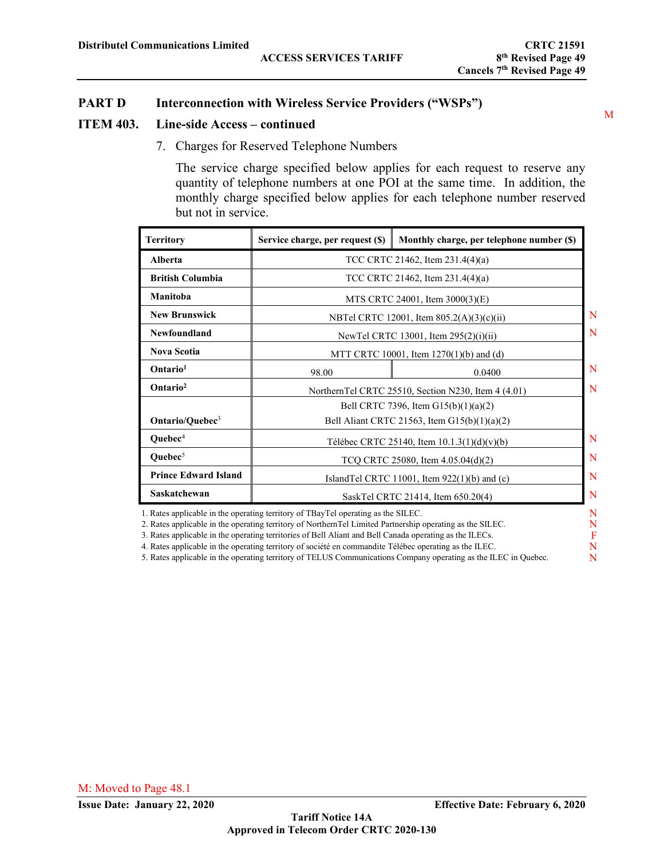### **ITEM 403. Line-side Access – continued**

7. Charges for Reserved Telephone Numbers

The service charge specified below applies for each request to reserve any quantity of telephone numbers at one POI at the same time. In addition, the monthly charge specified below applies for each telephone number reserved but not in service.

| Service charge, per request (\$)                    | Monthly charge, per telephone number (\$)    |  |  |  |
|-----------------------------------------------------|----------------------------------------------|--|--|--|
| TCC CRTC 21462, Item 231.4(4)(a)                    |                                              |  |  |  |
|                                                     | TCC CRTC 21462, Item $231.4(4)(a)$           |  |  |  |
|                                                     | MTS CRTC 24001, Item 3000(3)(E)              |  |  |  |
| NBTel CRTC 12001, Item 805.2(A)(3)(c)(ii)           |                                              |  |  |  |
| NewTel CRTC 13001, Item 295(2)(i)(ii)               |                                              |  |  |  |
| MTT CRTC 10001, Item 1270(1)(b) and (d)             |                                              |  |  |  |
| 98.00                                               | 0.0400                                       |  |  |  |
| NorthernTel CRTC 25510, Section N230, Item 4 (4.01) |                                              |  |  |  |
|                                                     | Bell CRTC 7396, Item $G15(b)(1)(a)(2)$       |  |  |  |
|                                                     | Bell Aliant CRTC 21563, Item G15(b)(1)(a)(2) |  |  |  |
| Télébec CRTC 25140, Item 10.1.3(1)(d)(v)(b)         |                                              |  |  |  |
| TCQ CRTC 25080, Item 4.05.04(d)(2)                  |                                              |  |  |  |
| IslandTel CRTC 11001, Item 922(1)(b) and (c)        |                                              |  |  |  |
| SaskTel CRTC 21414, Item 650.20(4)                  |                                              |  |  |  |
|                                                     |                                              |  |  |  |

1. Rates applicable in the operating territory of TBayTel operating as the SILEC.

- 2. Rates applicable in the operating territory of NorthernTel Limited Partnership operating as the SILEC. 3. Rates applicable in the operating territories of Bell Aliant and Bell Canada operating as the ILECs.
- 4. Rates applicable in the operating territory of société en commandite Télébec operating as the ILEC.

5. Rates applicable in the operating territory of TELUS Communications Company operating as the ILEC in Quebec.

M

N F N N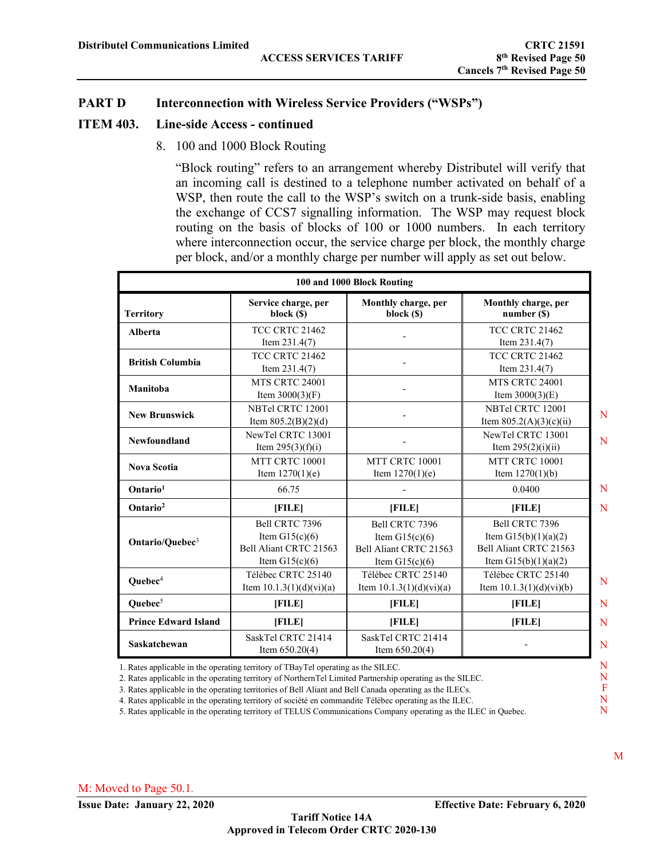### **ITEM 403. Line-side Access - continued**

8. 100 and 1000 Block Routing

"Block routing" refers to an arrangement whereby Distributel will verify that an incoming call is destined to a telephone number activated on behalf of a WSP, then route the call to the WSP's switch on a trunk-side basis, enabling the exchange of CCS7 signalling information. The WSP may request block routing on the basis of blocks of 100 or 1000 numbers. In each territory where interconnection occur, the service charge per block, the monthly charge per block, and/or a monthly charge per number will apply as set out below.

|                             |                                                                                  | 100 and 1000 Block Routing                                                       |                                                                                              |
|-----------------------------|----------------------------------------------------------------------------------|----------------------------------------------------------------------------------|----------------------------------------------------------------------------------------------|
| <b>Territory</b>            | Service charge, per<br>block (\$)                                                | Monthly charge, per<br>block (\$)                                                | Monthly charge, per<br>number(S)                                                             |
| <b>Alberta</b>              | <b>TCC CRTC 21462</b><br>Item $231.4(7)$                                         |                                                                                  | <b>TCC CRTC 21462</b><br>Item $231.4(7)$                                                     |
| <b>British Columbia</b>     | TCC CRTC 21462<br>Item $231.4(7)$                                                |                                                                                  | TCC CRTC 21462<br>Item $231.4(7)$                                                            |
| Manitoba                    | <b>MTS CRTC 24001</b><br>Item $3000(3)(F)$                                       |                                                                                  | <b>MTS CRTC 24001</b><br>Item $3000(3)(E)$                                                   |
| <b>New Brunswick</b>        | NBTel CRTC 12001<br>Item $805.2(B)(2)(d)$                                        |                                                                                  | NBTel CRTC 12001<br>Item $805.2(A)(3)(c)(ii)$                                                |
| Newfoundland                | NewTel CRTC 13001<br>Item $295(3)(f)(i)$                                         |                                                                                  | NewTel CRTC 13001<br>Item $295(2)(i)(ii)$                                                    |
| <b>Nova Scotia</b>          | MTT CRTC 10001<br>Item $1270(1)(e)$                                              | MTT CRTC 10001<br>Item $1270(1)(e)$                                              | MTT CRTC 10001<br>Item $1270(1)(b)$                                                          |
| Ontario <sup>1</sup>        | 66.75                                                                            |                                                                                  | 0.0400                                                                                       |
| Ontario <sup>2</sup>        | [FILE]                                                                           | [FILE]                                                                           | [FILE]                                                                                       |
| Ontario/Quebec <sup>3</sup> | Bell CRTC 7396<br>Item $G15(c)(6)$<br>Bell Aliant CRTC 21563<br>Item $G15(c)(6)$ | Bell CRTC 7396<br>Item $G15(c)(6)$<br>Bell Aliant CRTC 21563<br>Item $G15(c)(6)$ | Bell CRTC 7396<br>Item $G15(b)(1)(a)(2)$<br>Bell Aliant CRTC 21563<br>Item $G15(b)(1)(a)(2)$ |
| Quebec <sup>4</sup>         | Télébec CRTC 25140<br>Item $10.1.3(1)(d)(vi)(a)$                                 | Télébec CRTC 25140<br>Item $10.1.3(1)(d)(vi)(a)$                                 | Télébec CRTC 25140<br>Item $10.1.3(1)(d)(vi)(b)$                                             |
| Quebec <sup>5</sup>         | [FILE]                                                                           | [FILE]                                                                           | [FILE]                                                                                       |
| <b>Prince Edward Island</b> | [FILE]                                                                           | [FILE]                                                                           | [FILE]                                                                                       |
| <b>Saskatchewan</b>         | SaskTel CRTC 21414<br>Item $650.20(4)$                                           | SaskTel CRTC 21414<br>Item $650.20(4)$                                           |                                                                                              |

1. Rates applicable in the operating territory of TBayTel operating as the SILEC.

2. Rates applicable in the operating territory of NorthernTel Limited Partnership operating as the SILEC.

3. Rates applicable in the operating territories of Bell Aliant and Bell Canada operating as the ILECs.

4. Rates applicable in the operating territory of société en commandite Télébec operating as the ILEC.

5. Rates applicable in the operating territory of TELUS Communications Company operating as the ILEC in Quebec.

N N F N N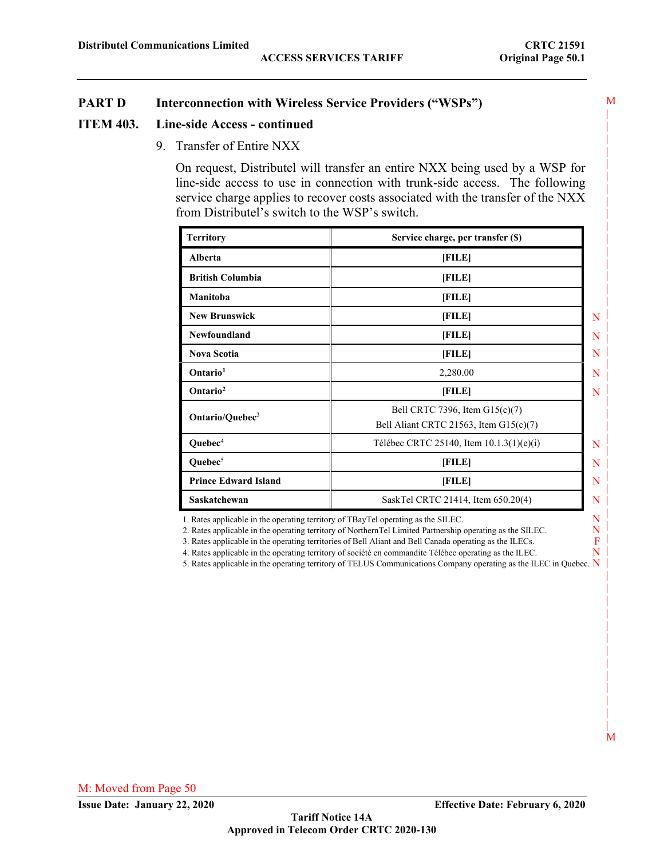#### **ITEM 403. Line-side Access - continued**

9. Transfer of Entire NXX

On request, Distributel will transfer an entire NXX being used by a WSP for line-side access to use in connection with trunk-side access. The following service charge applies to recover costs associated with the transfer of the NXX from Distributel's switch to the WSP's switch.

| <b>Territory</b>            | Service charge, per transfer (\$)                                          |   |
|-----------------------------|----------------------------------------------------------------------------|---|
| Alberta                     | [FILE]                                                                     |   |
| <b>British Columbia</b>     | [FILE]                                                                     |   |
| Manitoba                    | [FILE]                                                                     |   |
| <b>New Brunswick</b>        | [FILE]                                                                     | N |
| Newfoundland                | [FILE]                                                                     | N |
| <b>Nova Scotia</b>          | [FILE]                                                                     | N |
| Ontario <sup>1</sup>        | 2,280.00                                                                   | N |
| Ontario <sup>2</sup>        | [FILE]                                                                     | N |
| Ontario/Quebec <sup>3</sup> | Bell CRTC 7396, Item G15(c)(7)<br>Bell Aliant CRTC 21563, Item $G15(c)(7)$ |   |
| Quebec <sup>4</sup>         | Télébec CRTC 25140, Item 10.1.3(1)(e)(i)                                   | N |
| Quebec $5$                  | [FILE]                                                                     | N |
| <b>Prince Edward Island</b> | [FILE]                                                                     | N |
| Saskatchewan                | SaskTel CRTC 21414, Item 650.20(4)                                         | N |

1. Rates applicable in the operating territory of TBayTel operating as the SILEC.

2. Rates applicable in the operating territory of NorthernTel Limited Partnership operating as the SILEC.

3. Rates applicable in the operating territories of Bell Aliant and Bell Canada operating as the ILECs.

4. Rates applicable in the operating territory of société en commandite Télébec operating as the ILEC.

5. Rates applicable in the operating territory of TELUS Communications Company operating as the ILEC in Quebec. N

N N F N | |

|

|

|

|

|

|

|

|

|

|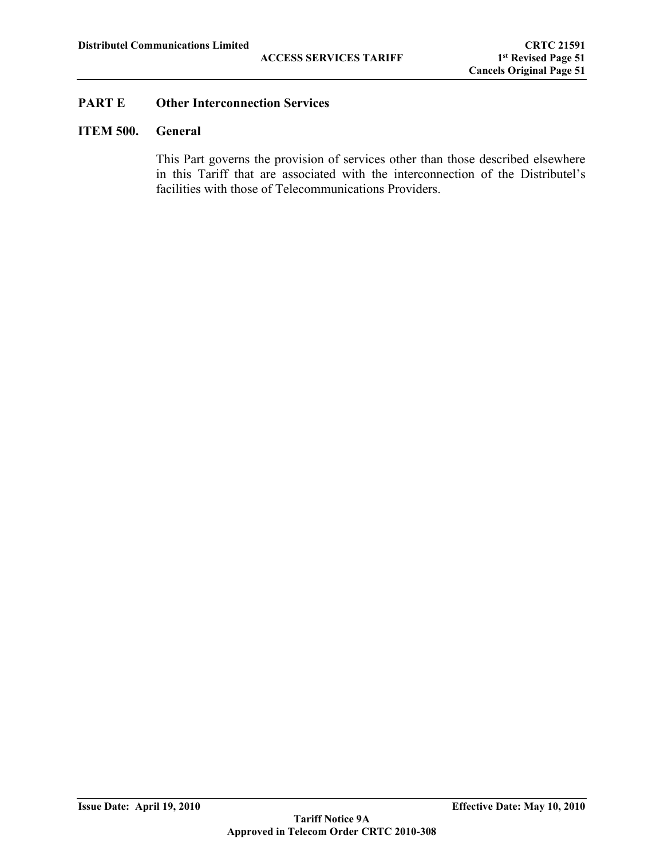## **ITEM 500. General**

This Part governs the provision of services other than those described elsewhere in this Tariff that are associated with the interconnection of the Distributel's facilities with those of Telecommunications Providers.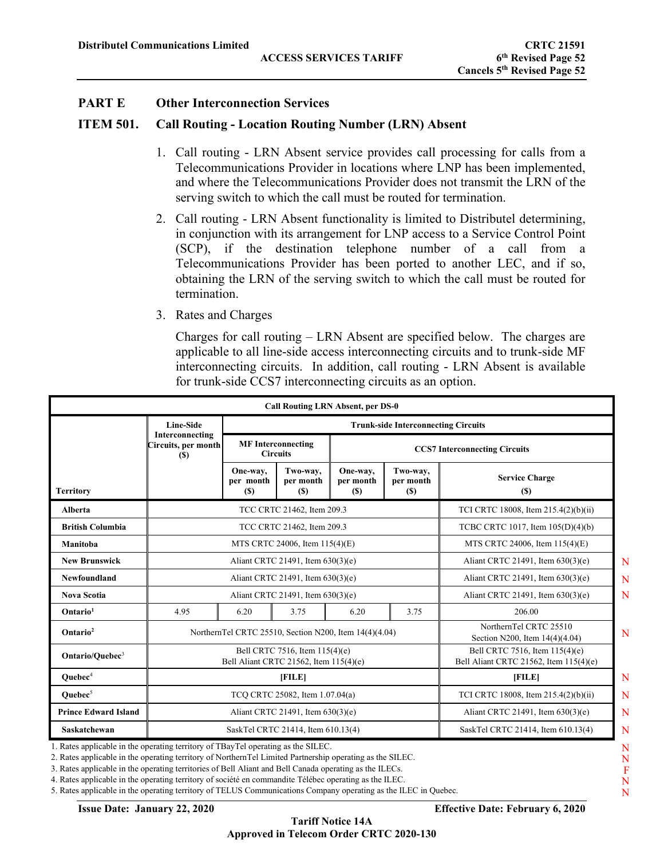#### **ITEM 501. Call Routing - Location Routing Number (LRN) Absent**

- 1. Call routing LRN Absent service provides call processing for calls from a Telecommunications Provider in locations where LNP has been implemented, and where the Telecommunications Provider does not transmit the LRN of the serving switch to which the call must be routed for termination.
- 2. Call routing LRN Absent functionality is limited to Distributel determining, in conjunction with its arrangement for LNP access to a Service Control Point (SCP), if the destination telephone number of a call from a Telecommunications Provider has been ported to another LEC, and if so, obtaining the LRN of the serving switch to which the call must be routed for termination.
- 3. Rates and Charges

Charges for call routing – LRN Absent are specified below. The charges are applicable to all line-side access interconnecting circuits and to trunk-side MF interconnecting circuits. In addition, call routing - LRN Absent is available for trunk-side CCS7 interconnecting circuits as an option.

|                             |                                                       |                                                                          | <b>Call Routing LRN Absent, per DS-0</b> |                                      |                                      |                                                                          |  |  |
|-----------------------------|-------------------------------------------------------|--------------------------------------------------------------------------|------------------------------------------|--------------------------------------|--------------------------------------|--------------------------------------------------------------------------|--|--|
|                             | <b>Line-Side</b>                                      | <b>Trunk-side Interconnecting Circuits</b>                               |                                          |                                      |                                      |                                                                          |  |  |
|                             | Interconnecting<br>Circuits, per month<br><b>(\$)</b> | <b>MF</b> Interconnecting<br><b>Circuits</b>                             |                                          |                                      | <b>CCS7</b> Interconnecting Circuits |                                                                          |  |  |
| <b>Territory</b>            |                                                       | One-way,<br>per month<br><b>(\$)</b>                                     | Two-way,<br>per month<br><b>(\$)</b>     | One-way,<br>per month<br><b>(\$)</b> | Two-way,<br>per month<br>(S)         | <b>Service Charge</b><br><b>(\$)</b>                                     |  |  |
| <b>Alberta</b>              |                                                       | TCC CRTC 21462, Item 209.3                                               | TCI CRTC 18008, Item 215.4(2)(b)(ii)     |                                      |                                      |                                                                          |  |  |
| <b>British Columbia</b>     | TCC CRTC 21462, Item 209.3                            |                                                                          |                                          |                                      |                                      | TCBC CRTC 1017, Item 105(D)(4)(b)                                        |  |  |
| Manitoba                    |                                                       | MTS CRTC 24006, Item 115(4)(E)                                           | MTS CRTC 24006, Item 115(4)(E)           |                                      |                                      |                                                                          |  |  |
| <b>New Brunswick</b>        | Aliant CRTC 21491, Item 630(3)(e)                     |                                                                          |                                          |                                      | Aliant CRTC 21491, Item 630(3)(e)    |                                                                          |  |  |
| <b>Newfoundland</b>         |                                                       | Aliant CRTC 21491, Item 630(3)(e)                                        |                                          |                                      |                                      | Aliant CRTC 21491, Item 630(3)(e)                                        |  |  |
| <b>Nova Scotia</b>          |                                                       | Aliant CRTC 21491, Item 630(3)(e)                                        |                                          |                                      |                                      | Aliant CRTC 21491, Item 630(3)(e)                                        |  |  |
| Ontario <sup>1</sup>        | 4.95                                                  | 6.20                                                                     | 3.75                                     | 6.20                                 | 3.75                                 | 206.00                                                                   |  |  |
| Ontario <sup>2</sup>        |                                                       | NorthernTel CRTC 25510, Section N200, Item 14(4)(4.04)                   |                                          |                                      |                                      | NorthernTel CRTC 25510<br>Section N200, Item 14(4)(4.04)                 |  |  |
| Ontario/Ouebec <sup>3</sup> |                                                       | Bell CRTC 7516, Item 115(4)(e)<br>Bell Aliant CRTC 21562, Item 115(4)(e) |                                          |                                      |                                      | Bell CRTC 7516, Item 115(4)(e)<br>Bell Aliant CRTC 21562, Item 115(4)(e) |  |  |
| Quebec <sup>4</sup>         |                                                       | [FILE]                                                                   |                                          |                                      |                                      | [FILE]                                                                   |  |  |
| Ouebec $5$                  |                                                       | TCO CRTC 25082, Item 1.07.04(a)                                          |                                          |                                      |                                      | TCI CRTC 18008, Item 215.4(2)(b)(ii)                                     |  |  |
| <b>Prince Edward Island</b> |                                                       | Aliant CRTC 21491, Item 630(3)(e)                                        |                                          |                                      |                                      | Aliant CRTC 21491, Item 630(3)(e)                                        |  |  |
| Saskatchewan                | SaskTel CRTC 21414, Item 610.13(4)                    |                                                                          |                                          |                                      | SaskTel CRTC 21414, Item 610.13(4)   |                                                                          |  |  |

2. Rates applicable in the operating territory of NorthernTel Limited Partnership operating as the SILEC.

3. Rates applicable in the operating territories of Bell Aliant and Bell Canada operating as the ILECs.

4. Rates applicable in the operating territory of société en commandite Télébec operating as the ILEC.

5. Rates applicable in the operating territory of TELUS Communications Company operating as the ILEC in Quebec.

N F N N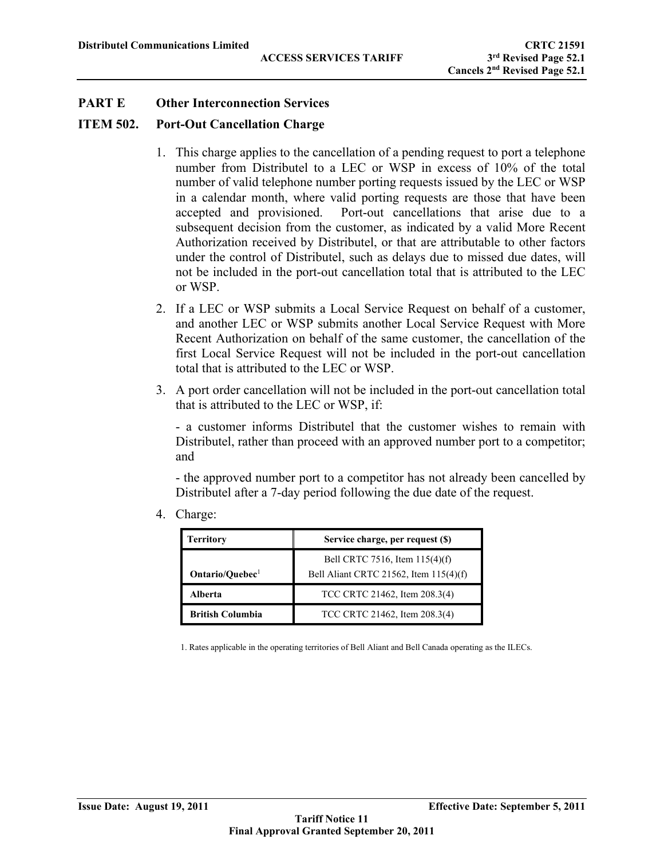#### **ITEM 502. Port-Out Cancellation Charge**

- 1. This charge applies to the cancellation of a pending request to port a telephone number from Distributel to a LEC or WSP in excess of 10% of the total number of valid telephone number porting requests issued by the LEC or WSP in a calendar month, where valid porting requests are those that have been accepted and provisioned. Port-out cancellations that arise due to a subsequent decision from the customer, as indicated by a valid More Recent Authorization received by Distributel, or that are attributable to other factors under the control of Distributel, such as delays due to missed due dates, will not be included in the port-out cancellation total that is attributed to the LEC or WSP.
- 2. If a LEC or WSP submits a Local Service Request on behalf of a customer, and another LEC or WSP submits another Local Service Request with More Recent Authorization on behalf of the same customer, the cancellation of the first Local Service Request will not be included in the port-out cancellation total that is attributed to the LEC or WSP.
- 3. A port order cancellation will not be included in the port-out cancellation total that is attributed to the LEC or WSP, if:

- a customer informs Distributel that the customer wishes to remain with Distributel, rather than proceed with an approved number port to a competitor; and

- the approved number port to a competitor has not already been cancelled by Distributel after a 7-day period following the due date of the request.

4. Charge:

| <b>Territory</b>            | Service charge, per request (\$)                                         |
|-----------------------------|--------------------------------------------------------------------------|
| Ontario/Quebec <sup>1</sup> | Bell CRTC 7516, Item 115(4)(f)<br>Bell Aliant CRTC 21562, Item 115(4)(f) |
| Alberta                     | TCC CRTC 21462, Item 208.3(4)                                            |
| <b>British Columbia</b>     | TCC CRTC 21462, Item 208.3(4)                                            |

1. Rates applicable in the operating territories of Bell Aliant and Bell Canada operating as the ILECs.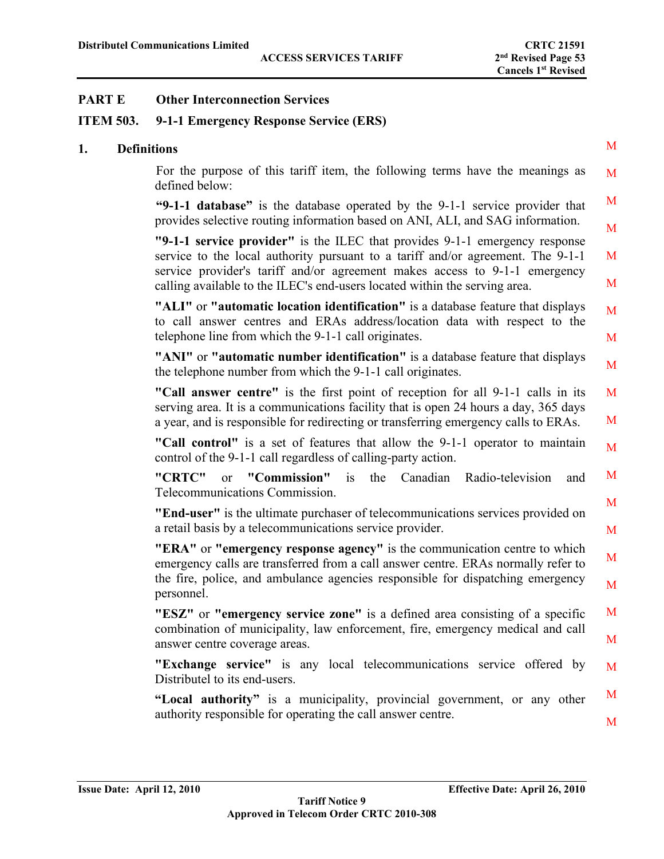# **ITEM 503. 9-1-1 Emergency Response Service (ERS)**

### **1. De**

| efinitions                                                                                                                                                                                                                                                                                                                 | M      |
|----------------------------------------------------------------------------------------------------------------------------------------------------------------------------------------------------------------------------------------------------------------------------------------------------------------------------|--------|
| For the purpose of this tariff item, the following terms have the meanings as<br>defined below:                                                                                                                                                                                                                            | M      |
| "9-1-1 database" is the database operated by the 9-1-1 service provider that<br>provides selective routing information based on ANI, ALI, and SAG information.                                                                                                                                                             | M<br>M |
| "9-1-1 service provider" is the ILEC that provides 9-1-1 emergency response<br>service to the local authority pursuant to a tariff and/or agreement. The 9-1-1<br>service provider's tariff and/or agreement makes access to 9-1-1 emergency<br>calling available to the ILEC's end-users located within the serving area. | M<br>M |
| "ALI" or "automatic location identification" is a database feature that displays<br>to call answer centres and ERAs address/location data with respect to the<br>telephone line from which the 9-1-1 call originates.                                                                                                      | M<br>M |
| "ANI" or "automatic number identification" is a database feature that displays<br>the telephone number from which the 9-1-1 call originates.                                                                                                                                                                               | M      |
| "Call answer centre" is the first point of reception for all 9-1-1 calls in its<br>serving area. It is a communications facility that is open 24 hours a day, 365 days<br>a year, and is responsible for redirecting or transferring emergency calls to ERAs.                                                              | M<br>M |
| "Call control" is a set of features that allow the 9-1-1 operator to maintain<br>control of the 9-1-1 call regardless of calling-party action.                                                                                                                                                                             | M      |
| "CRTC"<br>or "Commission"<br>Canadian Radio-television<br>is<br>the<br>and<br>Telecommunications Commission.                                                                                                                                                                                                               | M      |
| "End-user" is the ultimate purchaser of telecommunications services provided on<br>a retail basis by a telecommunications service provider.                                                                                                                                                                                | M<br>M |
| "ERA" or "emergency response agency" is the communication centre to which<br>emergency calls are transferred from a call answer centre. ERAs normally refer to                                                                                                                                                             | M      |
| the fire, police, and ambulance agencies responsible for dispatching emergency<br>personnel.                                                                                                                                                                                                                               | M      |
| "ESZ" or "emergency service zone" is a defined area consisting of a specific<br>combination of municipality, law enforcement, fire, emergency medical and call<br>answer centre coverage areas.                                                                                                                            | M<br>M |
| "Exchange service" is any local telecommunications service offered by<br>Distributel to its end-users.                                                                                                                                                                                                                     | M      |
| "Local authority" is a municipality, provincial government, or any other<br>authority responsible for operating the call answer centre.                                                                                                                                                                                    | M<br>M |
|                                                                                                                                                                                                                                                                                                                            |        |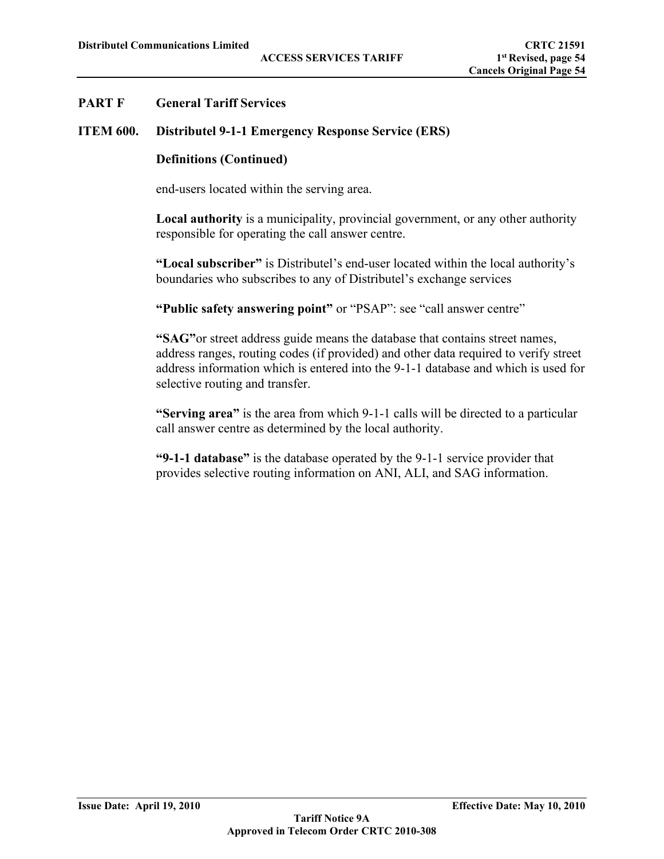## **ITEM 600. Distributel 9-1-1 Emergency Response Service (ERS)**

### **Definitions (Continued)**

end-users located within the serving area.

**Local authority** is a municipality, provincial government, or any other authority responsible for operating the call answer centre.

**"Local subscriber"** is Distributel's end-user located within the local authority's boundaries who subscribes to any of Distributel's exchange services

**"Public safety answering point"** or "PSAP": see "call answer centre"

**"SAG"**or street address guide means the database that contains street names, address ranges, routing codes (if provided) and other data required to verify street address information which is entered into the 9-1-1 database and which is used for selective routing and transfer.

**"Serving area"** is the area from which 9-1-1 calls will be directed to a particular call answer centre as determined by the local authority.

**"9-1-1 database"** is the database operated by the 9-1-1 service provider that provides selective routing information on ANI, ALI, and SAG information.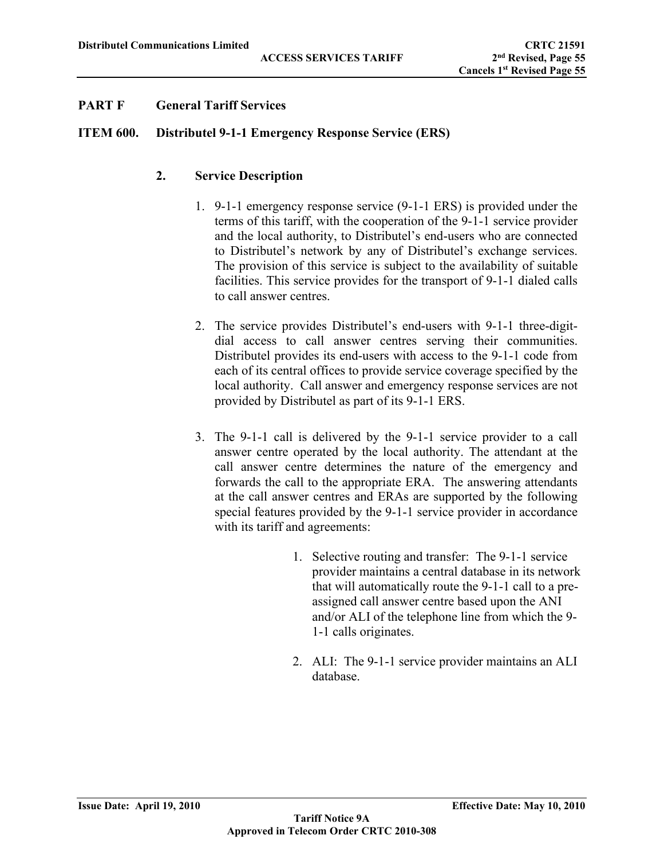# **ITEM 600. Distributel 9-1-1 Emergency Response Service (ERS)**

# **2. Service Description**

- 1. 9-1-1 emergency response service (9-1-1 ERS) is provided under the terms of this tariff, with the cooperation of the 9-1-1 service provider and the local authority, to Distributel's end-users who are connected to Distributel's network by any of Distributel's exchange services. The provision of this service is subject to the availability of suitable facilities. This service provides for the transport of 9-1-1 dialed calls to call answer centres.
- 2. The service provides Distributel's end-users with 9-1-1 three-digitdial access to call answer centres serving their communities. Distributel provides its end-users with access to the 9-1-1 code from each of its central offices to provide service coverage specified by the local authority. Call answer and emergency response services are not provided by Distributel as part of its 9-1-1 ERS.
- 3. The 9-1-1 call is delivered by the 9-1-1 service provider to a call answer centre operated by the local authority. The attendant at the call answer centre determines the nature of the emergency and forwards the call to the appropriate ERA. The answering attendants at the call answer centres and ERAs are supported by the following special features provided by the 9-1-1 service provider in accordance with its tariff and agreements:
	- 1. Selective routing and transfer: The 9-1-1 service provider maintains a central database in its network that will automatically route the 9-1-1 call to a preassigned call answer centre based upon the ANI and/or ALI of the telephone line from which the 9- 1-1 calls originates.
	- 2. ALI: The 9-1-1 service provider maintains an ALI database.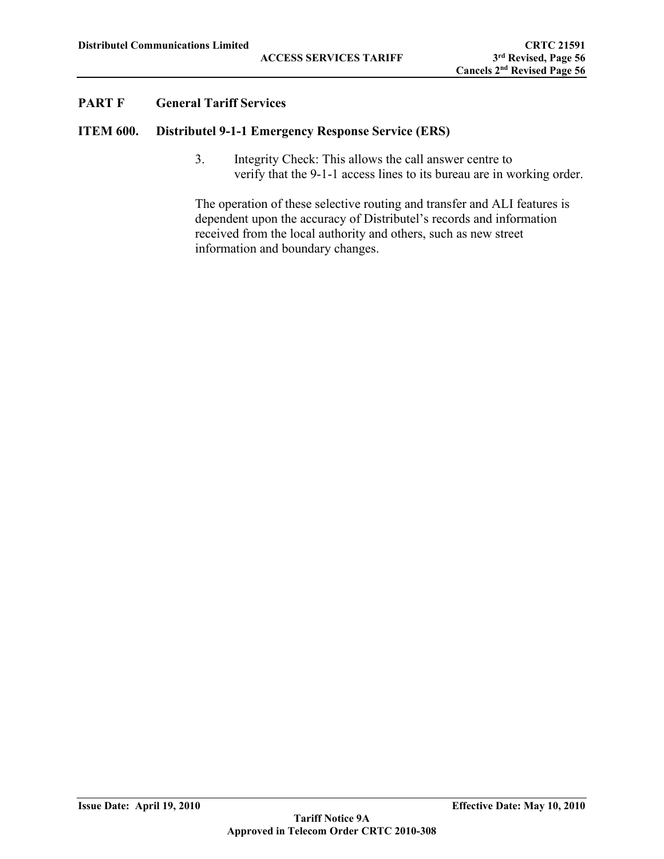### **ITEM 600. Distributel 9-1-1 Emergency Response Service (ERS)**

3. Integrity Check: This allows the call answer centre to verify that the 9-1-1 access lines to its bureau are in working order.

The operation of these selective routing and transfer and ALI features is dependent upon the accuracy of Distributel's records and information received from the local authority and others, such as new street information and boundary changes.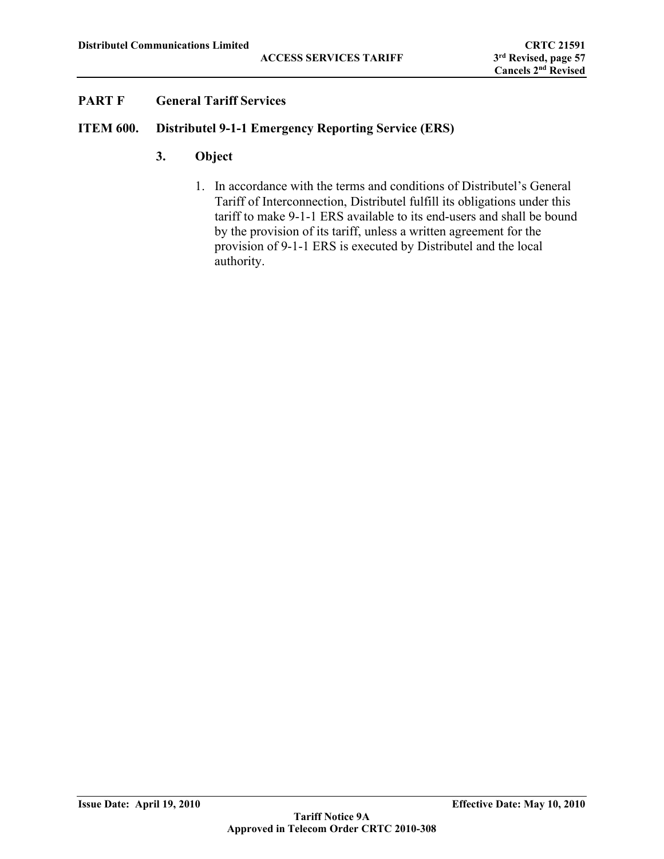## **ITEM 600. Distributel 9-1-1 Emergency Reporting Service (ERS)**

- **3. Object**
	- 1. In accordance with the terms and conditions of Distributel's General Tariff of Interconnection, Distributel fulfill its obligations under this tariff to make 9-1-1 ERS available to its end-users and shall be bound by the provision of its tariff, unless a written agreement for the provision of 9-1-1 ERS is executed by Distributel and the local authority.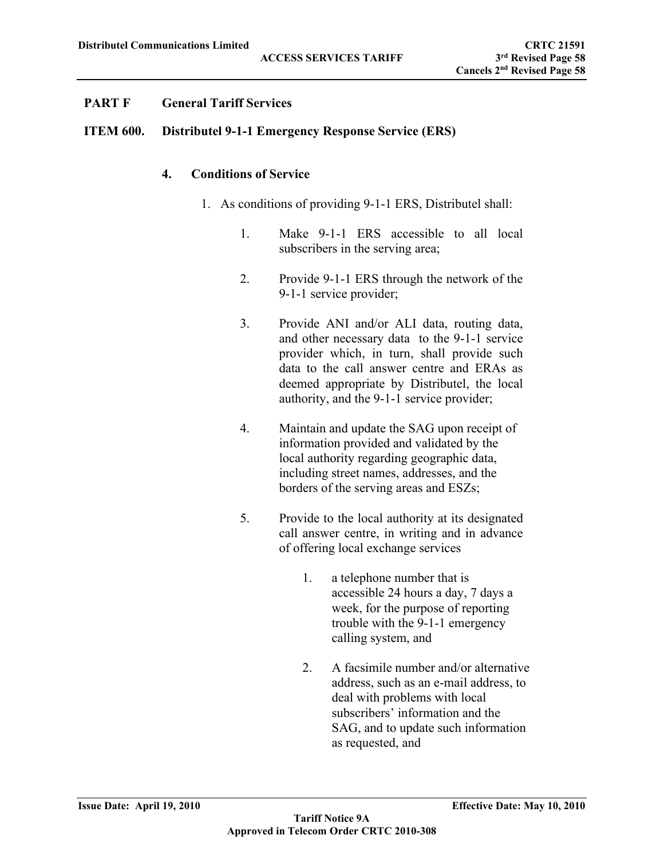## **ITEM 600. Distributel 9-1-1 Emergency Response Service (ERS)**

### **4. Conditions of Service**

- 1. As conditions of providing 9-1-1 ERS, Distributel shall:
	- 1. Make 9-1-1 ERS accessible to all local subscribers in the serving area;
	- 2. Provide 9-1-1 ERS through the network of the 9-1-1 service provider;
	- 3. Provide ANI and/or ALI data, routing data, and other necessary data to the 9-1-1 service provider which, in turn, shall provide such data to the call answer centre and ERAs as deemed appropriate by Distributel, the local authority, and the 9-1-1 service provider;
	- 4. Maintain and update the SAG upon receipt of information provided and validated by the local authority regarding geographic data, including street names, addresses, and the borders of the serving areas and ESZs;
	- 5. Provide to the local authority at its designated call answer centre, in writing and in advance of offering local exchange services
		- 1. a telephone number that is accessible 24 hours a day, 7 days a week, for the purpose of reporting trouble with the 9-1-1 emergency calling system, and
		- 2. A facsimile number and/or alternative address, such as an e-mail address, to deal with problems with local subscribers' information and the SAG, and to update such information as requested, and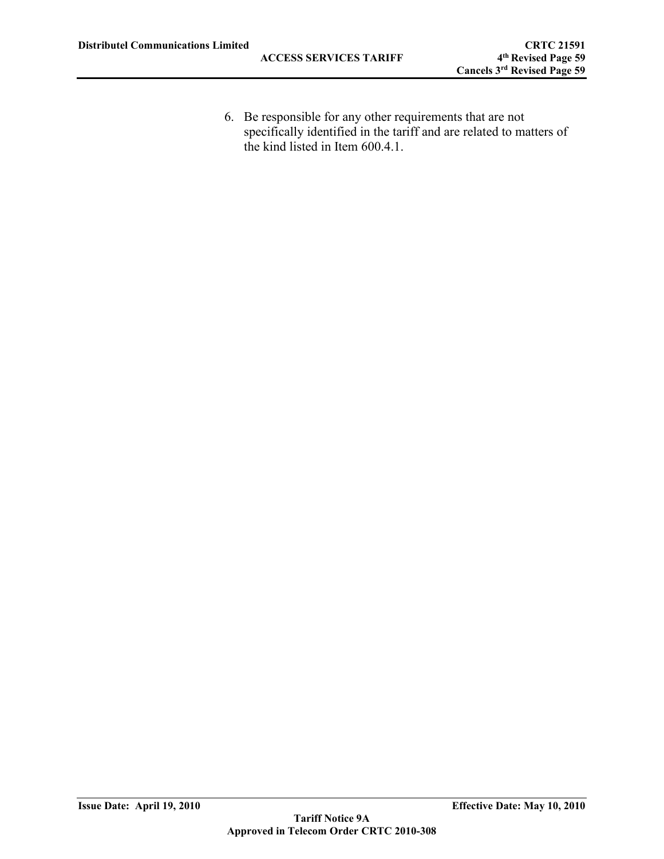6. Be responsible for any other requirements that are not specifically identified in the tariff and are related to matters of the kind listed in Item 600.4.1.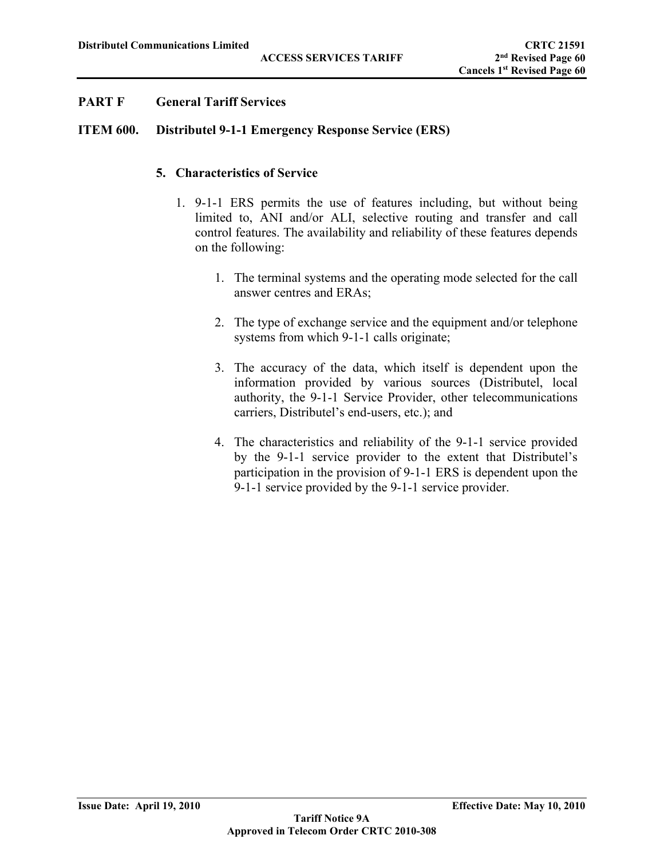## **ITEM 600. Distributel 9-1-1 Emergency Response Service (ERS)**

# **5. Characteristics of Service**

- 1. 9-1-1 ERS permits the use of features including, but without being limited to, ANI and/or ALI, selective routing and transfer and call control features. The availability and reliability of these features depends on the following:
	- 1. The terminal systems and the operating mode selected for the call answer centres and ERAs;
	- 2. The type of exchange service and the equipment and/or telephone systems from which 9-1-1 calls originate;
	- 3. The accuracy of the data, which itself is dependent upon the information provided by various sources (Distributel, local authority, the 9-1-1 Service Provider, other telecommunications carriers, Distributel's end-users, etc.); and
	- 4. The characteristics and reliability of the 9-1-1 service provided by the 9-1-1 service provider to the extent that Distributel's participation in the provision of 9-1-1 ERS is dependent upon the 9-1-1 service provided by the 9-1-1 service provider.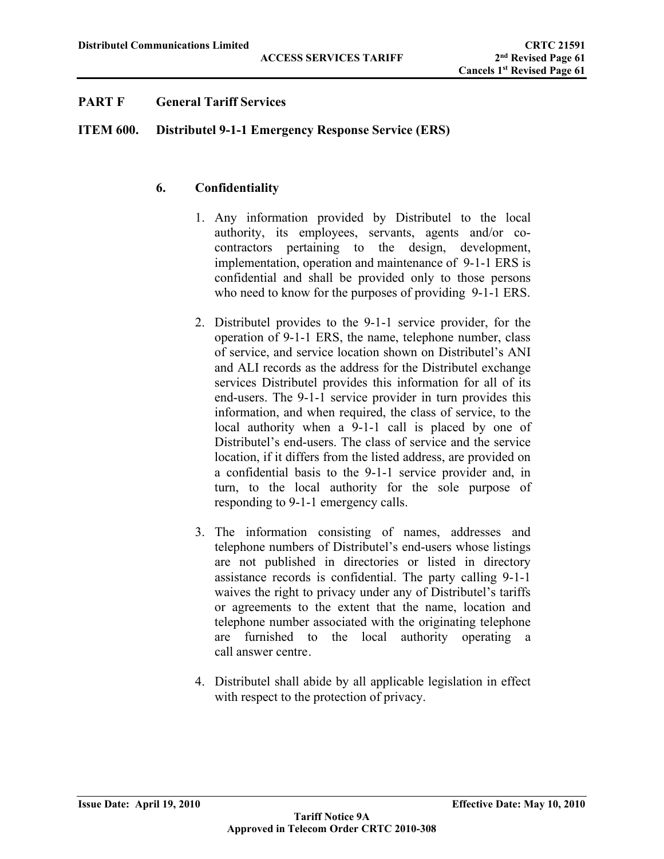## **ITEM 600. Distributel 9-1-1 Emergency Response Service (ERS)**

# **6. Confidentiality**

- 1. Any information provided by Distributel to the local authority, its employees, servants, agents and/or cocontractors pertaining to the design, development, implementation, operation and maintenance of 9-1-1 ERS is confidential and shall be provided only to those persons who need to know for the purposes of providing 9-1-1 ERS.
- 2. Distributel provides to the 9-1-1 service provider, for the operation of 9-1-1 ERS, the name, telephone number, class of service, and service location shown on Distributel's ANI and ALI records as the address for the Distributel exchange services Distributel provides this information for all of its end-users. The 9-1-1 service provider in turn provides this information, and when required, the class of service, to the local authority when a 9-1-1 call is placed by one of Distributel's end-users. The class of service and the service location, if it differs from the listed address, are provided on a confidential basis to the 9-1-1 service provider and, in turn, to the local authority for the sole purpose of responding to 9-1-1 emergency calls.
- 3. The information consisting of names, addresses and telephone numbers of Distributel's end-users whose listings are not published in directories or listed in directory assistance records is confidential. The party calling 9-1-1 waives the right to privacy under any of Distributel's tariffs or agreements to the extent that the name, location and telephone number associated with the originating telephone are furnished to the local authority operating a call answer centre.
- 4. Distributel shall abide by all applicable legislation in effect with respect to the protection of privacy.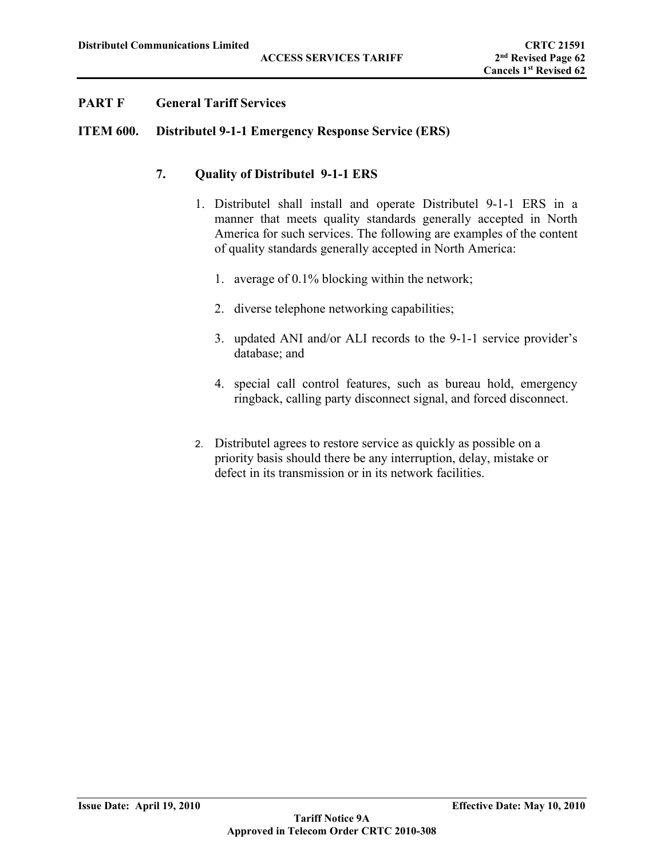#### **ITEM 600. Distributel 9-1-1 Emergency Response Service (ERS)**

#### **7. Quality of Distributel 9-1-1 ERS**

- 1. Distributel shall install and operate Distributel 9-1-1 ERS in a manner that meets quality standards generally accepted in North America for such services. The following are examples of the content of quality standards generally accepted in North America:
	- 1. average of 0.1% blocking within the network;
	- 2. diverse telephone networking capabilities;
	- 3. updated ANI and/or ALI records to the 9-1-1 service provider's database; and
	- 4. special call control features, such as bureau hold, emergency ringback, calling party disconnect signal, and forced disconnect.
- 2. Distributel agrees to restore service as quickly as possible on a priority basis should there be any interruption, delay, mistake or defect in its transmission or in its network facilities.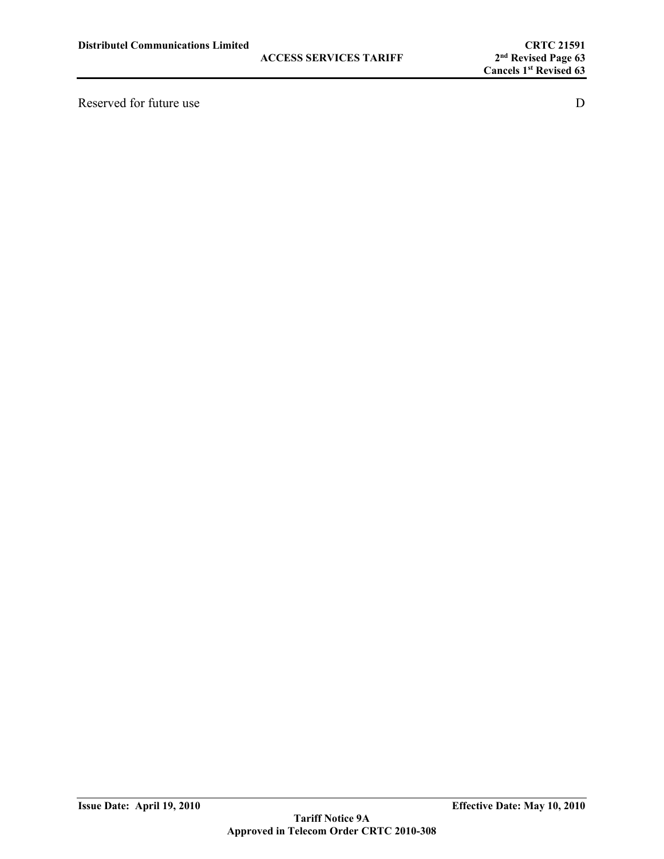Reserved for future use D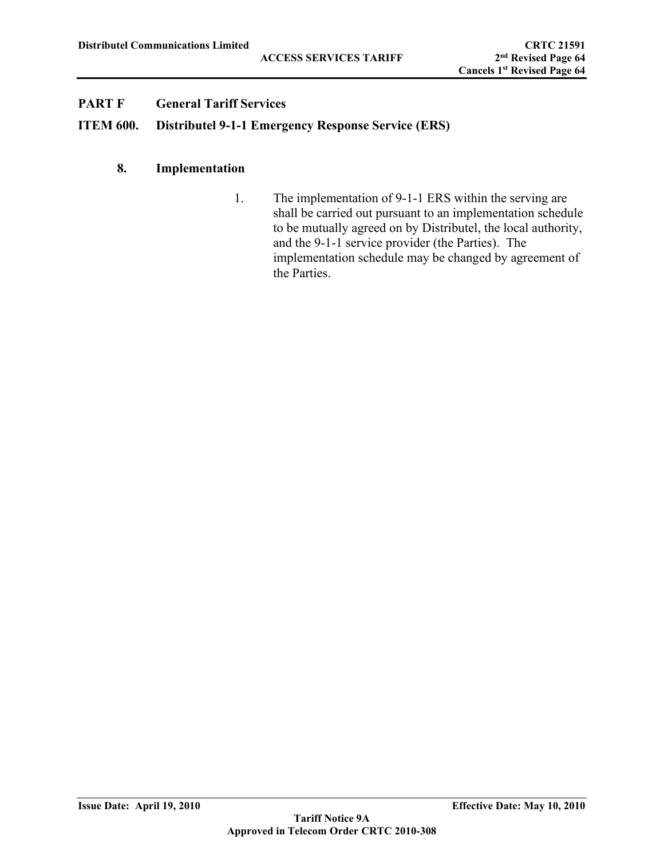## **ITEM 600. Distributel 9-1-1 Emergency Response Service (ERS)**

# **8. Implementation**

1. The implementation of 9-1-1 ERS within the serving are shall be carried out pursuant to an implementation schedule to be mutually agreed on by Distributel, the local authority, and the 9-1-1 service provider (the Parties). The implementation schedule may be changed by agreement of the Parties.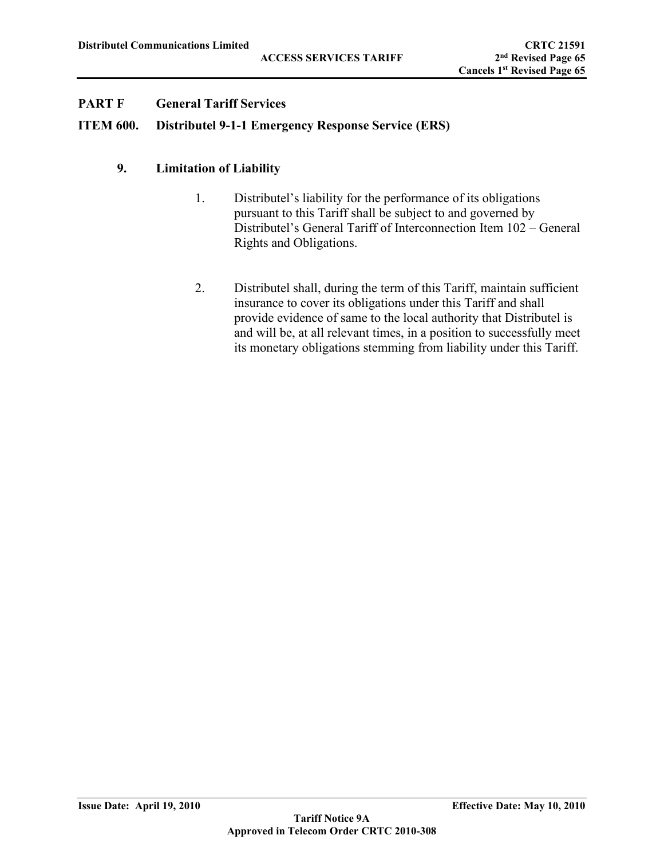## **ITEM 600. Distributel 9-1-1 Emergency Response Service (ERS)**

### **9. Limitation of Liability**

- 1. Distributel's liability for the performance of its obligations pursuant to this Tariff shall be subject to and governed by Distributel's General Tariff of Interconnection Item 102 – General Rights and Obligations.
- 2. Distributel shall, during the term of this Tariff, maintain sufficient insurance to cover its obligations under this Tariff and shall provide evidence of same to the local authority that Distributel is and will be, at all relevant times, in a position to successfully meet its monetary obligations stemming from liability under this Tariff.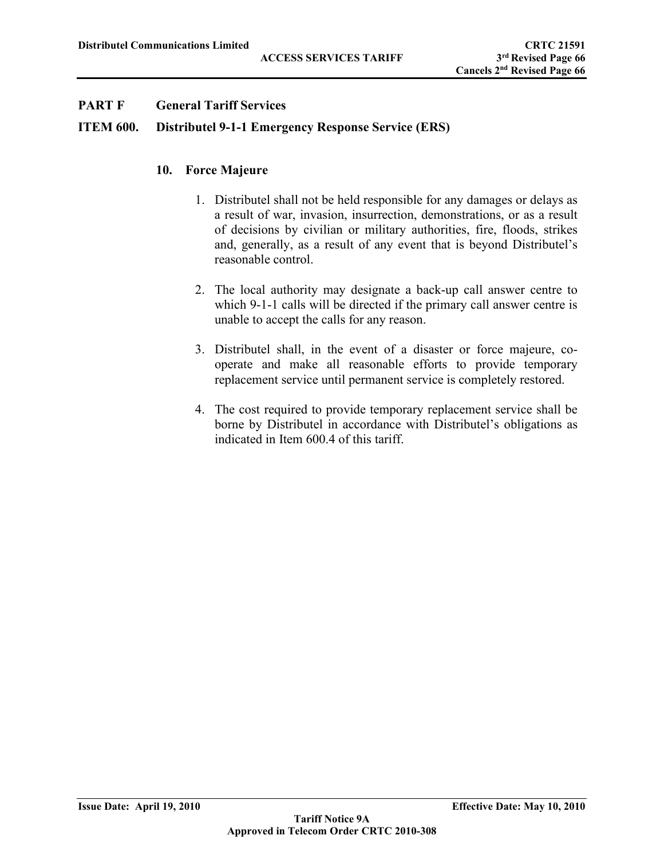### **ITEM 600. Distributel 9-1-1 Emergency Response Service (ERS)**

#### **10. Force Majeure**

- 1. Distributel shall not be held responsible for any damages or delays as a result of war, invasion, insurrection, demonstrations, or as a result of decisions by civilian or military authorities, fire, floods, strikes and, generally, as a result of any event that is beyond Distributel's reasonable control.
- 2. The local authority may designate a back-up call answer centre to which 9-1-1 calls will be directed if the primary call answer centre is unable to accept the calls for any reason.
- 3. Distributel shall, in the event of a disaster or force majeure, cooperate and make all reasonable efforts to provide temporary replacement service until permanent service is completely restored.
- 4. The cost required to provide temporary replacement service shall be borne by Distributel in accordance with Distributel's obligations as indicated in Item 600.4 of this tariff.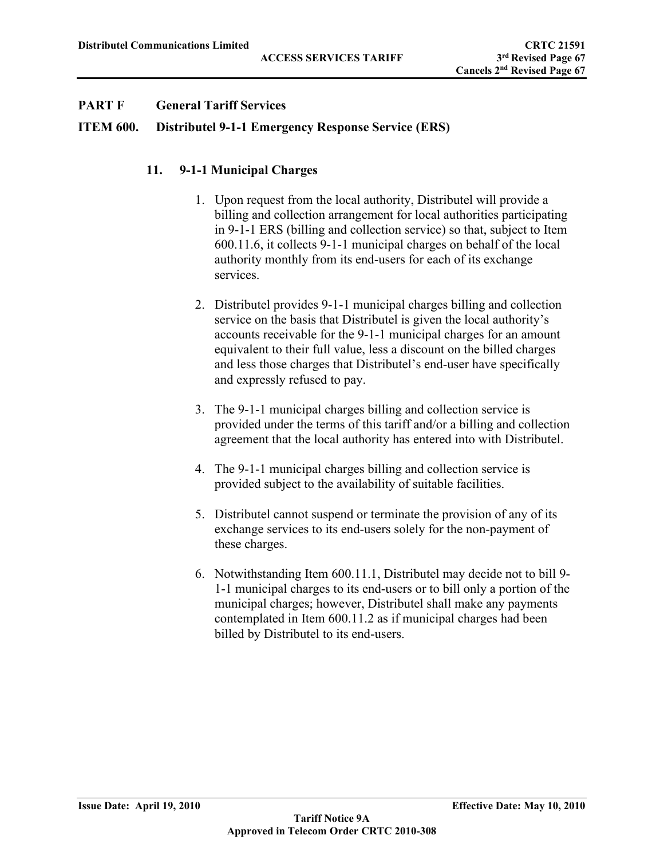## **ITEM 600. Distributel 9-1-1 Emergency Response Service (ERS)**

# **11. 9-1-1 Municipal Charges**

- 1. Upon request from the local authority, Distributel will provide a billing and collection arrangement for local authorities participating in 9-1-1 ERS (billing and collection service) so that, subject to Item 600.11.6, it collects 9-1-1 municipal charges on behalf of the local authority monthly from its end-users for each of its exchange services.
- 2. Distributel provides 9-1-1 municipal charges billing and collection service on the basis that Distributel is given the local authority's accounts receivable for the 9-1-1 municipal charges for an amount equivalent to their full value, less a discount on the billed charges and less those charges that Distributel's end-user have specifically and expressly refused to pay.
- 3. The 9-1-1 municipal charges billing and collection service is provided under the terms of this tariff and/or a billing and collection agreement that the local authority has entered into with Distributel.
- 4. The 9-1-1 municipal charges billing and collection service is provided subject to the availability of suitable facilities.
- 5. Distributel cannot suspend or terminate the provision of any of its exchange services to its end-users solely for the non-payment of these charges.
- 6. Notwithstanding Item 600.11.1, Distributel may decide not to bill 9- 1-1 municipal charges to its end-users or to bill only a portion of the municipal charges; however, Distributel shall make any payments contemplated in Item 600.11.2 as if municipal charges had been billed by Distributel to its end-users.